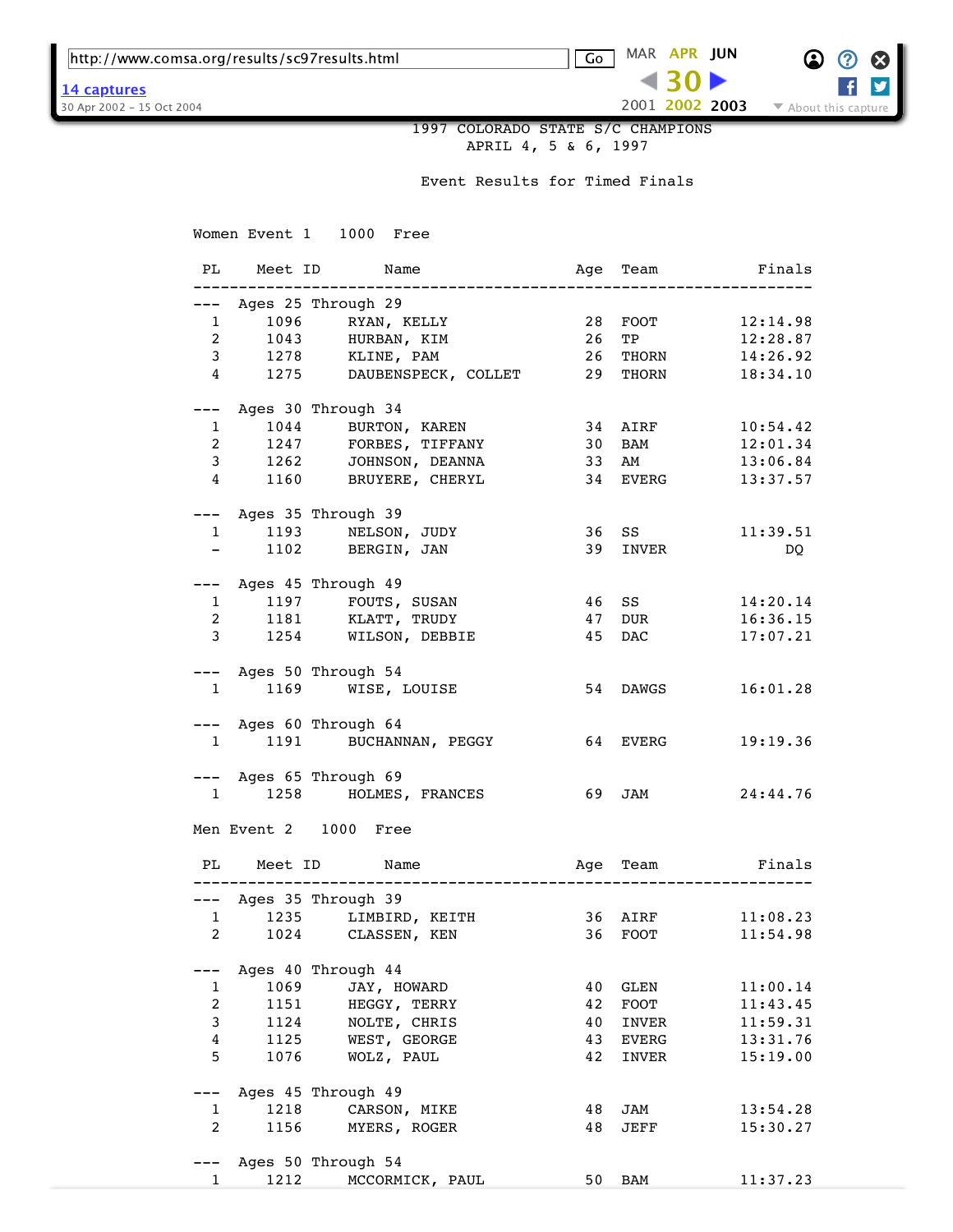http://www.comsa.org/results/sc97results.html Go MAR **APR [JUN](https://web.archive.org/web/20020625083441/http://www.comsa.org:80/results/sc97results.html)**

**[14 captures](https://web.archive.org/web/*/http://www.comsa.org/results/sc97results.html)**



2001 **2002 [2003](https://web.archive.org/web/20030507191211/http://www.comsa.org:80/results/sc97results.html)** 30 Apr 2002 - 15 Oct 2004  $\sim$  2007  $\sim$  2007  $\sim$  2007  $\sim$  About this capture

 1997 COLORADO STATE S/C CHAMPIONS APRIL 4, 5 & 6, 1997

Event Results for Timed Finals

Women Event 1 1000 Free PL Meet ID Name Age Team Finals -------------------------------------------------------------------- --- Ages 25 Through 29 1 1096 RYAN, KELLY 28 FOOT 12:14.98 2 1043 HURBAN, KIM 26 TP 12:28.87 3 1278 KLINE, PAM 26 THORN 14:26.92 4 1275 DAUBENSPECK, COLLET 29 THORN 18:34.10 --- Ages 30 Through 34 1 1044 BURTON, KAREN 34 AIRF 10:54.42 2 1247 FORBES, TIFFANY 30 BAM 12:01.34 3 1262 JOHNSON, DEANNA 33 AM 13:06.84 4 1160 BRUYERE, CHERYL 34 EVERG 13:37.57 --- Ages 35 Through 39 1 1193 NELSON, JUDY 36 SS 11:39.51 - 1102 BERGIN, JAN 39 INVER DQ --- Ages 45 Through 49 1 1197 FOUTS, SUSAN 46 SS 14:20.14 2 1181 KLATT, TRUDY 47 DUR 16:36.15 3 1254 WILSON, DEBBIE 45 DAC 17:07.21 --- Ages 50 Through 54 1 1169 WISE, LOUISE 54 DAWGS 16:01.28 --- Ages 60 Through 64 1 1191 BUCHANNAN, PEGGY 64 EVERG 19:19.36 --- Ages 65 Through 69 1 1258 HOLMES, FRANCES 69 JAM 24:44.76 Men Event 2 1000 Free PL Meet ID Name Age Team Finals -------------------------------------------------------------------- --- Ages 35 Through 39 1 1235 LIMBIRD, KEITH 36 AIRF 11:08.23 2 1024 CLASSEN, KEN 36 FOOT 11:54.98 --- Ages 40 Through 44 1 1069 JAY, HOWARD 40 GLEN 11:00.14 2 1151 HEGGY, TERRY 42 FOOT 11:43.45 3 1124 NOLTE, CHRIS 40 INVER 11:59.31 4 1125 WEST, GEORGE 43 EVERG 13:31.76 5 1076 WOLZ, PAUL 42 INVER 15:19.00 --- Ages 45 Through 49 1 1218 CARSON, MIKE 48 JAM 13:54.28 2 1156 MYERS, ROGER 48 JEFF 15:30.27 --- Ages 50 Through 54 1 1212 MCCORMICK, PAUL 50 BAM 11:37.23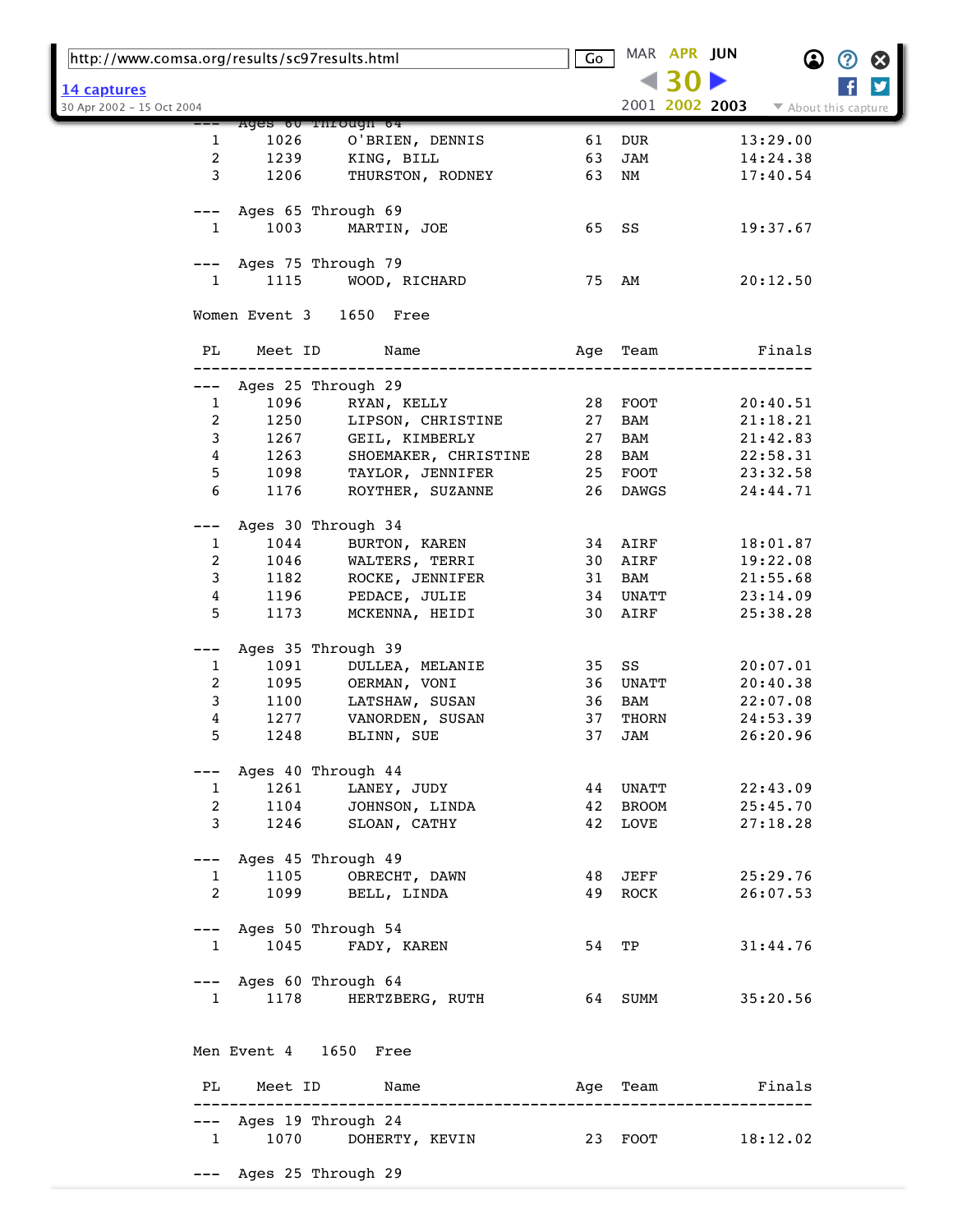| http://www.comsa.org/results/sc97results.html |                        |                                                                 | Go    |          | MAR APR JUN |                        | $\bf \Omega$         | ② | $\boldsymbol{\Omega}$ |
|-----------------------------------------------|------------------------|-----------------------------------------------------------------|-------|----------|-------------|------------------------|----------------------|---|-----------------------|
| 14 captures                                   |                        |                                                                 |       |          |             |                        |                      |   | y                     |
| 30 Apr 2002 - 15 Oct 2004                     |                        |                                                                 |       |          |             | 2001 2002 2003         | ▼ About this capture |   |                       |
|                                               |                        | Ages ou rnrough 64                                              |       |          |             |                        |                      |   |                       |
| 1                                             | 1026                   | O'BRIEN, DENNIS                                                 | 61    | DUR      |             |                        | 13:29.00             |   |                       |
| 2                                             | 1239                   | KING, BILL                                                      | 63    | JAM      |             |                        | 14:24.38             |   |                       |
| 3                                             | 1206                   | THURSTON, RODNEY                                                | 63    | NM       |             |                        | 17:40.54             |   |                       |
| ---                                           |                        | Ages 65 Through 69                                              |       |          |             |                        |                      |   |                       |
| 1                                             | 1003                   | MARTIN, JOE                                                     | 65 SS |          |             |                        | 19:37.67             |   |                       |
|                                               |                        |                                                                 |       |          |             |                        |                      |   |                       |
| ---                                           |                        | Ages 75 Through 79                                              |       |          |             |                        |                      |   |                       |
| $\mathbf{1}$                                  | 1115                   | WOOD, RICHARD                                                   | 75 AM |          |             |                        | 20:12.50             |   |                       |
|                                               |                        | Women Event 3 1650 Free                                         |       |          |             |                        |                      |   |                       |
| PL                                            | Meet ID                | Name                                                            |       | Age Team |             |                        | Finals               |   |                       |
| ---                                           |                        | Ages 25 Through 29                                              |       |          |             |                        |                      |   |                       |
| $\mathbf{1}$                                  | 1096                   | RYAN, KELLY                                                     | 28    | FOOT     |             |                        | 20:40.51             |   |                       |
| 2                                             | 1250                   | LIPSON, CHRISTINE                                               | 27    | BAM      |             |                        | 21:18.21             |   |                       |
| 3                                             | 1267                   | GEIL, KIMBERLY                                                  | 27    | BAM      |             |                        | 21:42.83             |   |                       |
| 4                                             | 1263                   | SHOEMAKER, CHRISTINE                                            | 28    | BAM      |             |                        | 22:58.31             |   |                       |
| 5                                             | 1098                   | TAYLOR, JENNIFER                                                |       | 25 FOOT  |             |                        | 23:32.58             |   |                       |
| 6                                             | 1176                   | ROYTHER, SUZANNE                                                | 26    | DAWGS    |             |                        | 24:44.71             |   |                       |
| ---                                           |                        | Ages 30 Through 34                                              |       |          |             |                        |                      |   |                       |
| 1                                             | 1044                   | BURTON, KAREN                                                   |       | 34 AIRF  |             |                        | 18:01.87             |   |                       |
| 2                                             | 1046                   | WALTERS, TERRI                                                  | 30    | AIRF     |             |                        | 19:22.08             |   |                       |
| 3                                             | 1182                   | ROCKE, JENNIFER                                                 | 31    | BAM      |             |                        | 21:55.68             |   |                       |
| 4                                             | 1196                   | PEDACE, JULIE                                                   | 34    | UNATT    |             |                        | 23:14.09             |   |                       |
| 5                                             | 1173                   | MCKENNA, HEIDI                                                  | 30    | AIRF     |             |                        | 25:38.28             |   |                       |
| ---                                           |                        | Ages 35 Through 39                                              |       |          |             |                        |                      |   |                       |
| 1                                             | 1091                   | DULLEA, MELANIE                                                 | 35    | SS       |             |                        | 20:07.01             |   |                       |
| 2                                             | 1095                   | OERMAN, VONI                                                    | 36    | UNATT    |             |                        | 20:40.38             |   |                       |
| 3                                             | 1100                   | LATSHAW, SUSAN                                                  | 36    | BAM      |             |                        | 22:07.08             |   |                       |
| 4                                             | 1277                   | VANORDEN, SUSAN                                                 | 37    | THORN    |             |                        | 24:53.39             |   |                       |
| 5                                             | 1248                   | BLINN, SUE                                                      | 37    | JAM      |             |                        | 26:20.96             |   |                       |
|                                               |                        | --- Ages 40 Through 44                                          |       |          |             |                        |                      |   |                       |
|                                               | $1 \quad \blacksquare$ | 1261 LANEY, JUDY                                                |       | 44 UNATT |             |                        | 22:43.09             |   |                       |
| $2^{\circ}$                                   |                        | 1104 JOHNSON, LINDA                                             |       | 42 BROOM |             |                        | 25:45.70             |   |                       |
|                                               | $3^{\circ}$            | 1246 SLOAN, CATHY                                               |       | 42 LOVE  |             |                        | 27:18.28             |   |                       |
|                                               |                        | --- Ages 45 Through 49                                          |       |          |             |                        |                      |   |                       |
|                                               |                        | 1 1105 OBRECHT, DAWN                                            |       | 48 JEFF  |             | 25:29.76               |                      |   |                       |
|                                               | $\overline{2}$         | 1099 BELL, LINDA                                                |       | 49 ROCK  |             |                        | 26:07.53             |   |                       |
|                                               |                        | --- Ages 50 Through 54                                          |       |          |             |                        |                      |   |                       |
|                                               |                        | 1 1045 FADY, KAREN                                              |       | 54 TP    |             |                        | 31:44.76             |   |                       |
|                                               |                        | --- Ages 60 Through 64                                          |       |          |             |                        |                      |   |                       |
|                                               |                        | 1 1178 HERTZBERG, RUTH 64 SUMM 35:20.56                         |       |          |             |                        |                      |   |                       |
|                                               |                        |                                                                 |       |          |             |                        |                      |   |                       |
|                                               |                        | Men Event 4 1650 Free                                           |       |          |             |                        |                      |   |                       |
|                                               |                        | PL Meet ID Name                                                 |       |          |             | Age Team <b>Finals</b> |                      |   |                       |
|                                               |                        | ----------<br>-----------------------<br>--- Ages 19 Through 24 |       |          |             |                        |                      |   |                       |
|                                               |                        | 1 1070 DOHERTY, KEVIN 23 FOOT 18:12.02                          |       |          |             |                        |                      |   |                       |
|                                               |                        |                                                                 |       |          |             |                        |                      |   |                       |
|                                               |                        | --- Ages 25 Through 29                                          |       |          |             |                        |                      |   |                       |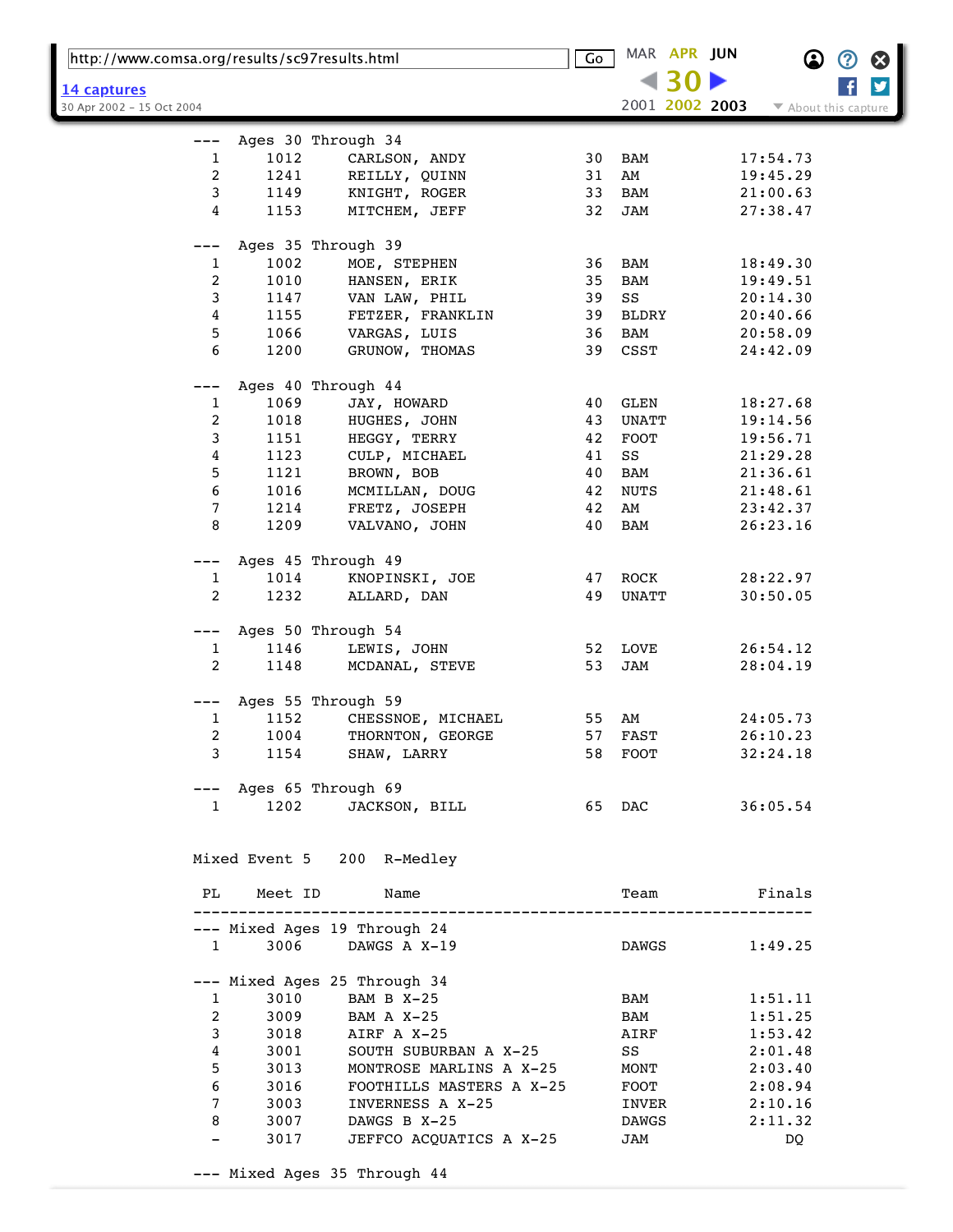|                                          | http://www.comsa.org/results/sc97results.html |                                         |    |              | MAR APR JUN |                | $\bf \Omega$         | ② | $\boldsymbol{\Omega}$ |
|------------------------------------------|-----------------------------------------------|-----------------------------------------|----|--------------|-------------|----------------|----------------------|---|-----------------------|
|                                          |                                               |                                         |    |              |             |                |                      |   | $\blacktriangleright$ |
| 14 captures<br>30 Apr 2002 - 15 Oct 2004 |                                               |                                         |    |              |             | 2001 2002 2003 | ▼ About this capture |   |                       |
|                                          |                                               |                                         |    |              |             |                |                      |   |                       |
| $---$                                    |                                               | Ages 30 Through 34                      |    |              |             |                |                      |   |                       |
| 1                                        | 1012                                          | CARLSON, ANDY                           | 30 | BAM          |             |                | 17:54.73             |   |                       |
| 2                                        | 1241                                          | REILLY, QUINN                           | 31 | AM           |             |                | 19:45.29             |   |                       |
| 3                                        | 1149                                          | KNIGHT, ROGER                           | 33 | BAM          |             |                | 21:00.63             |   |                       |
| 4                                        | 1153                                          | MITCHEM, JEFF                           | 32 | JAM          |             |                | 27:38.47             |   |                       |
|                                          |                                               | Ages 35 Through 39                      |    |              |             |                |                      |   |                       |
| $\mathbf{1}$                             | 1002                                          | MOE, STEPHEN                            | 36 | BAM          |             |                | 18:49.30             |   |                       |
| 2                                        | 1010                                          | HANSEN, ERIK                            | 35 | BAM          |             |                | 19:49.51             |   |                       |
| 3                                        | 1147                                          | VAN LAW, PHIL                           | 39 | SS           |             |                | 20:14.30             |   |                       |
| 4                                        | 1155                                          | FETZER, FRANKLIN                        | 39 | BLDRY        |             |                | 20:40.66             |   |                       |
| 5                                        | 1066                                          | VARGAS, LUIS                            | 36 | BAM          |             |                | 20:58.09             |   |                       |
| 6                                        | 1200                                          | GRUNOW, THOMAS                          | 39 | CSST         |             |                | 24:42.09             |   |                       |
|                                          |                                               |                                         |    |              |             |                |                      |   |                       |
|                                          |                                               | Ages 40 Through 44                      |    |              |             |                |                      |   |                       |
| $\mathbf{1}$                             | 1069                                          | JAY, HOWARD                             | 40 | GLEN         |             |                | 18:27.68             |   |                       |
| 2                                        | 1018                                          | HUGHES, JOHN                            | 43 | UNATT        |             |                | 19:14.56             |   |                       |
| 3                                        | 1151                                          | HEGGY, TERRY                            | 42 | FOOT         |             |                | 19:56.71             |   |                       |
| 4                                        | 1123                                          | CULP, MICHAEL                           | 41 | SS           |             |                | 21:29.28             |   |                       |
| 5                                        | 1121                                          | BROWN, BOB                              | 40 | BAM          |             |                | 21:36.61             |   |                       |
| 6                                        | 1016                                          | MCMILLAN, DOUG                          | 42 | NUTS         |             |                | 21:48.61             |   |                       |
| 7                                        | 1214                                          | FRETZ, JOSEPH                           | 42 | AM           |             |                | 23:42.37             |   |                       |
| 8                                        | 1209                                          | VALVANO, JOHN                           | 40 | BAM          |             |                | 26:23.16             |   |                       |
|                                          |                                               |                                         |    |              |             |                |                      |   |                       |
| $---$                                    |                                               | Ages 45 Through 49                      |    |              |             |                |                      |   |                       |
| 1                                        | 1014                                          | KNOPINSKI, JOE                          | 47 | ROCK         |             |                | 28:22.97             |   |                       |
| 2                                        | 1232                                          | ALLARD, DAN                             | 49 | UNATT        |             |                | 30:50.05             |   |                       |
|                                          |                                               |                                         |    |              |             |                |                      |   |                       |
| $---$                                    | 1146                                          | Ages 50 Through 54<br>LEWIS, JOHN       | 52 | LOVE         |             |                |                      |   |                       |
| 1<br>$\overline{a}$                      | 1148                                          |                                         | 53 | JAM          |             |                | 26:54.12<br>28:04.19 |   |                       |
|                                          |                                               | MCDANAL, STEVE                          |    |              |             |                |                      |   |                       |
| $---$                                    |                                               | Ages 55 Through 59                      |    |              |             |                |                      |   |                       |
| 1                                        | 1152                                          | CHESSNOE, MICHAEL                       | 55 | AM           |             |                | 24:05.73             |   |                       |
| 2                                        | 1004                                          | THORNTON, GEORGE                        | 57 | <b>FAST</b>  |             |                | 26:10.23             |   |                       |
| 3                                        |                                               | 1154 SHAW, LARRY                        |    | 58 FOOT      |             |                | 32:24.18             |   |                       |
|                                          |                                               |                                         |    |              |             |                |                      |   |                       |
|                                          |                                               | --- Ages 65 Through 69                  |    |              |             |                |                      |   |                       |
|                                          | 1202<br>$1 \quad \blacksquare$                | JACKSON, BILL                           |    | 65 DAC       |             |                | 36:05.54             |   |                       |
|                                          |                                               |                                         |    |              |             |                |                      |   |                       |
|                                          |                                               | Mixed Event 5 200 R-Medley              |    |              |             |                |                      |   |                       |
|                                          |                                               |                                         |    |              |             |                |                      |   |                       |
| PL                                       |                                               | Meet ID<br>Name                         |    | Team         |             |                | Finals               |   |                       |
|                                          |                                               |                                         |    |              |             |                |                      |   |                       |
|                                          |                                               | --- Mixed Ages 19 Through 24            |    |              |             |                |                      |   |                       |
|                                          | $1 \quad \blacksquare$                        | 3006 DAWGS A X-19                       |    | DAWGS        |             |                | 1:49.25              |   |                       |
|                                          |                                               | --- Mixed Ages 25 Through 34            |    |              |             |                |                      |   |                       |
| $\mathbf{1}$                             | 3010                                          | BAM B X-25                              |    | BAM          |             |                | 1:51.11              |   |                       |
| $\overline{2}$                           | 3009                                          | BAM A X-25                              |    | BAM          |             |                | 1:51.25              |   |                       |
| 3                                        | 3018                                          | AIRF A X-25                             |    | AIRF         |             |                | 1:53.42              |   |                       |
| $\overline{4}$                           | 3001                                          | SOUTH SUBURBAN A X-25                   |    | SS           |             |                | 2:01.48              |   |                       |
| 5                                        | 3013                                          | MONTROSE MARLINS A X-25                 |    | MONT         |             |                | 2:03.40              |   |                       |
| 6                                        | 3016                                          | FOOTHILLS MASTERS A X-25                |    | $\rm{FOOT}$  |             |                | 2:08.94              |   |                       |
| $7\phantom{.0}$                          | 3003                                          | INVERNESS A X-25                        |    |              |             |                |                      |   |                       |
| 8                                        | 3007                                          |                                         |    | INVER        |             |                | 2:10.16              |   |                       |
| $-$                                      | 3017                                          | DAWGS B X-25<br>JEFFCO ACQUATICS A X-25 |    | DAWGS<br>JAM |             |                | 2:11.32<br>DQ        |   |                       |
|                                          |                                               |                                         |    |              |             |                |                      |   |                       |
|                                          |                                               | --- Mixed Ages 35 Through 44            |    |              |             |                |                      |   |                       |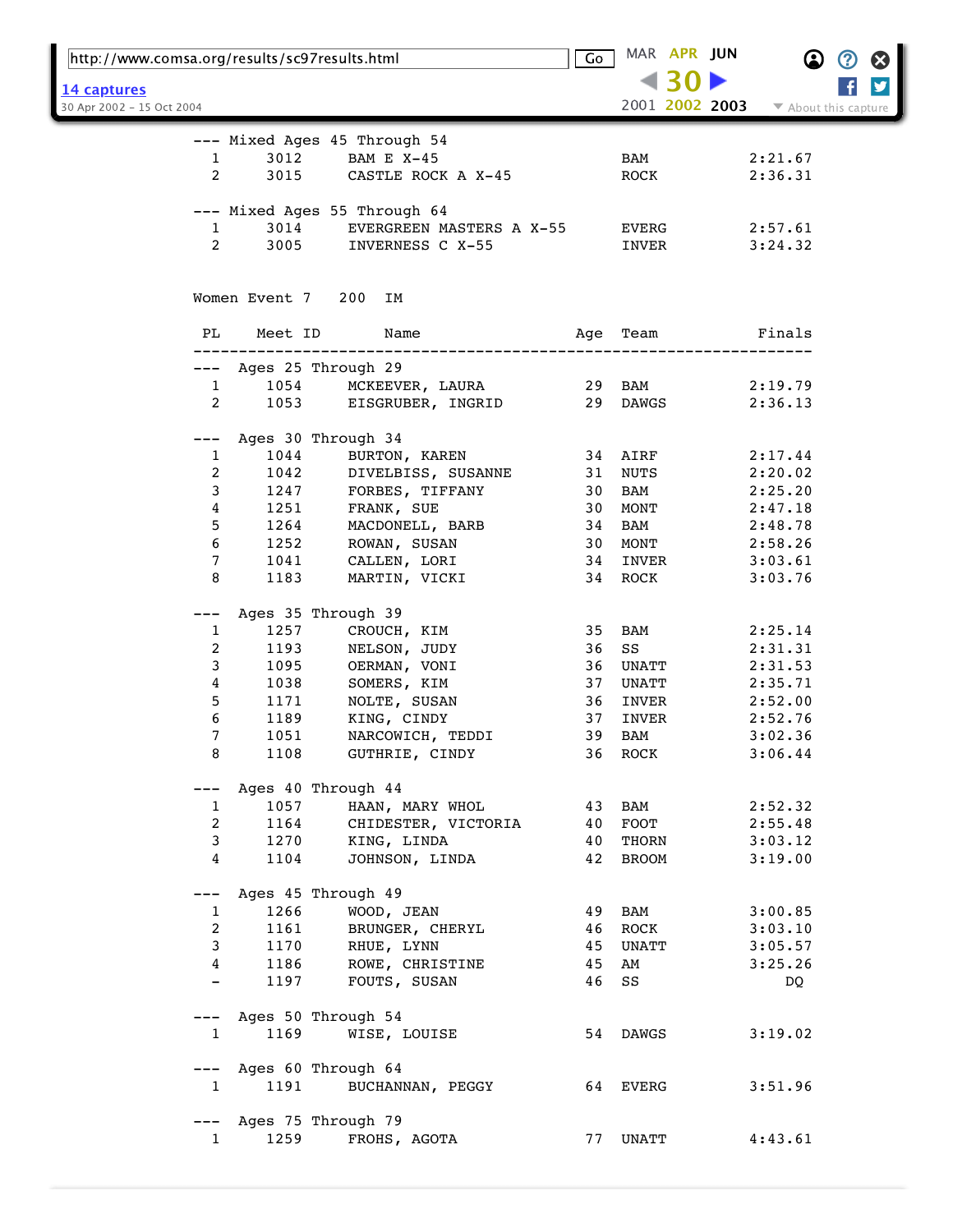| http://www.comsa.org/results/sc97results.html |               |                              | Go  |              | MAR APR JUN |                | $\bf \Omega$         | Ø | Ø |
|-----------------------------------------------|---------------|------------------------------|-----|--------------|-------------|----------------|----------------------|---|---|
| 14 captures                                   |               |                              |     |              |             |                |                      |   | y |
| 30 Apr 2002 - 15 Oct 2004                     |               |                              |     |              |             | 2001 2002 2003 | ▼ About this capture |   |   |
|                                               |               | --- Mixed Ages 45 Through 54 |     |              |             |                |                      |   |   |
| 1                                             | 3012          | <b>BAM E X-45</b>            |     | BAM          |             |                | 2:21.67              |   |   |
| 2                                             | 3015          | CASTLE ROCK A X-45           |     | ROCK         |             |                | 2:36.31              |   |   |
|                                               |               | --- Mixed Ages 55 Through 64 |     |              |             |                |                      |   |   |
| 1                                             | 3014          | EVERGREEN MASTERS A X-55     |     | EVERG        |             |                | 2:57.61              |   |   |
| 2                                             | 3005          | INVERNESS C X-55             |     | INVER        |             |                | 3:24.32              |   |   |
|                                               | Women Event 7 | 200<br>IΜ                    |     |              |             |                |                      |   |   |
| PL                                            | Meet ID       | Name                         | Aqe | Team         |             |                | Finals               |   |   |
| $---$                                         |               | Ages 25 Through 29           |     |              |             |                |                      |   |   |
| $\mathbf{1}$                                  | 1054          | MCKEEVER, LAURA              | 29  | BAM          |             |                | 2:19.79              |   |   |
| 2                                             | 1053          | EISGRUBER, INGRID            | 29  | DAWGS        |             |                | 2:36.13              |   |   |
|                                               |               |                              |     |              |             |                |                      |   |   |
|                                               |               | Ages 30 Through 34           |     |              |             |                |                      |   |   |
| 1                                             | 1044          | BURTON, KAREN                | 34  | AIRF         |             |                | 2:17.44              |   |   |
| 2                                             | 1042          | DIVELBISS, SUSANNE           | 31  | NUTS         |             |                | 2:20.02              |   |   |
| 3                                             | 1247          | FORBES, TIFFANY              | 30  | BAM          |             |                | 2:25.20              |   |   |
| 4                                             | 1251          | FRANK, SUE                   | 30  | MONT         |             |                | 2:47.18              |   |   |
| 5                                             | 1264          | MACDONELL, BARB              | 34  | BAM          |             |                | 2:48.78              |   |   |
| 6                                             | 1252          | ROWAN, SUSAN                 | 30  | MONT         |             |                | 2:58.26              |   |   |
| 7                                             | 1041          | CALLEN, LORI                 | 34  | INVER        |             |                | 3:03.61              |   |   |
| 8                                             | 1183          | MARTIN, VICKI                | 34  | ROCK         |             |                | 3:03.76              |   |   |
|                                               |               | Ages 35 Through 39           |     |              |             |                |                      |   |   |
| 1                                             | 1257          | CROUCH, KIM                  | 35  | BAM          |             |                | 2:25.14              |   |   |
| 2                                             | 1193          | NELSON, JUDY                 | 36  | SS           |             |                | 2:31.31              |   |   |
| 3                                             | 1095          | OERMAN, VONI                 | 36  | UNATT        |             |                | 2:31.53              |   |   |
| 4                                             | 1038          | SOMERS, KIM                  | 37  | UNATT        |             |                | 2:35.71              |   |   |
| 5                                             | 1171          | NOLTE, SUSAN                 | 36  | INVER        |             |                | 2:52.00              |   |   |
| 6                                             | 1189          | KING, CINDY                  | 37  | INVER        |             |                | 2:52.76              |   |   |
| 7                                             | 1051          | NARCOWICH, TEDDI             | 39  | <b>BAM</b>   |             |                | 3:02.36              |   |   |
| 8                                             | 1108          | GUTHRIE, CINDY               |     | 36 ROCK      |             |                | 3:06.44              |   |   |
|                                               |               | Ages 40 Through 44           |     |              |             |                |                      |   |   |
| 1                                             | 1057          | HAAN, MARY WHOL              | 43  | BAM          |             |                | 2:52.32              |   |   |
| 2                                             | 1164          | CHIDESTER, VICTORIA          | 40  | FOOT         |             |                | 2:55.48              |   |   |
| 3                                             | 1270          | KING, LINDA                  | 40  | THORN        |             |                | 3:03.12              |   |   |
| 4                                             | 1104          | JOHNSON, LINDA               | 42  | <b>BROOM</b> |             |                | 3:19.00              |   |   |
|                                               |               | Ages 45 Through 49           |     |              |             |                |                      |   |   |
| 1                                             | 1266          | WOOD, JEAN                   | 49  | BAM          |             |                | 3:00.85              |   |   |
| 2                                             | 1161          | BRUNGER, CHERYL              | 46  | ROCK         |             |                | 3:03.10              |   |   |
| 3                                             | 1170          | RHUE, LYNN                   | 45  | UNATT        |             |                | 3:05.57              |   |   |
| 4                                             | 1186          | ROWE, CHRISTINE              | 45  | AM           |             |                | 3:25.26              |   |   |
| $\overline{\phantom{0}}$                      | 1197          | FOUTS, SUSAN                 | 46  | SS           |             |                | DQ                   |   |   |
|                                               |               |                              |     |              |             |                |                      |   |   |
| $---$                                         |               | Ages 50 Through 54           |     |              |             |                |                      |   |   |
| 1                                             | 1169          | WISE, LOUISE                 |     | 54 DAWGS     |             |                | 3:19.02              |   |   |
| $---$                                         |               | Ages 60 Through 64           |     |              |             |                |                      |   |   |
| $\mathbf{1}$                                  | 1191          | BUCHANNAN, PEGGY             |     | 64 EVERG     |             |                | 3:51.96              |   |   |
|                                               |               |                              |     |              |             |                |                      |   |   |
|                                               |               | Ages 75 Through 79           |     |              |             |                |                      |   |   |
| 1                                             | 1259          | FROHS, AGOTA                 | 77  | UNATT        |             |                | 4:43.61              |   |   |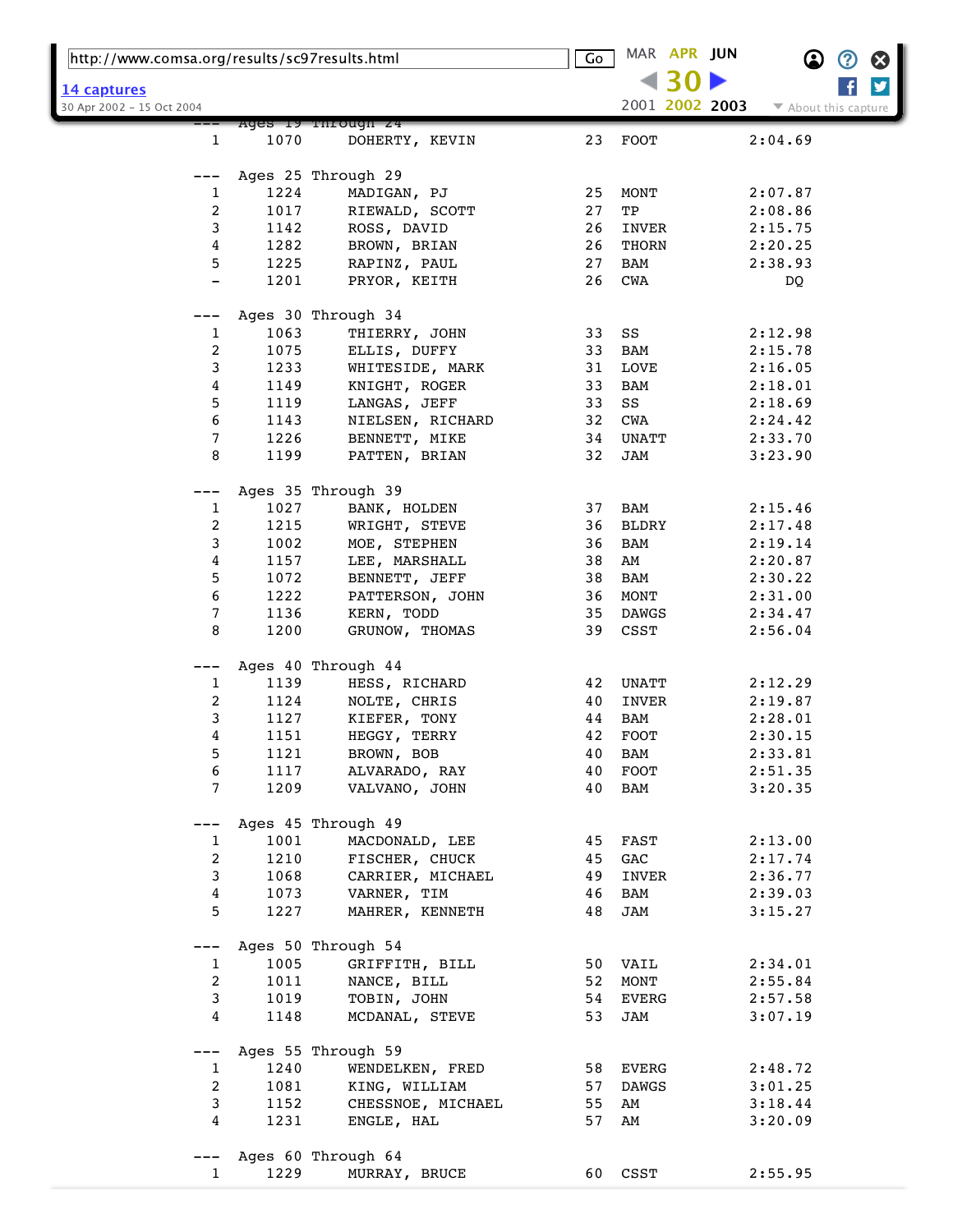| http://www.comsa.org/results/sc97results.html |              | $\overline{\mathsf{Go}}$           |          | MAR APR JUN    |  | $\bf \Omega$   | $\bm{\mathcal{O}}$   | $\boldsymbol{\Omega}$ |   |
|-----------------------------------------------|--------------|------------------------------------|----------|----------------|--|----------------|----------------------|-----------------------|---|
| 14 captures                                   |              |                                    |          |                |  |                |                      |                       | y |
| 30 Apr 2002 - 15 Oct 2004                     |              |                                    |          |                |  | 2001 2002 2003 | ▼ About this capture |                       |   |
|                                               |              | Ages iy rnrougn 24                 |          |                |  |                |                      |                       |   |
| 1                                             | 1070         | DOHERTY, KEVIN                     | 23       | <b>FOOT</b>    |  |                | 2:04.69              |                       |   |
|                                               |              |                                    |          |                |  |                |                      |                       |   |
| ---                                           | 1224         | Ages 25 Through 29<br>MADIGAN, PJ  | 25       |                |  |                | 2:07.87              |                       |   |
| 1<br>2                                        | 1017         | RIEWALD, SCOTT                     | 27       | MONT<br>TP     |  |                | 2:08.86              |                       |   |
| 3                                             | 1142         | ROSS, DAVID                        | 26       | INVER          |  |                | 2:15.75              |                       |   |
| 4                                             | 1282         | BROWN, BRIAN                       | 26       | THORN          |  |                | 2:20.25              |                       |   |
| 5                                             | 1225         | RAPINZ, PAUL                       | 27       | BAM            |  |                | 2:38.93              |                       |   |
| $\overline{\phantom{0}}$                      | 1201         | PRYOR, KEITH                       | 26       | CWA            |  |                | DQ                   |                       |   |
|                                               |              |                                    |          |                |  |                |                      |                       |   |
| ---                                           |              | Ages 30 Through 34                 |          |                |  |                |                      |                       |   |
| 1                                             | 1063         | THIERRY, JOHN                      | 33       | SS             |  |                | 2:12.98              |                       |   |
| 2                                             | 1075         | ELLIS, DUFFY                       | 33       | BAM            |  |                | 2:15.78              |                       |   |
| 3                                             | 1233         | WHITESIDE, MARK                    | 31       | LOVE           |  |                | 2:16.05              |                       |   |
| 4                                             | 1149         | KNIGHT, ROGER                      | 33       | BAM            |  |                | 2:18.01              |                       |   |
| 5                                             | 1119         | LANGAS, JEFF                       | 33       | SS             |  |                | 2:18.69              |                       |   |
| 6                                             | 1143         | NIELSEN, RICHARD                   | 32       | CWA            |  |                | 2:24.42              |                       |   |
| 7                                             | 1226         | BENNETT, MIKE                      | 34       | UNATT          |  |                | 2:33.70              |                       |   |
| 8                                             | 1199         | PATTEN, BRIAN                      | 32       | JAM            |  |                | 3:23.90              |                       |   |
|                                               |              |                                    |          |                |  |                |                      |                       |   |
|                                               |              | Ages 35 Through 39                 |          |                |  |                |                      |                       |   |
| 1                                             | 1027         | BANK, HOLDEN                       | 37       | BAM            |  |                | 2:15.46              |                       |   |
| 2                                             | 1215         | WRIGHT, STEVE                      | 36       | BLDRY          |  |                | 2:17.48              |                       |   |
| 3                                             | 1002         | MOE, STEPHEN                       | 36       | BAM            |  |                | 2:19.14              |                       |   |
| 4                                             | 1157         | LEE, MARSHALL                      | 38       | AM             |  |                | 2:20.87              |                       |   |
| 5                                             | 1072         | BENNETT, JEFF                      | 38       | BAM            |  |                | 2:30.22              |                       |   |
| 6                                             | 1222         | PATTERSON, JOHN                    | 36       | MONT           |  |                | 2:31.00              |                       |   |
| 7                                             | 1136         | KERN, TODD                         | 35       | DAWGS          |  |                | 2:34.47              |                       |   |
| 8                                             | 1200         | GRUNOW, THOMAS                     | 39       | CSST           |  |                | 2:56.04              |                       |   |
|                                               |              | Ages 40 Through 44                 |          |                |  |                |                      |                       |   |
| ---<br>1                                      | 1139         | HESS, RICHARD                      | 42       | UNATT          |  |                | 2:12.29              |                       |   |
| 2                                             | 1124         | NOLTE, CHRIS                       | 40       | INVER          |  |                | 2:19.87              |                       |   |
| 3                                             | 1127         | KIEFER, TONY                       | 44       | BAM            |  |                | 2:28.01              |                       |   |
| 4                                             | 1151         | HEGGY, TERRY                       | 42       | <b>FOOT</b>    |  |                | 2:30.15              |                       |   |
| 5                                             | 1121         | BROWN, BOB                         | 40       | BAM            |  |                | 2:33.81              |                       |   |
| 6                                             | 1117         | ALVARADO, RAY                      | 40       | ${\tt FOOT}$   |  |                | 2:51.35              |                       |   |
| 7                                             | 1209         | VALVANO, JOHN                      | 40       | BAM            |  |                | 3:20.35              |                       |   |
|                                               |              |                                    |          |                |  |                |                      |                       |   |
|                                               |              | Ages 45 Through 49                 |          |                |  |                |                      |                       |   |
| 1                                             | 1001         | MACDONALD, LEE                     | 45       | FAST           |  |                | 2:13.00              |                       |   |
| 2                                             | 1210         | FISCHER, CHUCK                     | 45       | GAC            |  |                | 2:17.74              |                       |   |
| 3                                             | 1068         | CARRIER, MICHAEL                   | 49       | INVER          |  |                | 2:36.77              |                       |   |
| 4                                             | 1073         | VARNER, TIM                        | 46       | BAM            |  |                | 2:39.03              |                       |   |
| 5                                             | 1227         | MAHRER, KENNETH                    | 48       | JAM            |  |                | 3:15.27              |                       |   |
|                                               |              |                                    |          |                |  |                |                      |                       |   |
| $---$                                         |              | Ages 50 Through 54                 |          |                |  |                |                      |                       |   |
| 1                                             | 1005         | GRIFFITH, BILL                     | 50       | VAIL           |  |                | 2:34.01              |                       |   |
| 2                                             | 1011         | NANCE, BILL                        | 52       | MONT           |  |                | 2:55.84              |                       |   |
| 3                                             | 1019         | TOBIN, JOHN                        | 54       | EVERG          |  |                | 2:57.58              |                       |   |
| 4                                             | 1148         | MCDANAL, STEVE                     | 53       | JAM            |  |                | 3:07.19              |                       |   |
|                                               |              | Ages 55 Through 59                 |          |                |  |                |                      |                       |   |
|                                               |              |                                    |          |                |  |                |                      |                       |   |
| $\mathbf{1}$<br>2                             | 1240<br>1081 | WENDELKEN, FRED                    | 58<br>57 | EVERG<br>DAWGS |  |                | 2:48.72<br>3:01.25   |                       |   |
| 3                                             | 1152         | KING, WILLIAM<br>CHESSNOE, MICHAEL | 55       | AM             |  |                | 3:18.44              |                       |   |
| 4                                             | 1231         | ENGLE, HAL                         | 57       | AM             |  |                | 3:20.09              |                       |   |
|                                               |              |                                    |          |                |  |                |                      |                       |   |
|                                               |              | Ages 60 Through 64                 |          |                |  |                |                      |                       |   |
| $\mathbf{1}$                                  | 1229         | MURRAY, BRUCE                      | 60       | CSST           |  |                | 2:55.95              |                       |   |
|                                               |              |                                    |          |                |  |                |                      |                       |   |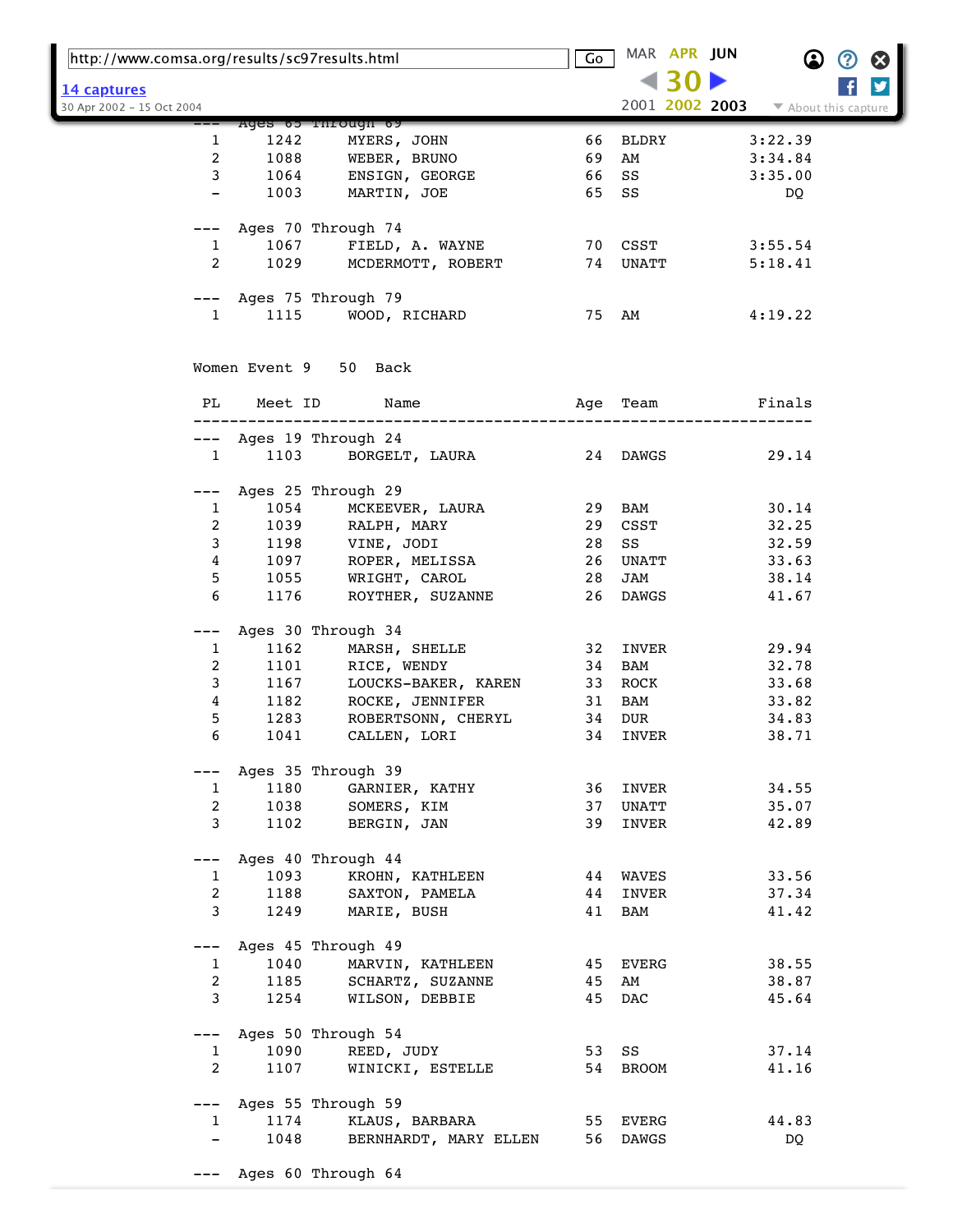| http://www.comsa.org/results/sc97results.html |         |                        | Go | MAR APR JUN    | $\bf \Omega$<br>Ø<br>$\boldsymbol{\omega}$ |
|-----------------------------------------------|---------|------------------------|----|----------------|--------------------------------------------|
| 14 captures                                   |         |                        |    |                | y                                          |
| 30 Apr 2002 - 15 Oct 2004                     |         |                        |    | 2001 2002 2003 | ▼ About this capture                       |
|                                               |         | Ages 65 Through 69     |    |                |                                            |
| 1                                             | 1242    | MYERS, JOHN            | 66 | BLDRY          | 3:22.39                                    |
| 2                                             | 1088    | WEBER, BRUNO           | 69 | AM             | 3:34.84                                    |
| 3                                             | 1064    | ENSIGN, GEORGE         | 66 | SS             | 3:35.00                                    |
|                                               | 1003    | MARTIN, JOE            | 65 | SS             | DQ.                                        |
|                                               |         | Ages 70 Through 74     |    |                |                                            |
| $\mathbf{1}$                                  | 1067    | FIELD, A. WAYNE        |    | 70 CSST        | 3:55.54                                    |
| $\overline{2}$                                | 1029    | MCDERMOTT, ROBERT      |    | 74 UNATT       | 5:18.41                                    |
|                                               |         | Ages 75 Through 79     |    |                |                                            |
| 1                                             | 1115    | WOOD, RICHARD          |    | 75 AM          | 4:19.22                                    |
|                                               |         | Women Event 9 50 Back  |    |                |                                            |
| PL                                            | Meet ID | Name                   |    | Age Team       | Finals                                     |
|                                               |         |                        |    |                |                                            |
|                                               |         | --- Ages 19 Through 24 |    |                |                                            |
| $\mathbf{1}$                                  | 1103    | BORGELT, LAURA         |    | 24 DAWGS       | 29.14                                      |
|                                               |         | Ages 25 Through 29     |    |                |                                            |
| $\mathbf{1}$                                  | 1054    | MCKEEVER, LAURA        | 29 | BAM            | 30.14                                      |
| 2                                             | 1039    | RALPH, MARY            | 29 | CSST           | 32.25                                      |
| 3                                             | 1198    | VINE, JODI             | 28 | SS             | 32.59                                      |
| 4                                             | 1097    | ROPER, MELISSA         | 26 | UNATT          | 33.63                                      |
| 5                                             | 1055    | WRIGHT, CAROL          | 28 | JAM            | 38.14                                      |
| 6                                             | 1176    | ROYTHER, SUZANNE       | 26 | DAWGS          | 41.67                                      |
| ---                                           |         | Ages 30 Through 34     |    |                |                                            |
| 1                                             | 1162    | MARSH, SHELLE          | 32 | INVER          | 29.94                                      |
| 2                                             | 1101    | RICE, WENDY            | 34 | BAM            | 32.78                                      |
| 3                                             | 1167    | LOUCKS-BAKER, KAREN    | 33 | ROCK           | 33.68                                      |
| 4                                             | 1182    | ROCKE, JENNIFER        | 31 | BAM            | 33.82                                      |
| 5                                             | 1283    | ROBERTSONN, CHERYL     | 34 | DUR            | 34.83                                      |
| 6                                             | 1041    | CALLEN, LORI           | 34 | INVER          | 38.71                                      |
|                                               |         | Ages 35 Through 39     |    |                |                                            |
| $\mathbf{1}$                                  | 1180    | GARNIER, KATHY         | 36 | INVER          | 34.55                                      |
| $\overline{2}$                                | 1038    | SOMERS, KIM            | 37 | UNATT          | 35.07                                      |
| 3                                             | 1102    | BERGIN, JAN            | 39 | INVER          | 42.89                                      |
| ---                                           |         | Ages 40 Through 44     |    |                |                                            |
| 1                                             | 1093    | KROHN, KATHLEEN        |    | 44 WAVES       | 33.56                                      |
| $\overline{2}$                                | 1188    | SAXTON, PAMELA         | 44 | INVER          | 37.34                                      |
| 3                                             | 1249    | MARIE, BUSH            | 41 | BAM            | 41.42                                      |
| $---$                                         |         | Ages 45 Through 49     |    |                |                                            |
| $\mathbf{1}$                                  | 1040    | MARVIN, KATHLEEN       | 45 | EVERG          | 38.55                                      |
| $\overline{a}$                                | 1185    | SCHARTZ, SUZANNE       | 45 | AM             | 38.87                                      |
| 3                                             | 1254    | WILSON, DEBBIE         | 45 | <b>DAC</b>     | 45.64                                      |
| $---$                                         |         | Ages 50 Through 54     |    |                |                                            |
| $\mathbf{1}$                                  | 1090    | REED, JUDY             |    | 53 SS          | 37.14                                      |
| $\overline{a}$                                | 1107    | WINICKI, ESTELLE       |    | 54 BROOM       | 41.16                                      |
| $---$                                         |         | Ages 55 Through 59     |    |                |                                            |
| $\mathbf{1}$                                  | 1174    | KLAUS, BARBARA         |    | 55 EVERG       | 44.83                                      |
|                                               | 1048    | BERNHARDT, MARY ELLEN  | 56 | DAWGS          | DQ                                         |
|                                               |         | --- Ages 60 Through 64 |    |                |                                            |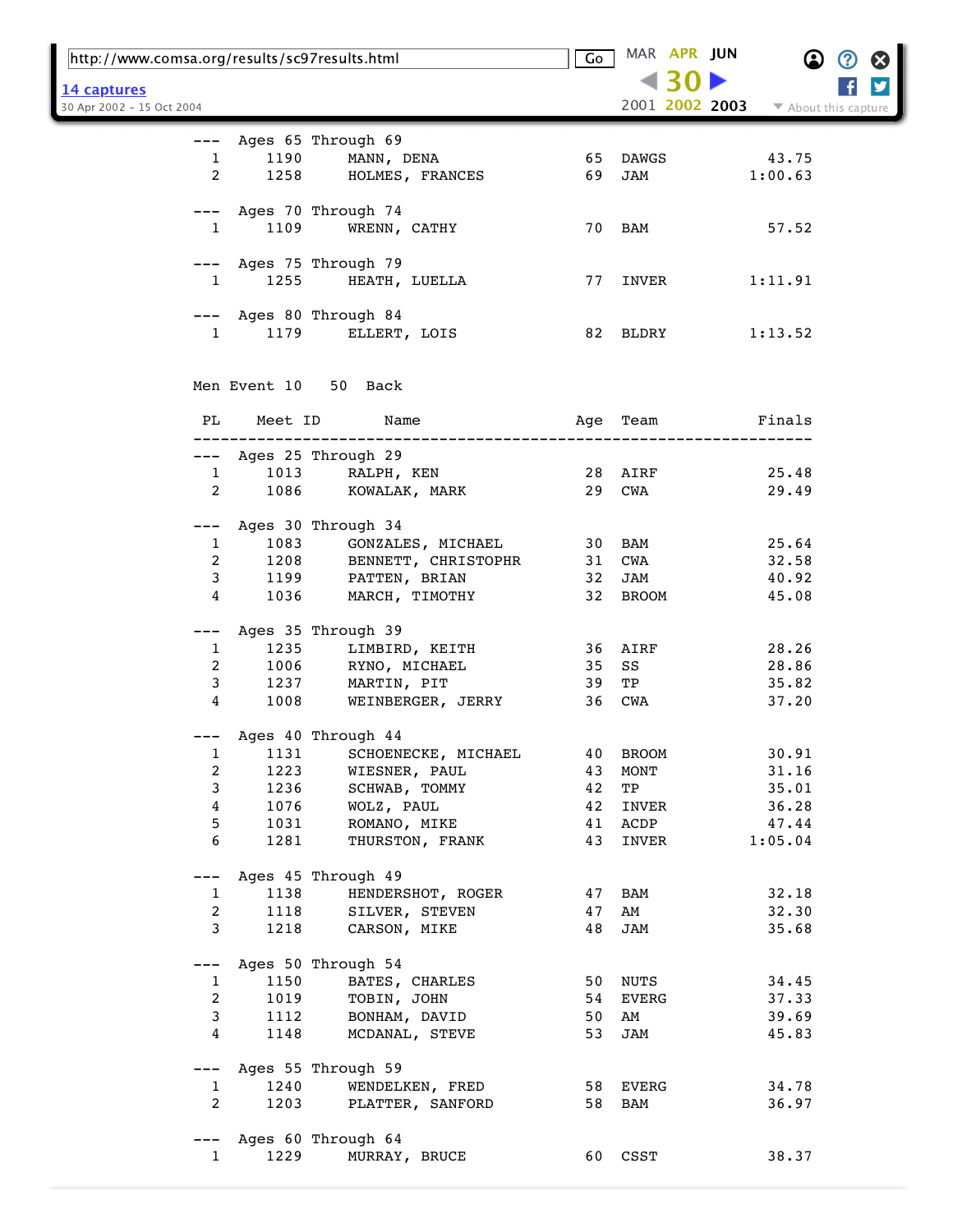|                           | http://www.comsa.org/results/sc97results.html |                                                   |         | MAR APR JUN    |                      |  |
|---------------------------|-----------------------------------------------|---------------------------------------------------|---------|----------------|----------------------|--|
| <u> 14 captures</u>       |                                               |                                                   |         |                |                      |  |
| 30 Apr 2002 - 15 Oct 2004 |                                               |                                                   |         | 2001 2002 2003 | ▼ About this capture |  |
|                           |                                               |                                                   |         |                |                      |  |
| $---$                     |                                               | Ages 65 Through 69                                |         |                |                      |  |
| $\mathbf{1}$              | 1190                                          | MANN, DENA                                        |         | 65 DAWGS       | 43.75                |  |
| 2                         |                                               | 1258 HOLMES, FRANCES                              | 69      | JAM            | 1:00.63              |  |
|                           |                                               |                                                   |         |                |                      |  |
|                           |                                               | --- Ages 70 Through 74                            |         |                |                      |  |
| $\mathbf{1}$              | 1109                                          | WRENN, CATHY                                      |         | 70 BAM         | 57.52                |  |
|                           |                                               |                                                   |         |                |                      |  |
|                           |                                               | --- Ages 75 Through 79                            |         |                |                      |  |
| $\mathbf{1}$              |                                               | 1255 HEATH, LUELLA                                |         | 77 INVER       | 1:11.91              |  |
|                           |                                               |                                                   |         |                |                      |  |
|                           |                                               | --- Ages 80 Through 84                            |         |                |                      |  |
| $1 \quad \Box$            |                                               | 1179 ELLERT, LOIS                                 |         | 82 BLDRY       | 1:13.52              |  |
|                           |                                               |                                                   |         |                |                      |  |
|                           |                                               | Men Event 10 50 Back                              |         |                |                      |  |
|                           |                                               |                                                   |         |                |                      |  |
| PL                        | Meet ID                                       | Name                                              |         | Age Team       | Finals               |  |
|                           |                                               |                                                   |         |                |                      |  |
|                           |                                               | --- Ages 25 Through 29                            |         |                |                      |  |
| $\mathbf{1}$              | 1013                                          | RALPH, KEN                                        | 28 AIRF |                | 25.48                |  |
| 2                         | 1086                                          | KOWALAK, MARK                                     |         | 29 CWA         | 29.49                |  |
|                           |                                               |                                                   |         |                |                      |  |
|                           |                                               | Ages 30 Through 34                                |         |                |                      |  |
| $\mathbf{1}$              | 1083                                          | GONZALES, MICHAEL                                 |         | 30 BAM         | 25.64                |  |
| $\overline{a}$            |                                               | BENNETT, CHRISTOPHR                               |         | 31 CWA         | 32.58                |  |
| 3                         |                                               |                                                   | 32      | JAM            | 40.92                |  |
| 4                         |                                               | 1000<br>1208 BENNETT, NETAN<br>1199 PATTEN, BRIAN |         | 32 BROOM       | 45.08                |  |
|                           |                                               |                                                   |         |                |                      |  |
| ---                       |                                               | Ages 35 Through 39                                |         |                |                      |  |
| 1                         | 1235                                          | LIMBIRD, KEITH                                    |         | 36 AIRF        | 28.26                |  |
| $\overline{a}$            | 1006                                          | RYNO, MICHAEL                                     | 35      | SS             | 28.86                |  |
| $\mathbf{3}$              | 1237                                          | MARTIN, PIT                                       | 39      | TP             | 35.82                |  |
| $\overline{4}$            | 1008                                          | WEINBERGER, JERRY                                 |         | 36 CWA         | 37.20                |  |
|                           |                                               |                                                   |         |                |                      |  |
|                           |                                               | Ages 40 Through 44                                |         |                |                      |  |
| 1                         | 1131                                          | SCHOENECKE, MICHAEL                               |         | 40 BROOM       | 30.91                |  |
| $\overline{a}$            | 1223                                          | WIESNER, PAUL                                     | 43      | MONT           | 31.16                |  |
| 3                         | 1236                                          | SCHWAB, TOMMY                                     | 42      | TP             | 35.01                |  |
| $\overline{4}$            | 1076                                          | WOLZ, PAUL                                        | 42      | INVER          | 36.28                |  |
| 5                         | 1031                                          | ROMANO, MIKE                                      | 41      | ACDP           | 47.44                |  |
| 6                         | 1281                                          | THURSTON, FRANK                                   | 43      | INVER          | 1:05.04              |  |
|                           |                                               |                                                   |         |                |                      |  |
| ---                       |                                               | Ages 45 Through 49                                |         |                |                      |  |
| $\mathbf{1}$              | 1138                                          | HENDERSHOT, ROGER                                 |         | 47 BAM         | 32.18                |  |
| 2                         | 1118                                          | SILVER, STEVEN                                    | 47      | AM             | 32.30                |  |
| 3                         | 1218                                          | CARSON, MIKE                                      | 48      | JAM            | 35.68                |  |
|                           |                                               |                                                   |         |                |                      |  |
|                           |                                               | Ages 50 Through 54                                |         |                |                      |  |
| $\mathbf{1}$              | 1150                                          | BATES, CHARLES                                    |         | 50 NUTS        | 34.45                |  |
| $\overline{a}$            | 1019                                          | TOBIN, JOHN                                       |         | 54 EVERG       | 37.33                |  |
| 3                         | 1112                                          | BONHAM, DAVID                                     | 50      | AM             | 39.69                |  |
| 4                         | 1148                                          | MCDANAL, STEVE                                    | 53      | JAM            | 45.83                |  |
|                           |                                               |                                                   |         |                |                      |  |
| $---$                     |                                               | Ages 55 Through 59                                |         |                |                      |  |
| $\mathbf{1}$              | 1240                                          | WENDELKEN, FRED                                   |         | 58 EVERG       | 34.78                |  |
| $\overline{2}$            | 1203                                          | PLATTER, SANFORD                                  |         | 58 BAM         | 36.97                |  |
|                           |                                               |                                                   |         |                |                      |  |
| $---$                     |                                               | Ages 60 Through 64                                |         |                |                      |  |
| $\mathbf{1}$              | 1229                                          | MURRAY, BRUCE                                     |         | 60 CSST        | 38.37                |  |
|                           |                                               |                                                   |         |                |                      |  |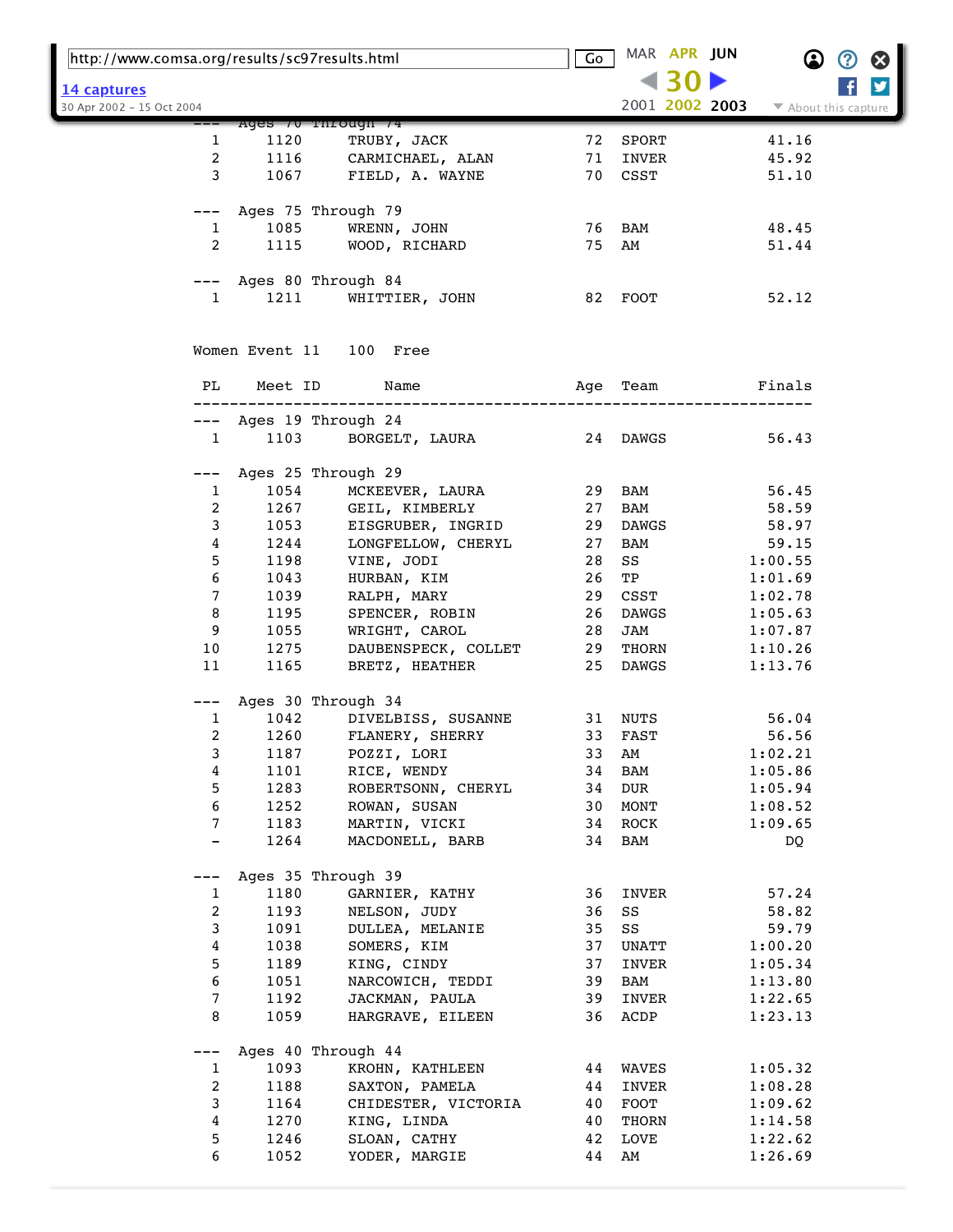| http://www.comsa.org/results/sc97results.html |                         | Go                                    |    | MAR APR JUN       | $\bf \Omega$   | $\bm{\mathcal{O}}$<br>$\boldsymbol{\Omega}$ |                      |
|-----------------------------------------------|-------------------------|---------------------------------------|----|-------------------|----------------|---------------------------------------------|----------------------|
| 14 captures                                   |                         |                                       |    |                   |                |                                             | y                    |
| 30 Apr 2002 - 15 Oct 2004                     |                         |                                       |    |                   | 2001 2002 2003 |                                             | ▼ About this capture |
|                                               | Ages / U Through /4     |                                       |    |                   |                |                                             |                      |
| 1                                             | 1120                    | TRUBY, JACK                           | 72 | SPORT             |                | 41.16                                       |                      |
| 2                                             | 1116                    | CARMICHAEL, ALAN                      | 71 | INVER             |                | 45.92                                       |                      |
| 3                                             | 1067                    | FIELD, A. WAYNE                       |    | 70 CSST           |                | 51.10                                       |                      |
| ———                                           | Ages 75 Through 79      |                                       |    |                   |                |                                             |                      |
| 1                                             | 1085                    | WRENN, JOHN                           |    | 76 BAM            |                | 48.45                                       |                      |
| 2                                             | 1115                    | WOOD, RICHARD                         | 75 | AM                |                | 51.44                                       |                      |
| $---$                                         | Ages 80 Through 84      |                                       |    |                   |                |                                             |                      |
| $\mathbf{1}$                                  | 1211                    | WHITTIER, JOHN                        |    | 82 FOOT           |                | 52.12                                       |                      |
|                                               | Women Event 11 100 Free |                                       |    |                   |                |                                             |                      |
| PL                                            | Meet ID                 | Name                                  |    | Age Team          |                | Finals                                      |                      |
| ———                                           | Ages 19 Through 24      | --------------------<br>-----------   |    |                   |                |                                             |                      |
| $\mathbf{1}$                                  | 1103                    | BORGELT, LAURA                        |    | 24 DAWGS          |                | 56.43                                       |                      |
|                                               | Ages 25 Through 29      |                                       |    |                   |                |                                             |                      |
| $\mathbf{1}$                                  | 1054                    | MCKEEVER, LAURA                       |    | 29 BAM            |                | 56.45                                       |                      |
| 2                                             | 1267                    | GEIL, KIMBERLY                        | 27 | BAM               |                | 58.59                                       |                      |
| 3                                             | 1053                    | EISGRUBER, INGRID                     | 29 | DAWGS             |                | 58.97                                       |                      |
| 4                                             | 1244                    | LONGFELLOW, CHERYL                    | 27 | BAM               |                | 59.15                                       |                      |
| 5                                             | 1198                    | VINE, JODI                            | 28 | SS                |                | 1:00.55                                     |                      |
| 6                                             | 1043                    | HURBAN, KIM                           | 26 | TP                |                | 1:01.69                                     |                      |
| 7                                             | 1039                    | RALPH, MARY                           | 29 | CSST              |                | 1:02.78                                     |                      |
| 8                                             | 1195                    | SPENCER, ROBIN                        | 26 | DAWGS             |                | 1:05.63                                     |                      |
| 9                                             | 1055                    | WRIGHT, CAROL                         | 28 | JAM               |                | 1:07.87                                     |                      |
| 10 <sub>o</sub>                               |                         |                                       |    |                   |                |                                             |                      |
| 11                                            | 1275<br>1165            | DAUBENSPECK, COLLET<br>BRETZ, HEATHER | 29 | THORN<br>25 DAWGS |                | 1:10.26<br>1:13.76                          |                      |
|                                               |                         |                                       |    |                   |                |                                             |                      |
| $---$                                         | Ages 30 Through 34      |                                       |    |                   |                |                                             |                      |
| 1                                             | 1042                    | DIVELBISS, SUSANNE                    |    | 31 NUTS           |                | 56.04                                       |                      |
| 2                                             | 1260                    | FLANERY, SHERRY                       | 33 | FAST              |                | 56.56                                       |                      |
| 3                                             | 1187                    | POZZI, LORI                           | 33 | AM                |                | 1:02.21                                     |                      |
| 4                                             | 1101                    | RICE, WENDY                           | 34 | BAM               |                | 1:05.86                                     |                      |
| 5                                             | 1283                    | ROBERTSONN, CHERYL                    | 34 | DUR               |                | 1:05.94                                     |                      |
| 6                                             | 1252                    | ROWAN, SUSAN                          | 30 | $\texttt{MONT}$   |                | 1:08.52                                     |                      |
| 7                                             | 1183                    | MARTIN, VICKI                         | 34 | <b>ROCK</b>       |                | 1:09.65                                     |                      |
|                                               | 1264                    | MACDONELL, BARB                       | 34 | BAM               |                | DQ.                                         |                      |
|                                               | Ages 35 Through 39      |                                       |    |                   |                |                                             |                      |
| 1                                             | 1180                    | GARNIER, KATHY                        | 36 | INVER             |                | 57.24                                       |                      |
| 2                                             | 1193                    | NELSON, JUDY                          | 36 | SS                |                | 58.82                                       |                      |
| 3                                             | 1091                    | DULLEA, MELANIE                       | 35 | SS                |                | 59.79                                       |                      |
| 4                                             | 1038                    | SOMERS, KIM                           | 37 | UNATT             |                | 1:00.20                                     |                      |
| 5                                             | 1189                    | KING, CINDY                           | 37 | INVER             |                | 1:05.34                                     |                      |
| 6                                             | 1051                    | NARCOWICH, TEDDI                      | 39 | BAM               |                | 1:13.80                                     |                      |
| 7                                             | 1192                    | JACKMAN, PAULA                        | 39 | INVER             |                | 1:22.65                                     |                      |
| 8                                             | 1059                    | HARGRAVE, EILEEN                      | 36 | ACDP              |                | 1:23.13                                     |                      |
|                                               | Ages 40 Through 44      |                                       |    |                   |                |                                             |                      |
| $\mathbf{1}$                                  | 1093                    | KROHN, KATHLEEN                       | 44 | WAVES             |                | 1:05.32                                     |                      |
| 2                                             | 1188                    | SAXTON, PAMELA                        | 44 | INVER             |                | 1:08.28                                     |                      |
| 3                                             | 1164                    | CHIDESTER, VICTORIA                   | 40 | FOOT              |                | 1:09.62                                     |                      |
| 4                                             | 1270                    | KING, LINDA                           | 40 | THORN             |                | 1:14.58                                     |                      |
| 5                                             | 1246                    | SLOAN, CATHY                          | 42 | LOVE              |                | 1:22.62                                     |                      |
| 6                                             | 1052                    | YODER, MARGIE                         | 44 | AM                |                | 1:26.69                                     |                      |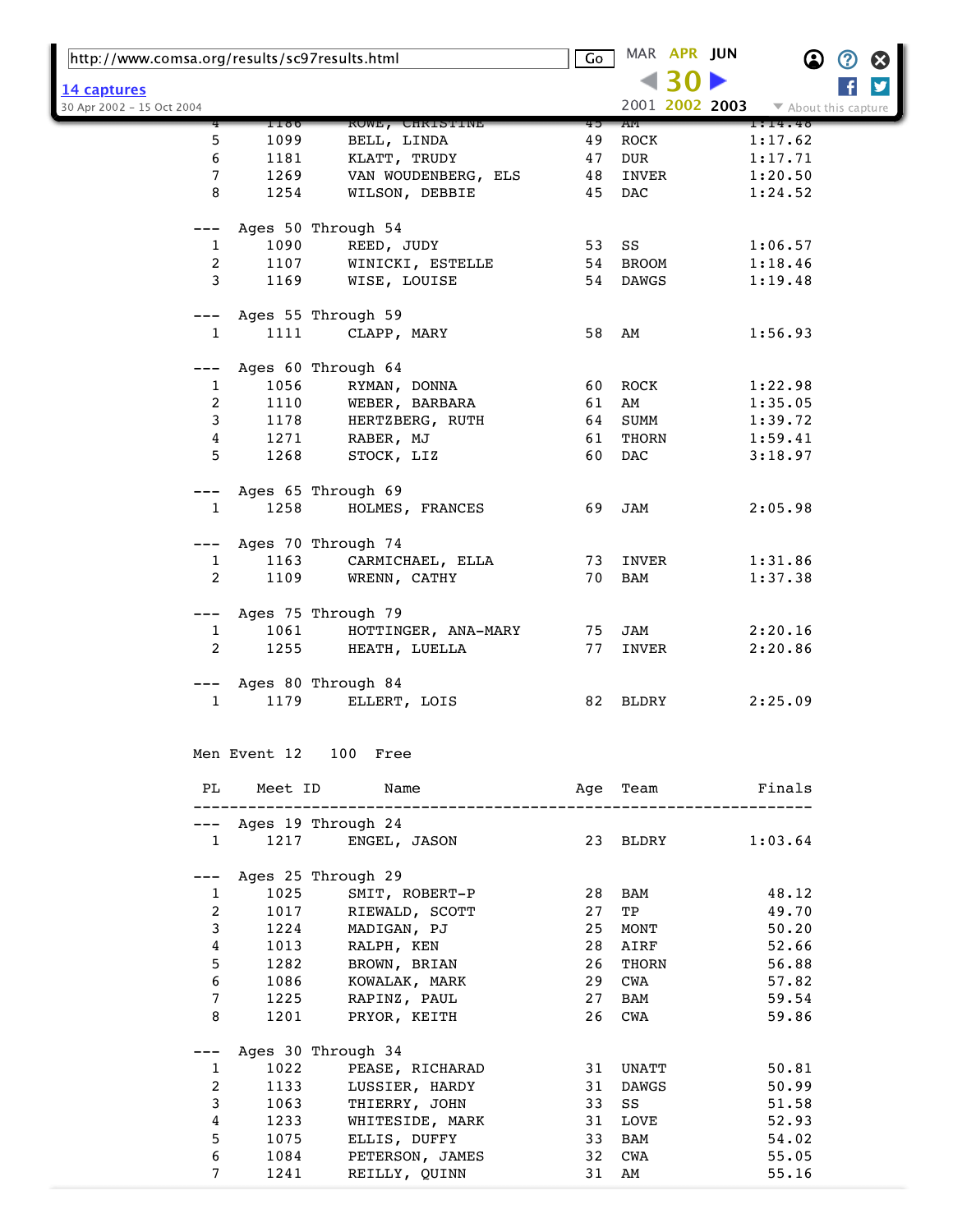| http://www.comsa.org/results/sc97results.html |      | Go                                             | MAR APR JUN |              | $\boldsymbol{\Omega}$ | Ø                    | Ø |   |
|-----------------------------------------------|------|------------------------------------------------|-------------|--------------|-----------------------|----------------------|---|---|
| 14 captures                                   |      |                                                |             |              |                       |                      |   | ý |
| 30 Apr 2002 - 15 Oct 2004                     |      |                                                |             |              | 2001 2002 2003        | ▼ About this capture |   |   |
|                                               | 1180 | <b>ROWE, CHRISTINE</b>                         | 45          | ΑМ           |                       | 1:14.48              |   |   |
| 5                                             | 1099 | BELL, LINDA                                    | 49          | ROCK         |                       | 1:17.62              |   |   |
| 6                                             | 1181 | KLATT, TRUDY                                   | 47          | DUR          |                       | 1:17.71              |   |   |
| 7                                             | 1269 | VAN WOUDENBERG, ELS                            | 48          | INVER        |                       | 1:20.50              |   |   |
| 8                                             | 1254 | WILSON, DEBBIE                                 | 45          | <b>DAC</b>   |                       | 1:24.52              |   |   |
| ---                                           |      | Ages 50 Through 54                             |             |              |                       |                      |   |   |
| 1                                             | 1090 | REED, JUDY                                     | 53          | SS           |                       | 1:06.57              |   |   |
| 2                                             | 1107 | WINICKI, ESTELLE                               | 54          | <b>BROOM</b> |                       | 1:18.46              |   |   |
| 3                                             | 1169 | WISE, LOUISE                                   | 54          | DAWGS        |                       | 1:19.48              |   |   |
| $---$                                         |      | Ages 55 Through 59                             |             |              |                       |                      |   |   |
| $\mathbf{1}$                                  | 1111 | CLAPP, MARY                                    | 58          | AM           |                       | 1:56.93              |   |   |
|                                               |      | Ages 60 Through 64                             |             |              |                       |                      |   |   |
| 1                                             | 1056 | RYMAN, DONNA                                   | 60          | ROCK         |                       | 1:22.98              |   |   |
| 2                                             | 1110 | WEBER, BARBARA                                 | 61          | AM           |                       | 1:35.05              |   |   |
| 3                                             | 1178 | HERTZBERG, RUTH                                | 64          | SUMM         |                       | 1:39.72              |   |   |
| 4                                             | 1271 | RABER, MJ                                      | 61          | THORN        |                       | 1:59.41              |   |   |
| 5                                             | 1268 | STOCK, LIZ                                     | 60          | DAC          |                       | 3:18.97              |   |   |
|                                               |      |                                                |             |              |                       |                      |   |   |
| ---                                           |      | Ages 65 Through 69                             |             |              |                       |                      |   |   |
| $\mathbf{1}$                                  | 1258 | HOLMES, FRANCES                                | 69          | JAM          |                       | 2:05.98              |   |   |
| $---$                                         |      | Ages 70 Through 74                             |             |              |                       |                      |   |   |
| 1                                             | 1163 | CARMICHAEL, ELLA                               | 73          | INVER        |                       | 1:31.86              |   |   |
| $\overline{2}$                                | 1109 | WRENN, CATHY                                   | 70          | BAM          |                       | 1:37.38              |   |   |
| $---$                                         |      | Ages 75 Through 79                             |             |              |                       |                      |   |   |
| $\mathbf{1}$                                  | 1061 | HOTTINGER, ANA-MARY                            | 75          | JAM          |                       | 2:20.16              |   |   |
| 2                                             | 1255 | HEATH, LUELLA                                  | 77          | INVER        |                       | 2:20.86              |   |   |
| $---$                                         |      | Ages 80 Through 84                             |             |              |                       |                      |   |   |
| 1                                             | 1179 | ELLERT, LOIS                                   |             | 82 BLDRY     |                       | 2:25.09              |   |   |
|                                               |      |                                                |             |              |                       |                      |   |   |
|                                               |      | Men Event 12 100 Free                          |             |              |                       |                      |   |   |
| PL                                            |      | Meet ID Name<br>Age Team <b>Finals</b>         |             |              |                       |                      |   |   |
|                                               |      | --------------------<br>--- Ages 19 Through 24 |             |              |                       |                      |   |   |
| $\mathbf{1}$                                  | 1217 | ENGEL, JASON                                   |             | 23 BLDRY     |                       | 1:03.64              |   |   |
| $---$                                         |      | Ages 25 Through 29                             |             |              |                       |                      |   |   |
| $\mathbf{1}$                                  | 1025 | SMIT, ROBERT-P                                 | 28          | BAM          |                       | 48.12                |   |   |
| $\overline{a}$                                | 1017 | RIEWALD, SCOTT                                 | 27          | TP           |                       | 49.70                |   |   |
| 3                                             | 1224 | MADIGAN, PJ                                    | 25          | MONT         |                       | 50.20                |   |   |
| 4                                             | 1013 | RALPH, KEN                                     | 28          | AIRF         |                       | 52.66                |   |   |
| 5                                             | 1282 | BROWN, BRIAN                                   | 26          | THORN        |                       | 56.88                |   |   |
| 6                                             | 1086 | KOWALAK, MARK                                  | 29          | CWA          |                       | 57.82                |   |   |
| 7                                             | 1225 | RAPINZ, PAUL                                   | 27          | BAM          |                       | 59.54                |   |   |
| 8                                             | 1201 | PRYOR, KEITH                                   | 26          | CWA          |                       | 59.86                |   |   |
|                                               |      |                                                |             |              |                       |                      |   |   |
| ---                                           |      | Ages 30 Through 34                             |             |              |                       |                      |   |   |
| 1                                             | 1022 | PEASE, RICHARAD                                |             | 31 UNATT     |                       | 50.81                |   |   |
| 2                                             | 1133 | LUSSIER, HARDY                                 | 31          | DAWGS        |                       | 50.99                |   |   |
| 3                                             | 1063 | THIERRY, JOHN                                  | 33          | SS           |                       | 51.58                |   |   |
| 4                                             | 1233 | WHITESIDE, MARK                                | 31          | LOVE         |                       | 52.93                |   |   |
| 5                                             | 1075 | ELLIS, DUFFY                                   | 33          | BAM          |                       | 54.02                |   |   |
| 6                                             | 1084 | PETERSON, JAMES                                | 32          | CWA          |                       | 55.05                |   |   |
| 7                                             | 1241 | REILLY, QUINN                                  | 31          | AM           |                       | 55.16                |   |   |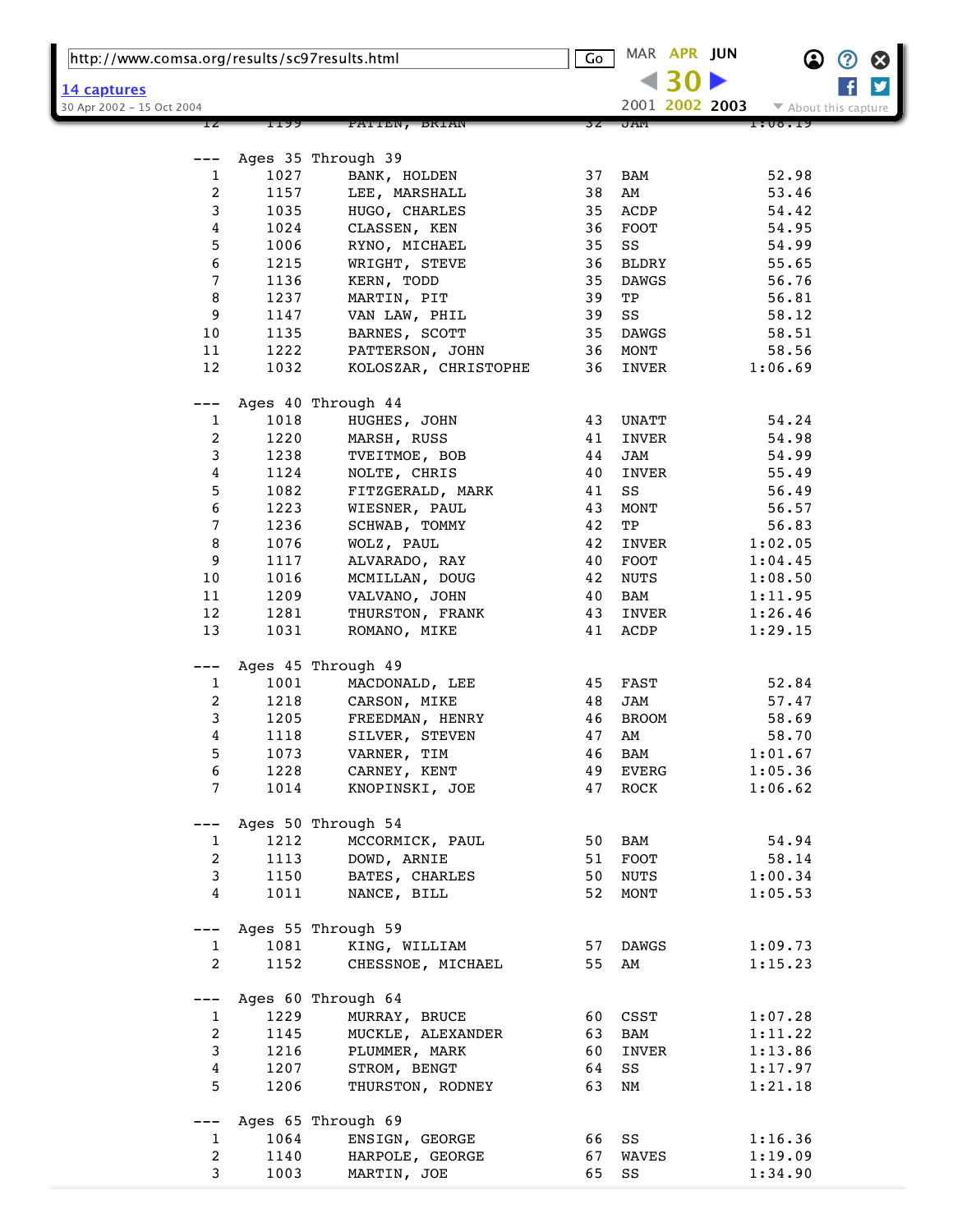| http://www.comsa.org/results/sc97results.html |              | $\overline{\mathsf{Go}}$          |          | MAR APR JUN          |  | ጪ              | ②                    | ⊗ |   |  |
|-----------------------------------------------|--------------|-----------------------------------|----------|----------------------|--|----------------|----------------------|---|---|--|
| <u> 14 captures</u>                           |              |                                   |          |                      |  |                |                      |   | y |  |
| 30 Apr 2002 - 15 Oct 2004                     |              |                                   |          |                      |  | 2001 2002 2003 | ▼ About this capture |   |   |  |
|                                               | 1199         | PATTEN, BRIAN                     | 3 Z      | J AM                 |  |                | 1:08.19              |   |   |  |
|                                               |              |                                   |          |                      |  |                |                      |   |   |  |
|                                               |              | Ages 35 Through 39                |          |                      |  |                |                      |   |   |  |
| 1                                             | 1027         | BANK, HOLDEN                      | 37       | BAM                  |  |                | 52.98                |   |   |  |
| $\overline{\mathbf{c}}$                       | 1157         | LEE, MARSHALL                     | 38       | AM                   |  |                | 53.46                |   |   |  |
| 3                                             | 1035         | HUGO, CHARLES                     | 35       | ACDP                 |  |                | 54.42                |   |   |  |
| 4<br>5                                        | 1024<br>1006 | CLASSEN, KEN                      | 36<br>35 | FOOT<br>SS           |  |                | 54.95<br>54.99       |   |   |  |
| 6                                             | 1215         | RYNO, MICHAEL<br>WRIGHT, STEVE    | 36       | <b>BLDRY</b>         |  |                | 55.65                |   |   |  |
| 7                                             | 1136         | KERN, TODD                        | 35       | <b>DAWGS</b>         |  |                | 56.76                |   |   |  |
| 8                                             | 1237         | MARTIN, PIT                       | 39       | TP                   |  |                | 56.81                |   |   |  |
| 9                                             | 1147         | VAN LAW, PHIL                     | 39       | SS                   |  |                | 58.12                |   |   |  |
| 10                                            | 1135         | BARNES, SCOTT                     | 35       | <b>DAWGS</b>         |  |                | 58.51                |   |   |  |
| 11                                            | 1222         | PATTERSON, JOHN                   | 36       | MONT                 |  |                | 58.56                |   |   |  |
| 12                                            | 1032         | KOLOSZAR, CHRISTOPHE              | 36       | INVER                |  |                | 1:06.69              |   |   |  |
|                                               |              |                                   |          |                      |  |                |                      |   |   |  |
|                                               |              | Ages 40 Through 44                |          |                      |  |                |                      |   |   |  |
| 1                                             | 1018         | HUGHES, JOHN                      | 43       | UNATT                |  |                | 54.24                |   |   |  |
| 2                                             | 1220         | MARSH, RUSS                       | 41       | INVER                |  |                | 54.98                |   |   |  |
| 3                                             | 1238         | TVEITMOE, BOB                     | 44       | <b>JAM</b>           |  |                | 54.99                |   |   |  |
| 4                                             | 1124         | NOLTE, CHRIS                      | 40       | INVER                |  |                | 55.49                |   |   |  |
| 5<br>6                                        | 1082<br>1223 | FITZGERALD, MARK<br>WIESNER, PAUL | 41<br>43 | SS<br>MONT           |  |                | 56.49<br>56.57       |   |   |  |
| 7                                             | 1236         | SCHWAB, TOMMY                     | 42       | TP                   |  |                | 56.83                |   |   |  |
| 8                                             | 1076         | WOLZ, PAUL                        | 42       | INVER                |  |                | 1:02.05              |   |   |  |
| 9                                             | 1117         | ALVARADO, RAY                     | 40       | FOOT                 |  |                | 1:04.45              |   |   |  |
| 10                                            | 1016         | MCMILLAN, DOUG                    | 42       | <b>NUTS</b>          |  |                | 1:08.50              |   |   |  |
| 11                                            | 1209         | VALVANO, JOHN                     | 40       | BAM                  |  |                | 1:11.95              |   |   |  |
| 12                                            | 1281         | THURSTON, FRANK                   | 43       | INVER                |  |                | 1:26.46              |   |   |  |
| 13                                            | 1031         | ROMANO, MIKE                      | 41       | ACDP                 |  |                | 1:29.15              |   |   |  |
|                                               |              |                                   |          |                      |  |                |                      |   |   |  |
| ---                                           |              | Ages 45 Through 49                |          |                      |  |                |                      |   |   |  |
| $\mathbf{1}$                                  | 1001         | MACDONALD, LEE                    | 45       | FAST                 |  |                | 52.84                |   |   |  |
| 2                                             | 1218         | CARSON, MIKE                      | 48       | JAM                  |  |                | 57.47                |   |   |  |
| 3                                             | 1205         | FREEDMAN, HENRY                   | 46       | <b>BROOM</b>         |  |                | 58.69                |   |   |  |
| 4                                             | 1118         | SILVER, STEVEN                    | 47       | AM                   |  |                | 58.70                |   |   |  |
| 5                                             | 1073         | VARNER, TIM                       | 46       | BAM                  |  |                | 1:01.67              |   |   |  |
| 6<br>7                                        | 1228<br>1014 | CARNEY, KENT<br>KNOPINSKI, JOE    | 49<br>47 | <b>EVERG</b><br>ROCK |  |                | 1:05.36<br>1:06.62   |   |   |  |
|                                               |              |                                   |          |                      |  |                |                      |   |   |  |
|                                               |              | Ages 50 Through 54                |          |                      |  |                |                      |   |   |  |
| $\mathbf{1}$                                  | 1212         | MCCORMICK, PAUL                   | 50       | BAM                  |  |                | 54.94                |   |   |  |
| $\overline{c}$                                | 1113         | DOWD, ARNIE                       | 51       | FOOT                 |  |                | 58.14                |   |   |  |
| $\mathsf{3}$                                  | 1150         | BATES, CHARLES                    | 50       | NUTS                 |  |                | 1:00.34              |   |   |  |
| $\overline{4}$                                | 1011         | NANCE, BILL                       | 52       | MONT                 |  |                | 1:05.53              |   |   |  |
|                                               |              | Ages 55 Through 59                |          |                      |  |                |                      |   |   |  |
| ---<br>$\mathbf{1}$                           | 1081         | KING, WILLIAM                     | 57       | DAWGS                |  |                | 1:09.73              |   |   |  |
| $\overline{a}$                                | 1152         | CHESSNOE, MICHAEL                 | 55       | AM                   |  |                | 1:15.23              |   |   |  |
|                                               |              |                                   |          |                      |  |                |                      |   |   |  |
| $---$                                         |              | Ages 60 Through 64                |          |                      |  |                |                      |   |   |  |
| $\mathbf{1}$                                  | 1229         | MURRAY, BRUCE                     | 60       | CSST                 |  |                | 1:07.28              |   |   |  |
| $\overline{2}$                                | 1145         | MUCKLE, ALEXANDER                 | 63       | BAM                  |  |                | 1:11.22              |   |   |  |
| 3                                             | 1216         | PLUMMER, MARK                     | 60       | INVER                |  |                | 1:13.86              |   |   |  |
| 4                                             | 1207         | STROM, BENGT                      | 64       | SS                   |  |                | 1:17.97              |   |   |  |
| 5                                             | 1206         | THURSTON, RODNEY                  | 63       | NΜ                   |  |                | 1:21.18              |   |   |  |
|                                               |              | Ages 65 Through 69                |          |                      |  |                |                      |   |   |  |
| $\mathbf{1}$                                  | 1064         | ENSIGN, GEORGE                    | 66       | SS                   |  |                | 1:16.36              |   |   |  |
| $\boldsymbol{2}$                              | 1140         | HARPOLE, GEORGE                   | 67       | WAVES                |  |                | 1:19.09              |   |   |  |
| 3                                             | 1003         | MARTIN, JOE                       | 65       | SS                   |  |                | 1:34.90              |   |   |  |
|                                               |              |                                   |          |                      |  |                |                      |   |   |  |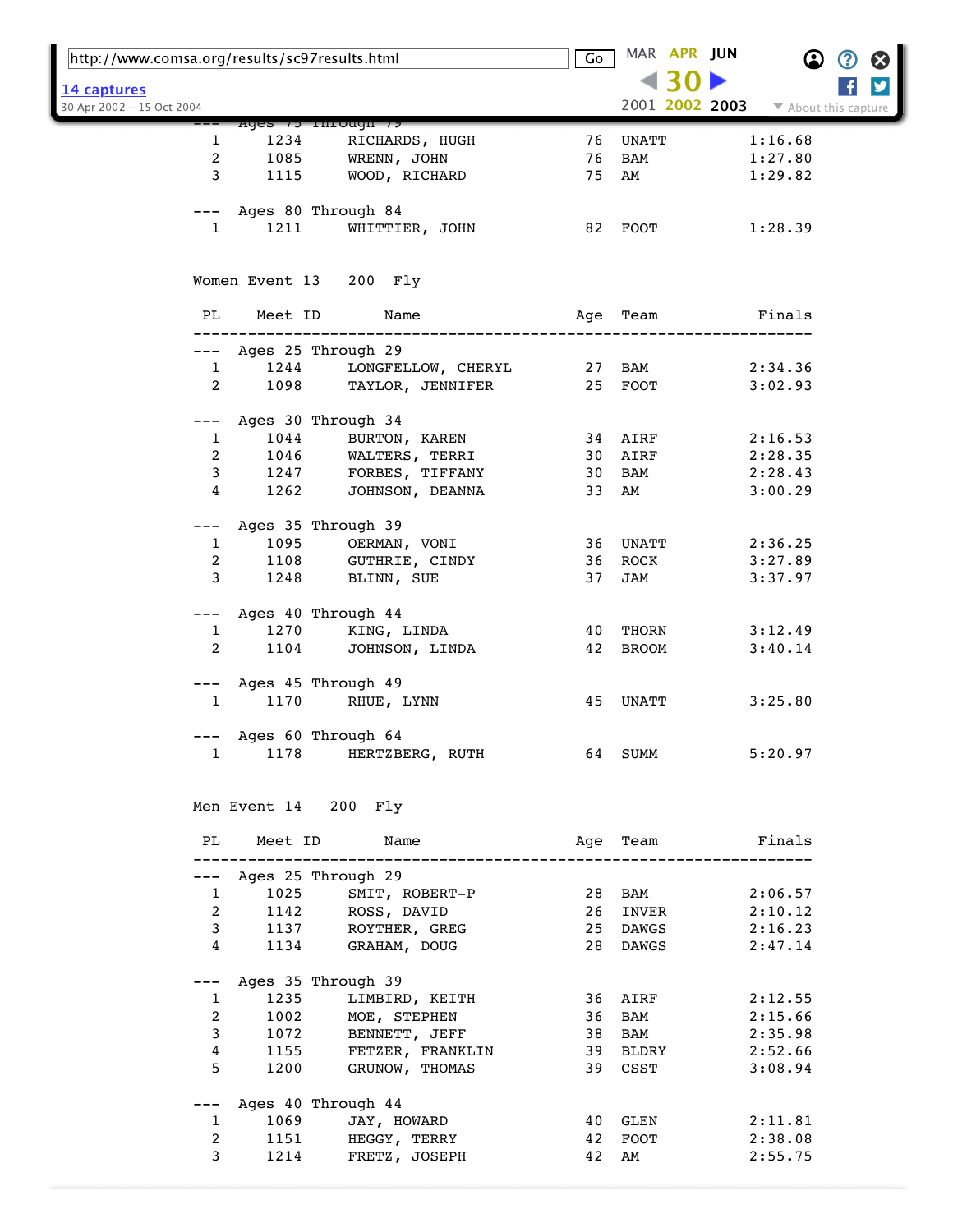|                           | http://www.comsa.org/results/sc97results.html |                                                                    | Go                     |              | MAR APR JUN     | $\bf \Omega$         | Ø<br>Ø |  |
|---------------------------|-----------------------------------------------|--------------------------------------------------------------------|------------------------|--------------|-----------------|----------------------|--------|--|
| 14 captures               |                                               |                                                                    |                        |              |                 |                      | ý      |  |
| 30 Apr 2002 - 15 Oct 2004 |                                               |                                                                    |                        |              | 2001 2002 2003  | ▼ About this capture |        |  |
|                           |                                               | Ages 75 rnrougn 79                                                 |                        |              |                 |                      |        |  |
| 1                         | 1234                                          | RICHARDS, HUGH                                                     | 76                     | <b>UNATT</b> |                 | 1:16.68              |        |  |
| $\overline{a}$            | 1085                                          | WRENN, JOHN                                                        | 76                     | BAM          |                 | 1:27.80              |        |  |
| 3                         | 1115                                          | WOOD, RICHARD                                                      | 75                     | AM           |                 | 1:29.82              |        |  |
|                           |                                               |                                                                    |                        |              |                 |                      |        |  |
|                           |                                               | --- Ages 80 Through 84                                             |                        |              |                 |                      |        |  |
| $\mathbf{1}$              | 1211                                          | WHITTIER, JOHN                                                     |                        | 82 FOOT      |                 | 1:28.39              |        |  |
|                           |                                               | Women Event 13 200 Fly                                             |                        |              |                 |                      |        |  |
| PL                        | Meet ID                                       | Name                                                               | Age                    | Team         |                 | Finals               |        |  |
|                           |                                               |                                                                    |                        |              |                 |                      |        |  |
| ———                       |                                               | Ages 25 Through 29                                                 |                        |              |                 |                      |        |  |
| $\mathbf{1}$              | 1244                                          | LONGFELLOW, CHERYL                                                 |                        | 27 BAM       |                 | 2:34.36              |        |  |
| $\overline{2}$            | 1098                                          | TAYLOR, JENNIFER                                                   |                        | 25 FOOT      |                 | 3:02.93              |        |  |
|                           |                                               | Ages 30 Through 34                                                 |                        |              |                 |                      |        |  |
| 1                         | 1044                                          | BURTON, KAREN                                                      |                        | 34 AIRF      |                 | 2:16.53              |        |  |
| 2                         | 1046                                          | WALTERS, TERRI                                                     |                        | 30 AIRF      |                 | 2:28.35              |        |  |
| 3                         | 1247                                          | FORBES, TIFFANY                                                    |                        | 30 BAM       |                 | 2:28.43              |        |  |
| 4                         | 1262                                          | JOHNSON, DEANNA                                                    | 33                     | AM           |                 | 3:00.29              |        |  |
| ---                       |                                               | Ages 35 Through 39                                                 |                        |              |                 |                      |        |  |
| 1                         | 1095                                          | OERMAN, VONI                                                       | 36                     | UNATT        |                 | 2:36.25              |        |  |
| 2                         | 1108                                          | GUTHRIE, CINDY                                                     | 36                     | ROCK         |                 | 3:27.89              |        |  |
| 3                         | 1248                                          | BLINN, SUE                                                         | 37                     | JAM          |                 | 3:37.97              |        |  |
|                           |                                               |                                                                    |                        |              |                 |                      |        |  |
| $---$                     |                                               | Ages 40 Through 44                                                 |                        |              |                 |                      |        |  |
| $\mathbf{1}$              | 1270                                          | KING, LINDA                                                        | 40                     | THORN        |                 | 3:12.49              |        |  |
| $\overline{2}$            | 1104                                          | JOHNSON, LINDA                                                     | 42                     | BROOM        |                 | 3:40.14              |        |  |
| $---$                     |                                               | Ages 45 Through 49                                                 |                        |              |                 |                      |        |  |
| $\mathbf{1}$              | 1170                                          | RHUE, LYNN                                                         | 45                     | UNATT        |                 | 3:25.80              |        |  |
|                           |                                               |                                                                    |                        |              |                 |                      |        |  |
|                           |                                               | Ages 60 Through 64                                                 |                        |              |                 |                      |        |  |
|                           |                                               | 1 1178 HERTZBERG, RUTH                                             |                        |              | 64 SUMM 5:20.97 |                      |        |  |
|                           |                                               |                                                                    |                        |              |                 |                      |        |  |
|                           |                                               | Men Event 14 200 Fly                                               |                        |              |                 |                      |        |  |
| PL                        |                                               | Meet ID Name                                                       | Age Team <b>Finals</b> |              |                 |                      |        |  |
|                           |                                               | --- Ages 25 Through 29                                             |                        |              |                 |                      |        |  |
|                           | $\mathbf{1}$                                  | 1025 SMIT, ROBERT-P                                                |                        | 28 BAM       |                 | 2:06.57              |        |  |
| $\overline{a}$            |                                               |                                                                    |                        | 26 INVER     |                 |                      |        |  |
| 3                         |                                               | 1142 ROSS, DAVID<br>1137 ROYTHER, GREG                             |                        | 25 DAWGS     |                 | 2:10.12<br>2:16.23   |        |  |
| 4                         |                                               | 1134 GRAHAM, DOUG                                                  |                        | 28 DAWGS     |                 | 2:47.14              |        |  |
|                           |                                               |                                                                    |                        |              |                 |                      |        |  |
| $---$                     |                                               | Ages 35 Through 39                                                 |                        |              |                 |                      |        |  |
| 1<br>2                    | 1235                                          | LIMBIRD, KEITH                                                     | 36                     | <b>BAM</b>   | 36 AIRF 2:12.55 | 2:15.66              |        |  |
| $\mathsf 3$               |                                               | 1002 MOE, STEPHEN                                                  | 38                     | BAM          |                 | 2:35.98              |        |  |
| 4                         |                                               |                                                                    |                        | 39 BLDRY     |                 | 2:52.66              |        |  |
| 5                         |                                               | 1072 BENNETT, JEFF<br>1155 FETZER, FRANKLIN<br>1200 GRUNOW, THOMAS |                        | 39 CSST      |                 | 3:08.94              |        |  |
|                           |                                               |                                                                    |                        |              |                 |                      |        |  |
| ---                       |                                               | Ages 40 Through 44                                                 |                        |              |                 |                      |        |  |
| $\mathbf{1}$              |                                               | 1069 JAY, HOWARD                                                   |                        | 40 GLEN      |                 | 2:11.81              |        |  |
| 2                         |                                               | 1151 HEGGY, TERRY                                                  | 42                     | FOOT         |                 | 2:38.08              |        |  |
| 3                         |                                               | 1214 FRETZ, JOSEPH                                                 | 42                     | AM           |                 | 2:55.75              |        |  |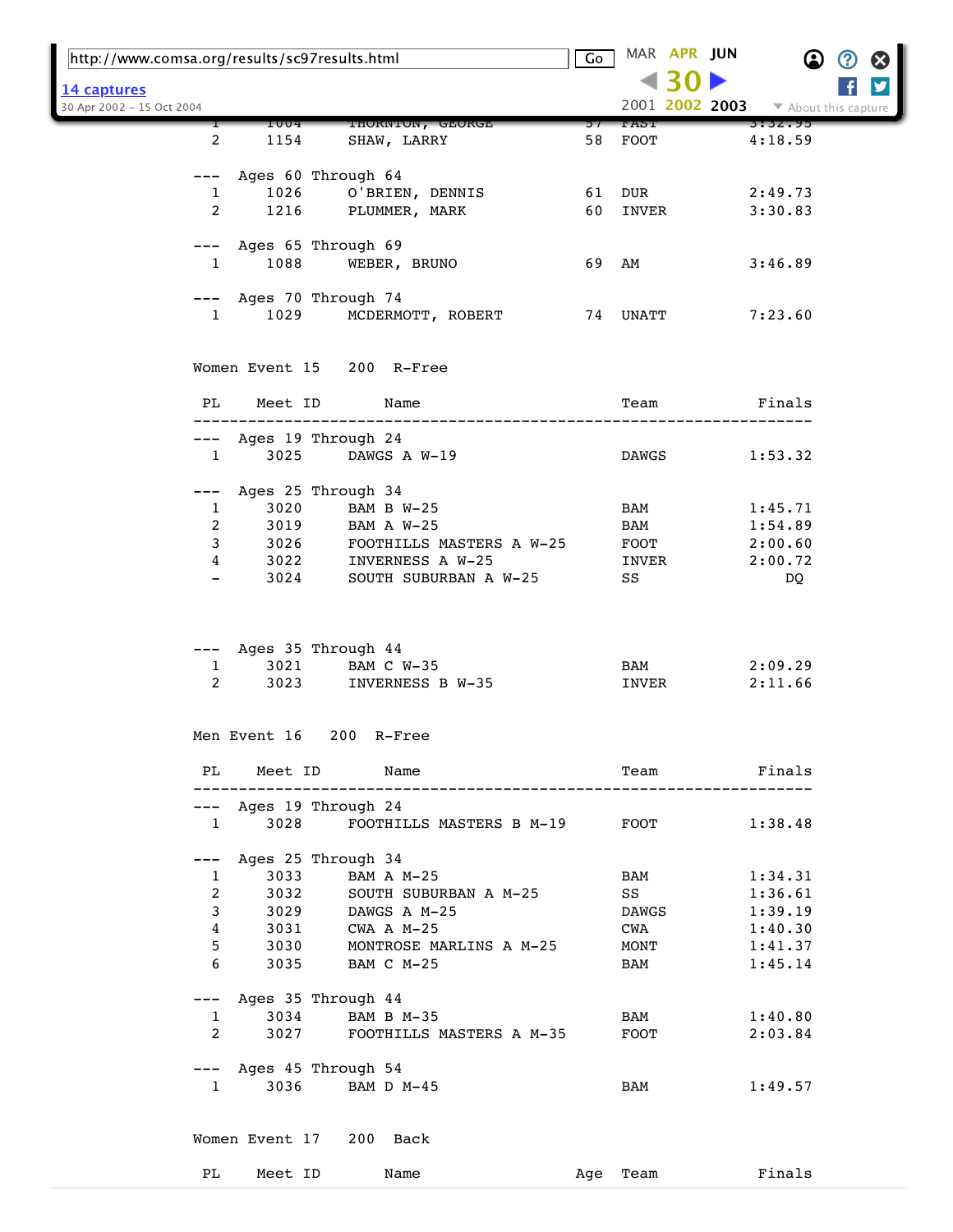| http://www.comsa.org/results/sc97results.html |                                                                          |                          | Go    | MAR APR JUN  |       | $\bf \Omega$       | ② | $\boldsymbol{\Omega}$ |
|-----------------------------------------------|--------------------------------------------------------------------------|--------------------------|-------|--------------|-------|--------------------|---|-----------------------|
| 14 captures<br>30 Apr 2002 - 15 Oct 2004      |                                                                          |                          |       |              | <1 30 |                    |   | y                     |
|                                               | THORNTON, GEORGE<br>1004                                                 |                          | ר כ   | TAST.        |       | 3:32.95            |   |                       |
| $\overline{2}$                                | 1154<br>SHAW, LARRY                                                      |                          | 58    | FOOT         |       | 4:18.59            |   |                       |
| ———                                           | Ages 60 Through 64                                                       |                          |       |              |       |                    |   |                       |
| $\mathbf{1}$                                  | 1026 O'BRIEN, DENNIS                                                     |                          | 61    | DUR          |       | 2:49.73            |   |                       |
| $\overline{2}$                                | 1216<br>PLUMMER, MARK                                                    |                          | 60    | INVER        |       | 3:30.83            |   |                       |
|                                               |                                                                          |                          |       |              |       |                    |   |                       |
|                                               | --- Ages 65 Through 69                                                   |                          |       |              |       |                    |   |                       |
| $1 \quad \blacksquare$                        | 1088<br>WEBER, BRUNO                                                     |                          | 69 AM |              |       | 3:46.89            |   |                       |
|                                               |                                                                          |                          |       |              |       |                    |   |                       |
| $1 \quad \cdots$                              | --- Ages 70 Through 74<br>1029<br>MCDERMOTT, ROBERT                      |                          |       | 74 UNATT     |       | 7:23.60            |   |                       |
|                                               |                                                                          |                          |       |              |       |                    |   |                       |
|                                               | Women Event 15 200 R-Free                                                |                          |       |              |       |                    |   |                       |
| PL<br>Meet ID                                 | Name                                                                     |                          |       | Team         |       | Finals             |   |                       |
|                                               |                                                                          |                          |       |              |       |                    |   |                       |
|                                               | --- Ages 19 Through 24                                                   |                          |       |              |       |                    |   |                       |
| $\mathbf{1}$                                  | 3025<br>DAWGS A W-19                                                     |                          |       | DAWGS        |       | 1:53.32            |   |                       |
| ———                                           | Ages 25 Through 34                                                       |                          |       |              |       |                    |   |                       |
| $\mathbf{1}$                                  | 3020<br>BAM B W-25                                                       |                          |       | BAM          |       | 1:45.71            |   |                       |
| $\overline{2}$                                | 3019 BAM A W-25                                                          |                          |       | BAM          |       | 1:54.89            |   |                       |
| 3                                             | 3026 FOOTHILLS MASTERS A W-25                                            |                          |       | FOOT         |       | 2:00.60            |   |                       |
| 4                                             | 3022 INVERNESS A W-25                                                    |                          |       | INVER        |       | 2:00.72            |   |                       |
| $\qquad \qquad -$                             | 3024                                                                     | SOUTH SUBURBAN A W-25    |       | SS           |       | DQ                 |   |                       |
| $\mathbf{1}$<br>$\overline{2}$                | --- Ages 35 Through 44<br>3021<br>BAM C W-35<br>3023<br>INVERNESS B W-35 |                          |       | BAM<br>INVER |       | 2:09.29<br>2:11.66 |   |                       |
| Men Event 16                                  | 200 R-Free                                                               |                          |       |              |       |                    |   |                       |
| PL                                            | Meet ID<br>Name                                                          |                          |       | Team         |       | Finals             |   |                       |
|                                               | --- Ages 19 Through 24                                                   |                          |       |              |       |                    |   |                       |
| $\mathbf{1}$                                  | 3028                                                                     | FOOTHILLS MASTERS B M-19 |       | FOOT         |       | 1:38.48            |   |                       |
|                                               |                                                                          |                          |       |              |       |                    |   |                       |
| $---$                                         | Ages 25 Through 34<br>3033<br>BAM A M-25                                 |                          |       | BAM          |       | 1:34.31            |   |                       |
| 1<br>$\overline{a}$                           | 3032                                                                     | SOUTH SUBURBAN A M-25    |       | SS           |       | 1:36.61            |   |                       |
| 3                                             | 3029<br>DAWGS A M-25                                                     |                          |       | <b>DAWGS</b> |       | 1:39.19            |   |                       |
| 4                                             | 3031<br>CWA A M-25                                                       |                          |       | CWA          |       | 1:40.30            |   |                       |
| 5                                             | 3030                                                                     | MONTROSE MARLINS A M-25  |       | MONT         |       | 1:41.37            |   |                       |
| 6                                             | 3035<br>BAM C M-25                                                       |                          |       | BAM          |       | 1:45.14            |   |                       |
|                                               |                                                                          |                          |       |              |       |                    |   |                       |
| ———                                           | Ages 35 Through 44                                                       |                          |       |              |       |                    |   |                       |
| $\mathbf{1}$                                  | 3034<br>BAM B M-35                                                       |                          |       | BAM          |       | 1:40.80            |   |                       |
| $\overline{2}$                                | 3027                                                                     | FOOTHILLS MASTERS A M-35 |       | FOOT         |       | 2:03.84            |   |                       |
|                                               | --- Ages 45 Through 54                                                   |                          |       |              |       |                    |   |                       |
| $\mathbf{1}$                                  | 3036<br>BAM D M-45                                                       |                          |       | BAM          |       | 1:49.57            |   |                       |
|                                               | Women Event 17 200 Back                                                  |                          |       |              |       |                    |   |                       |
| PL                                            | Meet ID<br>Name                                                          |                          | Age   | Team         |       | Finals             |   |                       |
|                                               |                                                                          |                          |       |              |       |                    |   |                       |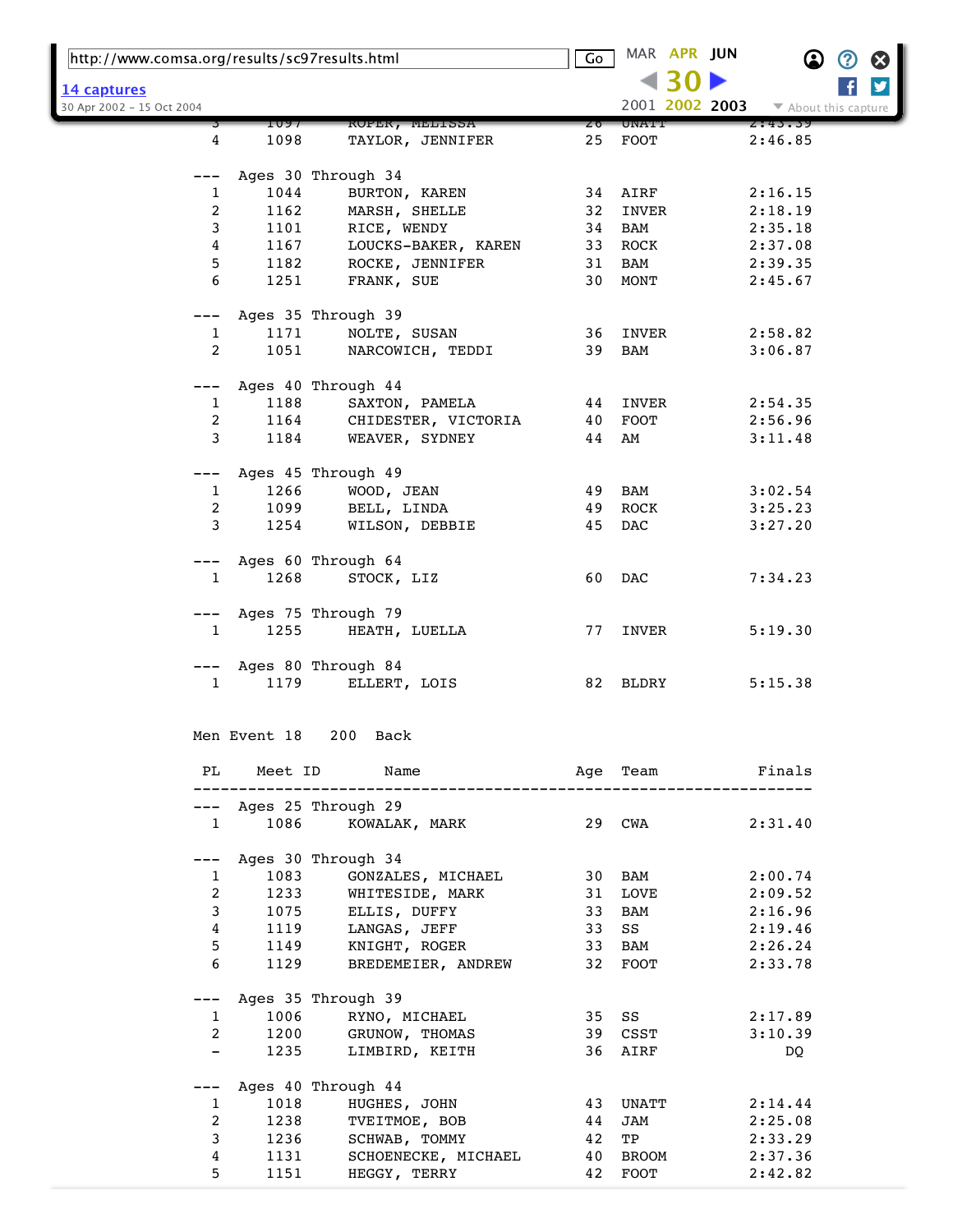| http://www.comsa.org/results/sc97results.html |              |                                    | Go |             | MAR APR JUN |                | $\bf \Omega$         | ② | ⊗ |  |
|-----------------------------------------------|--------------|------------------------------------|----|-------------|-------------|----------------|----------------------|---|---|--|
| 14 captures                                   |              |                                    |    |             |             |                |                      |   | y |  |
| 30 Apr 2002 - 15 Oct 2004                     |              |                                    |    |             |             | 2001 2002 2003 | ▼ About this capture |   |   |  |
|                                               | 1097         | <b>KOPER, MELLSSA</b>              | ZΘ | UNATI       |             |                | 2:43.39              |   |   |  |
| 4                                             | 1098         | TAYLOR, JENNIFER                   | 25 | <b>FOOT</b> |             |                | 2:46.85              |   |   |  |
|                                               |              | Ages 30 Through 34                 |    |             |             |                |                      |   |   |  |
| 1                                             | 1044         | BURTON, KAREN                      |    | 34 AIRF     |             |                | 2:16.15              |   |   |  |
| 2                                             | 1162         | MARSH, SHELLE                      | 32 | INVER       |             |                | 2:18.19              |   |   |  |
| 3                                             | 1101         | RICE, WENDY                        | 34 | BAM         |             |                | 2:35.18              |   |   |  |
| 4                                             | 1167         | LOUCKS-BAKER, KAREN                | 33 | ROCK        |             |                | 2:37.08              |   |   |  |
| 5                                             | 1182         | ROCKE, JENNIFER                    | 31 | BAM         |             |                | 2:39.35              |   |   |  |
| 6                                             | 1251         | FRANK, SUE                         | 30 | MONT        |             |                | 2:45.67              |   |   |  |
| ---                                           |              | Ages 35 Through 39                 |    |             |             |                |                      |   |   |  |
| $\mathbf{1}$                                  | 1171         | NOLTE, SUSAN                       | 36 | INVER       |             |                | 2:58.82              |   |   |  |
| 2                                             | 1051         | NARCOWICH, TEDDI                   | 39 | BAM         |             |                | 3:06.87              |   |   |  |
| $---$                                         |              | Ages 40 Through 44                 |    |             |             |                |                      |   |   |  |
| 1                                             | 1188         | SAXTON, PAMELA                     | 44 | INVER       |             |                | 2:54.35              |   |   |  |
| 2                                             | 1164         | CHIDESTER, VICTORIA                | 40 | <b>FOOT</b> |             |                | 2:56.96              |   |   |  |
| 3                                             | 1184         | WEAVER, SYDNEY                     | 44 | AM          |             |                | 3:11.48              |   |   |  |
|                                               |              |                                    |    |             |             |                |                      |   |   |  |
|                                               |              | Ages 45 Through 49                 |    |             |             |                |                      |   |   |  |
| 1                                             | 1266         | WOOD, JEAN                         | 49 | BAM         |             |                | 3:02.54              |   |   |  |
| 2                                             | 1099         | BELL, LINDA                        | 49 | ROCK        |             |                | 3:25.23              |   |   |  |
| 3                                             | 1254         | WILSON, DEBBIE                     | 45 | DAC         |             |                | 3:27.20              |   |   |  |
| ---                                           |              | Ages 60 Through 64                 |    |             |             |                |                      |   |   |  |
| 1                                             | 1268         | STOCK, LIZ                         | 60 | DAC         |             |                | 7:34.23              |   |   |  |
| ---                                           |              | Ages 75 Through 79                 |    |             |             |                |                      |   |   |  |
| $\mathbf{1}$                                  | 1255         | HEATH, LUELLA                      | 77 | INVER       |             |                | 5:19.30              |   |   |  |
|                                               |              |                                    |    |             |             |                |                      |   |   |  |
| ---<br>1                                      | 1179         | Ages 80 Through 84<br>ELLERT, LOIS | 82 | BLDRY       |             |                | 5:15.38              |   |   |  |
|                                               |              |                                    |    |             |             |                |                      |   |   |  |
|                                               | Men Event 18 | 200<br>Back                        |    |             |             |                |                      |   |   |  |
|                                               |              |                                    |    |             |             |                |                      |   |   |  |
| PL                                            | Meet ID      | Name                               |    | Age Team    |             |                | Finals               |   |   |  |
| $---$                                         |              | Ages 25 Through 29                 |    |             |             |                |                      |   |   |  |
| $\mathbf{1}$                                  | 1086         | KOWALAK, MARK                      |    | 29 CWA      |             |                | 2:31.40              |   |   |  |
| $---$                                         |              | Ages 30 Through 34                 |    |             |             |                |                      |   |   |  |
| 1                                             | 1083         | GONZALES, MICHAEL                  |    | 30 BAM      |             |                | 2:00.74              |   |   |  |
| $\overline{2}$                                | 1233         | WHITESIDE, MARK                    | 31 | LOVE        |             |                | 2:09.52              |   |   |  |
| 3                                             | 1075         | ELLIS, DUFFY                       | 33 | BAM         |             |                | 2:16.96              |   |   |  |
| 4                                             | 1119         | LANGAS, JEFF                       | 33 | SS          |             |                | 2:19.46              |   |   |  |
| 5                                             | 1149         | KNIGHT, ROGER                      | 33 | BAM         |             |                | 2:26.24              |   |   |  |
| 6                                             | 1129         | BREDEMEIER, ANDREW                 | 32 | FOOT        |             |                | 2:33.78              |   |   |  |
| ---                                           |              | Ages 35 Through 39                 |    |             |             |                |                      |   |   |  |
| $\mathbf{1}$                                  | 1006         | RYNO, MICHAEL                      | 35 | SS          |             |                | 2:17.89              |   |   |  |
| $\overline{2}$                                | 1200         | GRUNOW, THOMAS                     |    | 39 CSST     |             |                | 3:10.39              |   |   |  |
| $\qquad \qquad -$                             | 1235         | LIMBIRD, KEITH                     |    | 36 AIRF     |             |                | DQ.                  |   |   |  |
| ---                                           |              | Ages 40 Through 44                 |    |             |             |                |                      |   |   |  |
| $\mathbf{1}$                                  | 1018         | HUGHES, JOHN                       | 43 | UNATT       |             |                | 2:14.44              |   |   |  |
| 2                                             | 1238         | TVEITMOE, BOB                      | 44 | JAM         |             |                | 2:25.08              |   |   |  |
| 3                                             | 1236         | SCHWAB, TOMMY                      | 42 | TP          |             |                | 2:33.29              |   |   |  |
| 4                                             | 1131         | SCHOENECKE, MICHAEL                | 40 | BROOM       |             |                | 2:37.36              |   |   |  |
| 5                                             | 1151         | HEGGY, TERRY                       | 42 | FOOT        |             |                | 2:42.82              |   |   |  |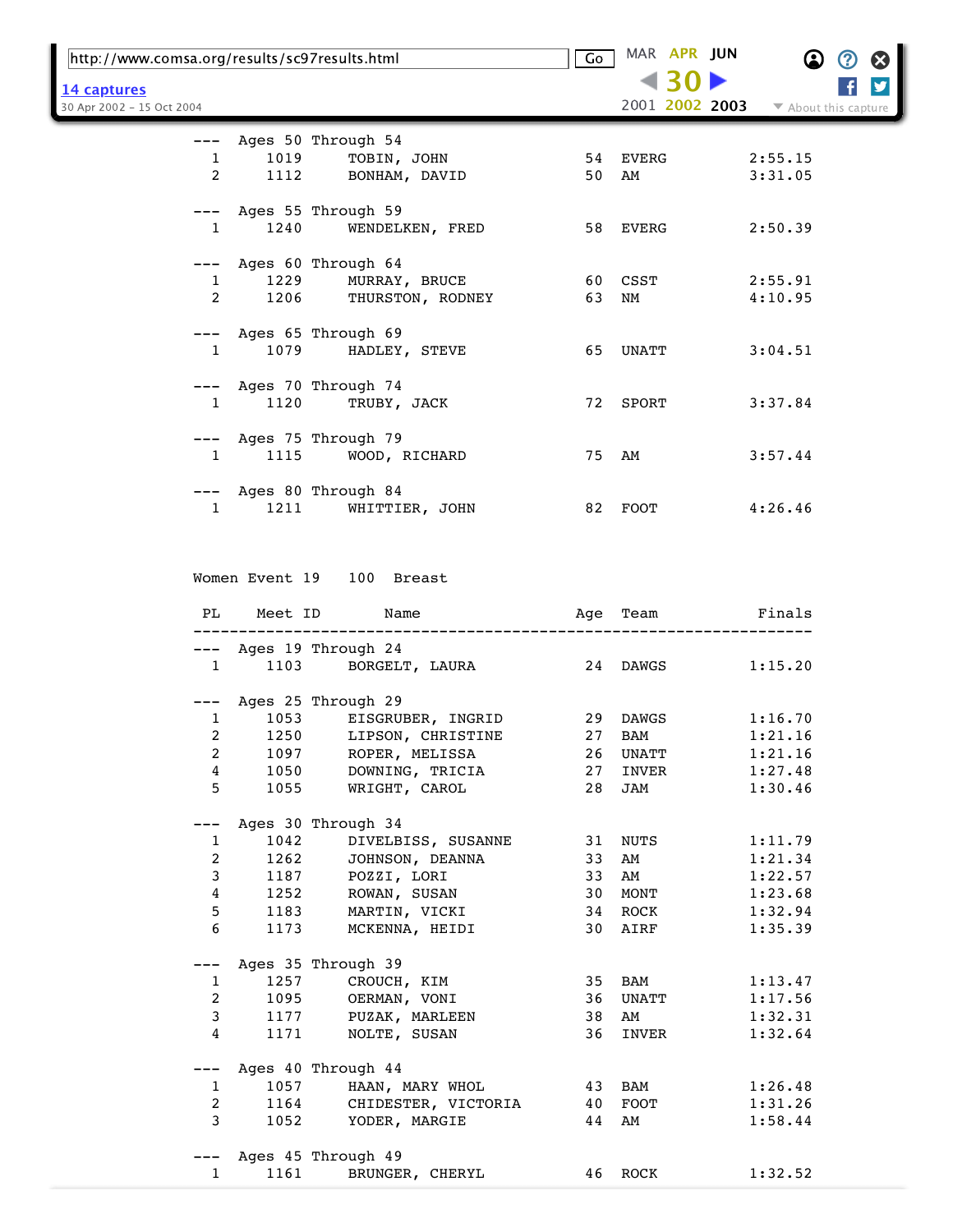| http://www.comsa.org/results/sc97results.html |      | Go                                               | MAR APR JUN | $\bf \Omega$   | $\bm{\mathcal{O}}$<br>Ø |   |
|-----------------------------------------------|------|--------------------------------------------------|-------------|----------------|-------------------------|---|
| 14 captures                                   |      |                                                  |             | 430            |                         | y |
| 30 Apr 2002 - 15 Oct 2004                     |      |                                                  |             | 2001 2002 2003 | ▼ About this capture    |   |
|                                               |      | Ages 50 Through 54                               |             |                |                         |   |
| $---$<br>$\mathbf{1}$                         | 1019 | TOBIN, JOHN                                      |             | 54 EVERG       | 2:55.15                 |   |
| $\overline{2}$                                | 1112 | BONHAM, DAVID                                    | 50          | AM             | 3:31.05                 |   |
|                                               |      |                                                  |             |                |                         |   |
|                                               |      | --- Ages 55 Through 59                           |             |                |                         |   |
| $\mathbf{1}$                                  | 1240 | WENDELKEN, FRED                                  |             | 58 EVERG       | 2:50.39                 |   |
|                                               |      |                                                  |             |                |                         |   |
| $---$                                         |      | Ages 60 Through 64                               |             |                |                         |   |
| 1                                             | 1229 | MURRAY, BRUCE                                    |             | 60 CSST        | 2:55.91                 |   |
| 2                                             | 1206 | THURSTON, RODNEY                                 | 63          | NM             | 4:10.95                 |   |
|                                               |      | Ages 65 Through 69                               |             |                |                         |   |
| $\mathbf{1}$                                  | 1079 | HADLEY, STEVE                                    |             | 65 UNATT       | 3:04.51                 |   |
|                                               |      |                                                  |             |                |                         |   |
| $---$                                         |      | Ages 70 Through 74                               |             |                |                         |   |
| $\mathbf{1}$                                  | 1120 | TRUBY, JACK                                      |             | 72 SPORT       | 3:37.84                 |   |
|                                               |      |                                                  |             |                |                         |   |
|                                               |      | --- Ages 75 Through 79                           |             |                |                         |   |
| $\mathbf{1}$                                  | 1115 | WOOD, RICHARD                                    |             | 75 AM          | 3:57.44                 |   |
|                                               |      |                                                  |             |                |                         |   |
|                                               |      | --- Ages 80 Through 84                           |             |                |                         |   |
| $\mathbf{1}$                                  | 1211 | WHITTIER, JOHN                                   |             | 82 FOOT        | 4:26.46                 |   |
|                                               |      |                                                  |             |                |                         |   |
|                                               |      |                                                  |             |                |                         |   |
|                                               |      | Women Event 19 100 Breast                        |             |                |                         |   |
|                                               |      |                                                  |             |                |                         |   |
| PL                                            |      | Meet ID<br>Name                                  |             | Age Team       | Finals                  |   |
|                                               |      |                                                  |             |                |                         |   |
|                                               |      | --- Ages 19 Through 24                           |             |                |                         |   |
| $\mathbf{1}$                                  | 1103 | BORGELT, LAURA                                   |             | 24 DAWGS       | 1:15.20                 |   |
|                                               |      |                                                  |             |                |                         |   |
| 1                                             |      | --- Ages 25 Through 29<br>1053 EISGRUBER, INGRID |             | 29 DAWGS       | 1:16.70                 |   |
| 2                                             | 1250 | LIPSON, CHRISTINE                                | 27          | BAM            | 1:21.16                 |   |
| $\boldsymbol{2}$                              | 1097 | ROPER, MELISSA                                   | 26          | UNATT          | 1:21.16                 |   |
| 4                                             | 1050 | DOWNING, TRICIA                                  | 27          | INVER          | 1:27.48                 |   |
| 5                                             | 1055 | WRIGHT, CAROL                                    | 28          | JAM            | 1:30.46                 |   |
|                                               |      |                                                  |             |                |                         |   |
|                                               |      | Ages 30 Through 34                               |             |                |                         |   |
| 1                                             | 1042 | DIVELBISS, SUSANNE                               | 31          | NUTS           | 1:11.79                 |   |
| 2                                             | 1262 | JOHNSON, DEANNA                                  | 33          | AM             | 1:21.34                 |   |
| 3                                             | 1187 | POZZI, LORI                                      | 33          | AM             | 1:22.57                 |   |
| 4                                             | 1252 | ROWAN, SUSAN                                     | 30          | MONT           | 1:23.68                 |   |
| 5                                             | 1183 | MARTIN, VICKI                                    | 34          | ROCK           | 1:32.94                 |   |
| 6                                             | 1173 | MCKENNA, HEIDI                                   | 30          | AIRF           | 1:35.39                 |   |
| ---                                           |      | Ages 35 Through 39                               |             |                |                         |   |
| 1                                             | 1257 | CROUCH, KIM                                      | 35          | BAM            | 1:13.47                 |   |
| 2                                             | 1095 | OERMAN, VONI                                     | 36          | UNATT          | 1:17.56                 |   |
| 3                                             | 1177 | PUZAK, MARLEEN                                   | 38          | AM             | 1:32.31                 |   |
| 4                                             | 1171 | NOLTE, SUSAN                                     | 36          | INVER          | 1:32.64                 |   |
|                                               |      |                                                  |             |                |                         |   |
| ---                                           |      | Ages 40 Through 44                               |             |                |                         |   |
| $\mathbf{1}$                                  | 1057 | HAAN, MARY WHOL                                  | 43          | BAM            | 1:26.48                 |   |
| 2                                             | 1164 | CHIDESTER, VICTORIA                              | 40          | FOOT           | 1:31.26                 |   |
| 3                                             | 1052 | YODER, MARGIE                                    | 44          | AM             | 1:58.44                 |   |
|                                               |      |                                                  |             |                |                         |   |
|                                               |      | Ages 45 Through 49                               |             |                |                         |   |
| $\mathbf{1}$                                  | 1161 | BRUNGER, CHERYL                                  | 46          | ROCK           | 1:32.52                 |   |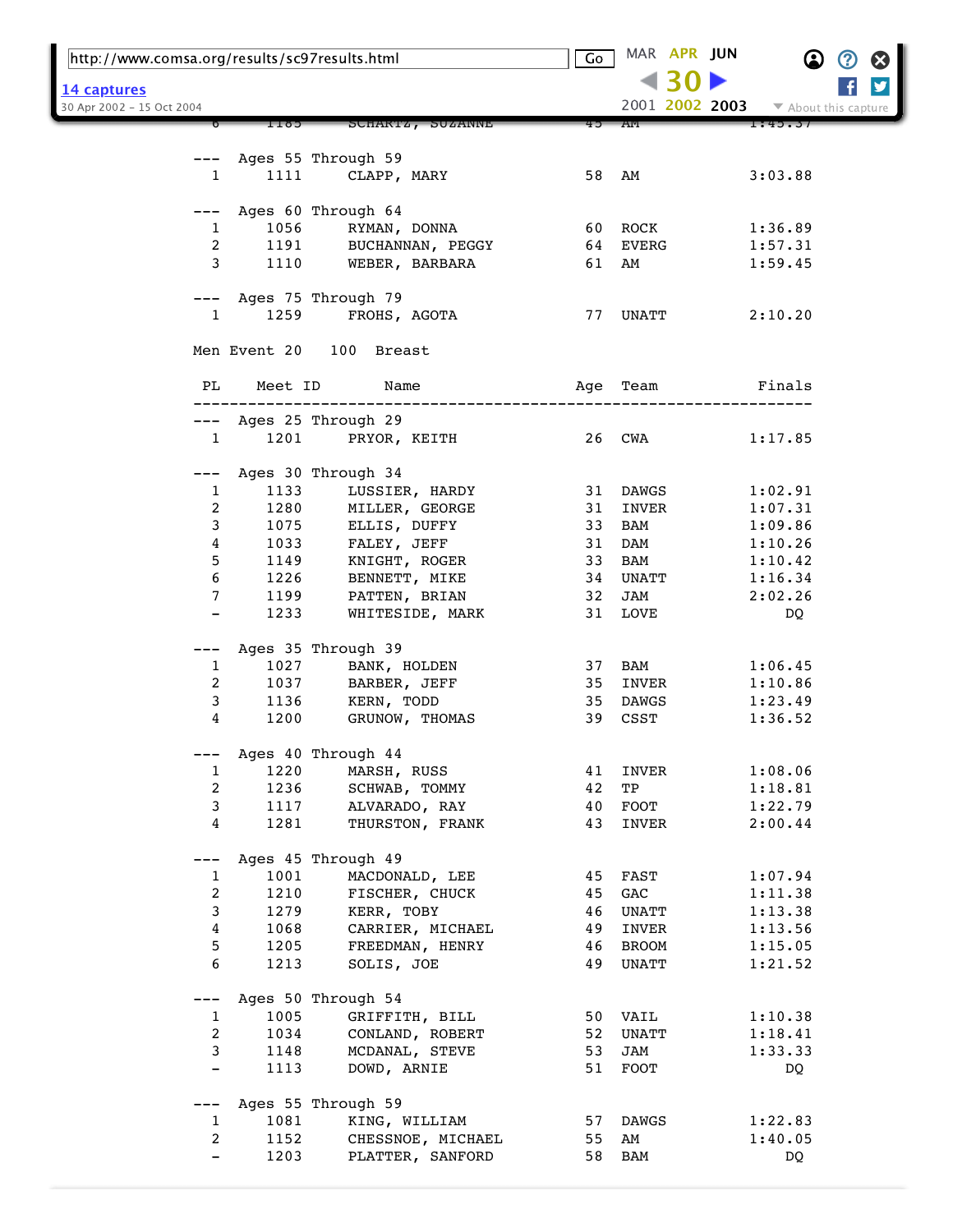| http://www.comsa.org/results/sc97results.html |         |                                    | Go | MAR APR JUN    |                      |
|-----------------------------------------------|---------|------------------------------------|----|----------------|----------------------|
| <u> 14 captures</u>                           |         |                                    |    |                |                      |
| 30 Apr 2002 - 15 Oct 2004                     |         |                                    |    | 2001 2002 2003 | ▼ About this capture |
|                                               | C611    | SCHARTZ, SUZANNE                   |    | AM             | 1:49.37              |
|                                               |         |                                    |    |                |                      |
| 1                                             | 1111    | Ages 55 Through 59<br>CLAPP, MARY  |    | 58 AM          | 3:03.88              |
|                                               |         |                                    |    |                |                      |
|                                               |         | Ages 60 Through 64                 |    |                |                      |
| $\mathbf{1}$                                  | 1056    | RYMAN, DONNA                       |    | 60 ROCK        | 1:36.89              |
| $\overline{a}$                                | 1191    | BUCHANNAN, PEGGY                   |    | 64 EVERG       | 1:57.31              |
| 3                                             | 1110    | WEBER, BARBARA                     |    | 61 AM          | 1:59.45              |
|                                               |         |                                    |    |                |                      |
| ———                                           |         | Ages 75 Through 79                 |    |                |                      |
| $\mathbf{1}$                                  | 1259    | FROHS, AGOTA                       |    | 77 UNATT       | 2:10.20              |
|                                               |         | Men Event 20 100 Breast            |    |                |                      |
| PL                                            | Meet ID | Name                               |    | Age Team       | Finals               |
|                                               |         |                                    |    |                |                      |
|                                               |         | Ages 25 Through 29                 |    |                |                      |
| $\mathbf{1}$                                  | 1201    | PRYOR, KEITH                       |    | 26 CWA         | 1:17.85              |
|                                               |         | Ages 30 Through 34                 |    |                |                      |
| 1                                             | 1133    | LUSSIER, HARDY                     |    | 31 DAWGS       | 1:02.91              |
| 2                                             | 1280    | MILLER, GEORGE                     | 31 | INVER          | 1:07.31              |
| 3                                             | 1075    | ELLIS, DUFFY                       | 33 | BAM            | 1:09.86              |
| 4                                             | 1033    | FALEY, JEFF                        | 31 | DAM            | 1:10.26              |
| 5                                             | 1149    | KNIGHT, ROGER                      | 33 | BAM            | 1:10.42              |
| 6                                             | 1226    | BENNETT, MIKE                      | 34 | UNATT          | 1:16.34              |
| 7                                             | 1199    | PATTEN, BRIAN                      | 32 | JAM            | 2:02.26              |
| $\qquad \qquad -$                             | 1233    | WHITESIDE, MARK                    |    | 31 LOVE        | DQ                   |
|                                               |         |                                    |    |                |                      |
| ---                                           | 1027    | Ages 35 Through 39<br>BANK, HOLDEN |    | 37 BAM         |                      |
| 1<br>2                                        | 1037    | BARBER, JEFF                       | 35 | INVER          | 1:06.45<br>1:10.86   |
| 3                                             | 1136    | KERN, TODD                         | 35 | DAWGS          | 1:23.49              |
| 4                                             | 1200    | GRUNOW, THOMAS                     |    | 39 CSST        | 1:36.52              |
|                                               |         |                                    |    |                |                      |
| ---                                           |         | Ages 40 Through 44                 |    |                |                      |
| 1                                             | 1220    | MARSH, RUSS                        | 41 | INVER          | 1:08.06              |
| $\overline{2}$                                | 1236    | SCHWAB, TOMMY                      | 42 | TP             | 1:18.81              |
| $\mathbf{3}$                                  | 1117    | ALVARADO, RAY                      | 40 | FOOT           | 1:22.79              |
| 4                                             | 1281    | THURSTON, FRANK                    | 43 | INVER          | 2:00.44              |
|                                               |         | Ages 45 Through 49                 |    |                |                      |
| 1                                             | 1001    | MACDONALD, LEE                     | 45 | FAST           | 1:07.94              |
| $\overline{a}$                                | 1210    | FISCHER, CHUCK                     | 45 | GAC            | 1:11.38              |
| $\mathbf{3}$                                  | 1279    | KERR, TOBY                         | 46 | <b>UNATT</b>   | 1:13.38              |
| $\overline{4}$                                | 1068    | CARRIER, MICHAEL                   | 49 | INVER          | 1:13.56              |
| 5                                             | 1205    | FREEDMAN, HENRY                    | 46 | BROOM          | 1:15.05              |
| 6                                             | 1213    | SOLIS, JOE                         | 49 | UNATT          | 1:21.52              |
|                                               |         |                                    |    |                |                      |
| ---                                           |         | Ages 50 Through 54                 |    |                |                      |
| 1                                             | 1005    | GRIFFITH, BILL                     | 50 | VAIL           | 1:10.38              |
| 2                                             | 1034    | CONLAND, ROBERT                    | 52 | UNATT          | 1:18.41              |
| 3                                             | 1148    | MCDANAL, STEVE                     | 53 | JAM            | 1:33.33              |
| -                                             | 1113    | DOWD, ARNIE                        | 51 | ${\tt FOOT}$   | DQ                   |
| ---                                           |         | Ages 55 Through 59                 |    |                |                      |
| $\mathbf{1}$                                  | 1081    | KING, WILLIAM                      | 57 | DAWGS          | 1:22.83              |
| 2                                             | 1152    | CHESSNOE, MICHAEL                  | 55 | AM             | 1:40.05              |
|                                               | 1203    | PLATTER, SANFORD                   | 58 | BAM            | DQ                   |
|                                               |         |                                    |    |                |                      |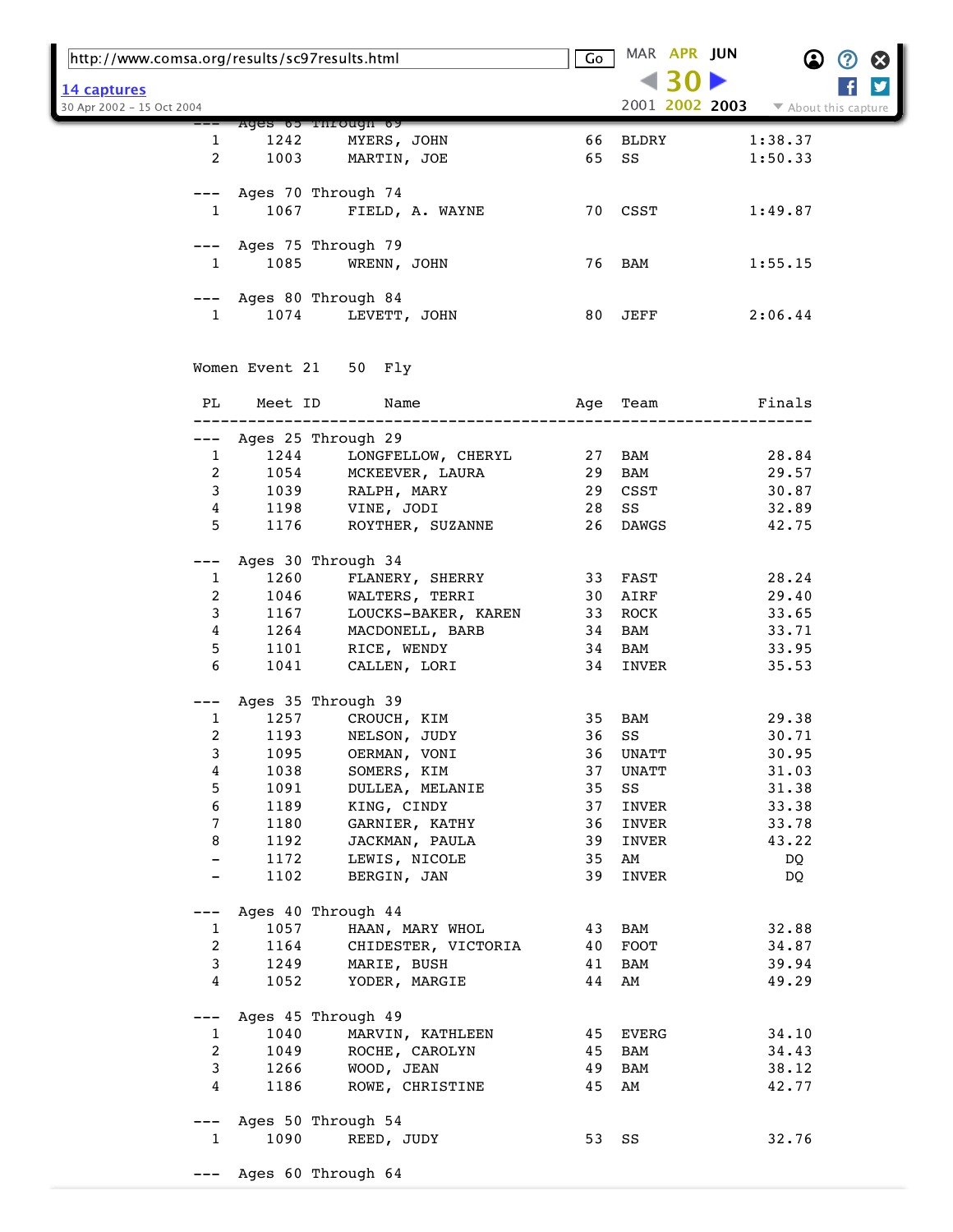| http://www.comsa.org/results/sc97results.html |                        | Go                                       |          | MAR APR JUN | $\bf \Omega$   | Ø                    |   |
|-----------------------------------------------|------------------------|------------------------------------------|----------|-------------|----------------|----------------------|---|
| 14 captures<br>30 Apr 2002 - 15 Oct 2004      |                        |                                          |          |             | 2001 2002 2003 | ▼ About this capture | y |
|                                               |                        | Ages 65 Through 69                       |          |             |                |                      |   |
| $\mathbf{1}$                                  | 1242                   | MYERS, JOHN                              | 66       | BLDRY       |                | 1:38.37              |   |
| 2                                             | 1003                   | MARTIN, JOE                              | 65       | SS          |                | 1:50.33              |   |
|                                               |                        | Ages 70 Through 74                       |          |             |                |                      |   |
| $\mathbf{1}$                                  |                        | 1067 FIELD, A. WAYNE                     |          | 70 CSST     |                | 1:49.87              |   |
| $---$                                         |                        | Ages 75 Through 79                       |          |             |                |                      |   |
| $\mathbf{1}$                                  | 1085                   | WRENN, JOHN                              |          | 76 BAM      |                | 1:55.15              |   |
|                                               |                        |                                          |          |             |                |                      |   |
|                                               | Ages 80 Through 84     |                                          |          |             |                |                      |   |
| $\mathbf{1}$                                  | 1074                   | LEVETT, JOHN                             |          | 80 JEFF     |                | 2:06.44              |   |
|                                               |                        | Women Event 21 50 Fly                    |          |             |                |                      |   |
| PL                                            | Meet ID                | Name                                     | Age      | Team        |                | Finals               |   |
|                                               |                        |                                          |          |             |                |                      |   |
|                                               | --- Ages 25 Through 29 |                                          |          |             |                |                      |   |
| $\mathbf{1}$                                  | 1244                   | LONGFELLOW, CHERYL 27                    |          | BAM         |                | 28.84                |   |
| 2                                             |                        | 1054 MCKEEVER, LAURA<br>1039 RALPH, MARY | 29       | BAM         |                | 29.57                |   |
| 3                                             |                        |                                          | 29       | CSST        |                | 30.87                |   |
| 4                                             |                        | $1198$ VINE, JODI                        | 28       | SS          |                | 32.89                |   |
| 5                                             | 1176                   | ROYTHER, SUZANNE                         | 26       | DAWGS       |                | 42.75                |   |
| ---                                           |                        | Ages 30 Through 34                       |          |             |                |                      |   |
| $\mathbf{1}$                                  | 1260                   | FLANERY, SHERRY                          | 33       | FAST        |                | 28.24                |   |
| 2                                             | 1046                   | WALTERS, TERRI                           | 30       | AIRF        |                | 29.40                |   |
| 3                                             | 1167                   | LOUCKS-BAKER, KAREN                      | 33       | ROCK        |                | 33.65                |   |
| 4                                             | 1264                   | MACDONELL, BARB                          | 34       | BAM         |                | 33.71                |   |
| 5                                             | 1101                   | RICE, WENDY                              | 34       | BAM         |                | 33.95                |   |
| 6                                             | 1041                   | CALLEN, LORI                             | 34       | INVER       |                | 35.53                |   |
| $---$                                         |                        | Ages 35 Through 39                       |          |             |                |                      |   |
| 1                                             | 1257                   | CROUCH, KIM                              | 35       | BAM         |                | 29.38                |   |
| 2                                             | 1193                   | NELSON, JUDY                             | 36       | SS          |                | 30.71                |   |
| 3                                             | 1095                   | OERMAN, VONI                             | 36       | UNATT       |                | 30.95                |   |
| 4                                             | 1038                   | SOMERS, KIM                              | 37       | UNATT       |                | 31.03                |   |
| 5                                             | 1091                   | DULLEA, MELANIE                          | 35       | SS          |                | 31.38                |   |
| 6                                             | 1189                   | KING, CINDY                              | 37       | INVER       |                | 33.38                |   |
| 7                                             | 1180                   | GARNIER, KATHY                           | 36       | INVER       |                | 33.78                |   |
| 8                                             | 1192                   | JACKMAN, PAULA                           | 39       | INVER       |                | 43.22                |   |
| $\overline{\phantom{a}}$                      | 1172                   | LEWIS, NICOLE                            | 35       | AM          |                | DQ                   |   |
|                                               | 1102                   | BERGIN, JAN                              | 39       | INVER       |                | DQ                   |   |
|                                               |                        |                                          |          |             |                |                      |   |
|                                               |                        | Ages 40 Through 44                       |          |             |                |                      |   |
| $\mathbf{1}$                                  | 1057                   | HAAN, MARY WHOL                          | 43       | BAM         |                | 32.88                |   |
| 2                                             | 1164                   | CHIDESTER, VICTORIA                      | 40       | FOOT        |                | 34.87                |   |
| 3<br>4                                        | 1249<br>1052           | MARIE, BUSH<br>YODER, MARGIE             | 41<br>44 | BAM<br>AM   |                | 39.94<br>49.29       |   |
|                                               |                        |                                          |          |             |                |                      |   |
| $---$                                         |                        | Ages 45 Through 49                       |          |             |                |                      |   |
| $\mathbf{1}$                                  | 1040                   | MARVIN, KATHLEEN                         | 45       | EVERG       |                | 34.10                |   |
| 2                                             | 1049                   | ROCHE, CAROLYN                           | 45       | BAM         |                | 34.43                |   |
| 3                                             | 1266                   | WOOD, JEAN                               | 49       | BAM         |                | 38.12                |   |
| 4                                             | 1186                   | ROWE, CHRISTINE                          | 45       | AM          |                | 42.77                |   |
|                                               |                        | Ages 50 Through 54                       |          |             |                |                      |   |
| $\mathbf{1}$                                  | 1090                   | REED, JUDY                               | 53 SS    |             |                | 32.76                |   |
|                                               |                        |                                          |          |             |                |                      |   |
| ———                                           |                        | Ages 60 Through 64                       |          |             |                |                      |   |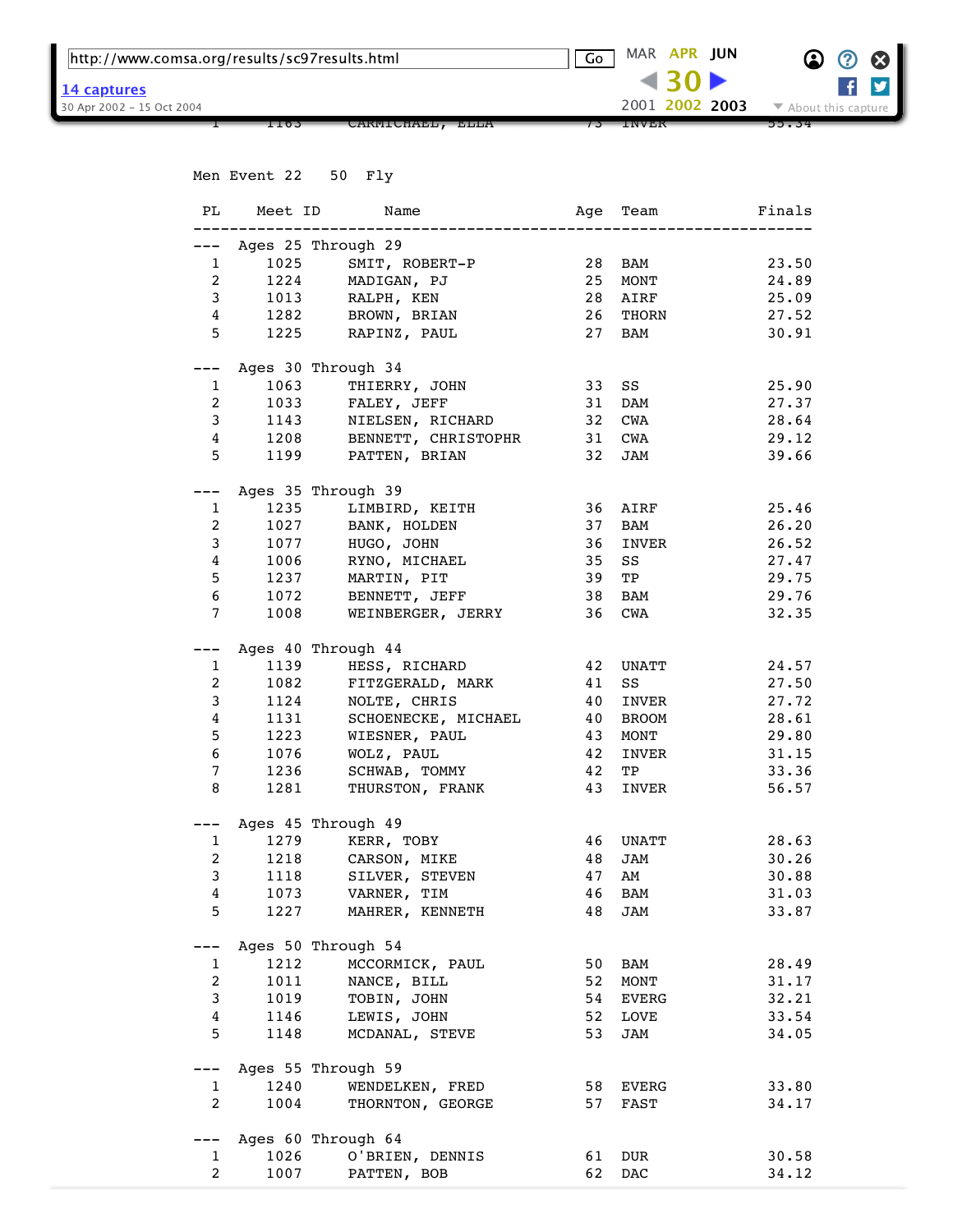| http://www.comsa.org/results/sc97results.html |      |                     | G <sub>O</sub> MAR APR JUN |         |                | $\odot$ $\odot$ $\odot$                  |
|-----------------------------------------------|------|---------------------|----------------------------|---------|----------------|------------------------------------------|
| 14 captures                                   |      |                     |                            | $-4302$ |                | $f \times$                               |
| 30 Apr 2002 - 15 Oct 2004                     |      |                     |                            |         | 2001 2002 2003 | $\blacktriangleright$ About this capture |
|                                               | 1103 | CARMICHAEL,<br>ELLA | INVER                      |         |                | 33.J4                                    |

|                 |                                | Men Event 22 50 Fly               |           |             |                 |
|-----------------|--------------------------------|-----------------------------------|-----------|-------------|-----------------|
|                 |                                | PL Meet ID Name                   | --------- |             | Age Team Finals |
|                 |                                | --- Ages 25 Through 29            |           |             |                 |
|                 |                                | 1 1025 SMIT, ROBERT-P 28          |           | BAM         | 23.50           |
|                 | $2^{\sim}$                     | 1224 MADIGAN, PJ                  | 25        | MONT        | 24.89           |
|                 |                                | 3 1013 RALPH, KEN                 | 28        | AIRF        | 25.09           |
|                 |                                | 4 1282 BROWN, BRIAN               | 26        | THORN       | 27.52           |
|                 |                                | 5 1225 RAPINZ, PAUL               | 27        | BAM         | 30.91           |
|                 |                                |                                   |           |             |                 |
| $---$           |                                | Ages 30 Through 34                |           |             |                 |
|                 | 1063<br>$1 \quad \blacksquare$ | THIERRY, JOHN 33                  |           | SS          | 25.90           |
|                 | $2 \left( \frac{1}{2} \right)$ | 1033 FALEY, JEFF                  | 31        | DAM         | 27.37           |
|                 | $3 \quad \blacksquare$         | 1143 NIELSEN, RICHARD             | 32        | CWA         | 28.64           |
|                 |                                | 4 1208 BENNETT, CHRISTOPHR 31 CWA |           |             | 29.12           |
|                 |                                | 5 1199 PATTEN, BRIAN              |           | 32 JAM      | 39.66           |
| ———             |                                | Ages 35 Through 39                |           |             |                 |
| $\mathbf{1}$    |                                | 1235 LIMBIRD, KEITH               | 36        | AIRF        | 25.46           |
| 2               |                                | 1027 BANK, HOLDEN                 | 37        | BAM         | 26.20           |
| $\mathbf{3}$    |                                | 1077 HUGO, JOHN                   | 36        | INVER       | 26.52           |
| $\overline{4}$  |                                | 1006 RYNO, MICHAEL                | 35        | SS          | 27.47           |
| 5 <sup>1</sup>  |                                | 1237 MARTIN, PIT                  | 39        | TP          | 29.75           |
| 6 <sup>1</sup>  |                                | 1072 BENNETT, JEFF                | 38        | BAM         | 29.76           |
| $\overline{7}$  |                                | 1008 WEINBERGER, JERRY            | 36        | CWA         | 32.35           |
|                 |                                | Ages 40 Through 44                |           |             |                 |
|                 | $1 \quad \blacksquare$         | 1139 HESS, RICHARD 42             |           | UNATT       | 24.57           |
| $\overline{2}$  |                                | 1082 FITZGERALD, MARK             | 41        | SS          | 27.50           |
| $\mathbf{3}$    |                                | 1124 NOLTE, CHRIS                 | 40        | INVER       | 27.72           |
| $\overline{4}$  |                                | 1131 SCHOENECKE, MICHAEL 40       |           | BROOM       | 28.61           |
| 5 <sup>5</sup>  |                                | 1223 WIESNER, PAUL                | 43        | MONT        | 29.80           |
| $6\overline{6}$ | 1076                           | WOLZ, PAUL                        | 42        | INVER       | 31.15           |
| $7\overline{ }$ | 1236                           | SCHWAB, TOMMY                     | 42        | TP          | 33.36           |
| 8               |                                | 1281 THURSTON, FRANK              | 43        | INVER       | 56.57           |
|                 |                                |                                   |           |             |                 |
|                 |                                | --- Ages 45 Through 49            |           |             |                 |
|                 | $1 \quad \cdots$               | 1279 KERR, TOBY                   | 46        | UNATT       | 28.63           |
|                 | $2 \left( \frac{1}{2} \right)$ | 1218 CARSON, MIKE                 | 48        | JAM         | 30.26           |
| 3               | 1118                           | SILVER, STEVEN                    | 47        | AM          | 30.88           |
| 4               | 1073                           | VARNER, TIM                       | 46        | BAM         | 31.03           |
| 5               | 1227                           | MAHRER, KENNETH                   | 48        | JAM         | 33.87           |
|                 |                                | Ages 50 Through 54                |           |             |                 |
| 1               | 1212                           | MCCORMICK, PAUL                   | 50        | BAM         | 28.49           |
| $\overline{a}$  | 1011                           | NANCE, BILL                       | 52        | MONT        | 31.17           |
| 3               | 1019                           | TOBIN, JOHN                       | 54        | EVERG       | 32.21           |
| $\overline{4}$  | 1146                           | LEWIS, JOHN                       | 52        | <b>LOVE</b> | 33.54           |
| 5               | 1148                           | MCDANAL, STEVE                    | 53        | JAM         | 34.05           |
|                 |                                | Ages 55 Through 59                |           |             |                 |
| $\mathbf{1}$    | 1240                           | WENDELKEN, FRED                   | 58        | EVERG       | 33.80           |
| $\overline{2}$  | 1004                           | THORNTON, GEORGE                  | 57        | FAST        | 34.17           |
| ---             |                                | Ages 60 Through 64                |           |             |                 |
| 1               | 1026                           | O'BRIEN, DENNIS                   | 61        | DUR         | 30.58           |
| $\overline{2}$  | 1007                           | PATTEN, BOB                       | 62        | DAC         | 34.12           |
|                 |                                |                                   |           |             |                 |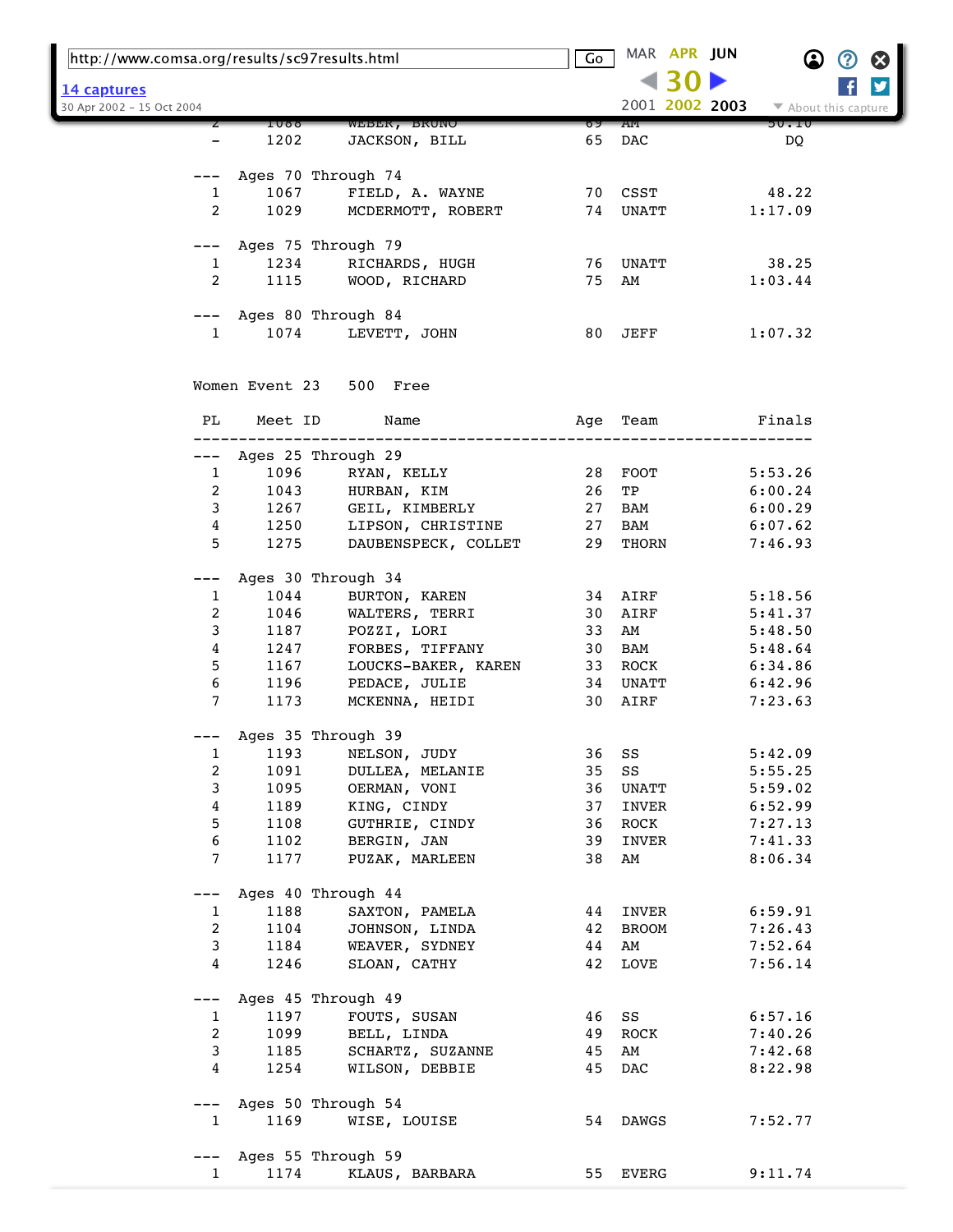| http://www.comsa.org/results/sc97results.html |                |                                      | Go       |               | MAR APR JUN |                | $\bf \Omega$         | $\bm{Q}$ | B                     |
|-----------------------------------------------|----------------|--------------------------------------|----------|---------------|-------------|----------------|----------------------|----------|-----------------------|
|                                               |                |                                      |          |               |             |                |                      |          | $\blacktriangleright$ |
| 14 captures<br>30 Apr 2002 - 15 Oct 2004      |                |                                      |          |               |             | 2001 2002 2003 | ▼ About this capture |          |                       |
|                                               | 1099           | WEBER, BRUNO                         | פס       | AM            |             |                | 90.IU                |          |                       |
|                                               | 1202           | JACKSON, BILL                        | 65       | DAC           |             |                | DQ                   |          |                       |
|                                               |                |                                      |          |               |             |                |                      |          |                       |
|                                               |                | Ages 70 Through 74                   |          |               |             |                |                      |          |                       |
| 1                                             | 1067           | FIELD, A. WAYNE                      |          | 70 CSST       |             |                | 48.22                |          |                       |
| 2                                             | 1029           | MCDERMOTT, ROBERT                    |          | 74 UNATT      |             |                | 1:17.09              |          |                       |
| ———                                           |                | Ages 75 Through 79                   |          |               |             |                |                      |          |                       |
| 1                                             | 1234           | RICHARDS, HUGH                       |          | 76 UNATT      |             |                | 38.25                |          |                       |
| 2                                             | 1115           | WOOD, RICHARD                        | 75       | AM            |             |                | 1:03.44              |          |                       |
|                                               |                |                                      |          |               |             |                |                      |          |                       |
|                                               |                | --- Ages 80 Through 84               |          |               |             |                |                      |          |                       |
| 1                                             | 1074           | LEVETT, JOHN                         | 80       | JEFF          |             |                | 1:07.32              |          |                       |
|                                               |                |                                      |          |               |             |                |                      |          |                       |
|                                               | Women Event 23 | 500 Free                             |          |               |             |                |                      |          |                       |
|                                               |                |                                      |          |               |             |                |                      |          |                       |
| PL                                            | Meet ID        | Name                                 | Age      | Team          |             |                | Finals               |          |                       |
|                                               |                | Ages 25 Through 29                   |          |               |             |                |                      |          |                       |
| $\mathbf{1}$                                  | 1096           | RYAN, KELLY                          |          | 28 FOOT       |             |                | 5:53.26              |          |                       |
| 2                                             | 1043           | HURBAN, KIM                          | 26       | TP            |             |                | 6:00.24              |          |                       |
| 3                                             | 1267           | GEIL, KIMBERLY                       | 27       | BAM           |             |                | 6:00.29              |          |                       |
| 4                                             | 1250           | LIPSON, CHRISTINE                    | 27       | BAM           |             |                | 6:07.62              |          |                       |
| 5                                             | 1275           | DAUBENSPECK, COLLET                  | 29       | THORN         |             |                | 7:46.93              |          |                       |
|                                               |                |                                      |          |               |             |                |                      |          |                       |
|                                               |                | Ages 30 Through 34                   |          |               |             |                |                      |          |                       |
| 1                                             | 1044           | BURTON, KAREN                        |          | 34 AIRF       |             |                | 5:18.56              |          |                       |
| 2                                             | 1046           | WALTERS, TERRI                       | 30       | AIRF          |             |                | 5:41.37              |          |                       |
| 3                                             | 1187           | POZZI, LORI                          | 33       | AM            |             |                | 5:48.50              |          |                       |
| 4                                             | 1247<br>1167   | FORBES, TIFFANY                      | 30       | BAM           |             |                | 5:48.64              |          |                       |
| 5<br>6                                        | 1196           | LOUCKS-BAKER, KAREN<br>PEDACE, JULIE | 33<br>34 | ROCK<br>UNATT |             |                | 6:34.86<br>6:42.96   |          |                       |
| 7                                             | 1173           | MCKENNA, HEIDI                       | 30       | AIRF          |             |                | 7:23.63              |          |                       |
|                                               |                |                                      |          |               |             |                |                      |          |                       |
|                                               |                | Ages 35 Through 39                   |          |               |             |                |                      |          |                       |
| 1                                             | 1193           | NELSON, JUDY                         | 36       | SS            |             |                | 5:42.09              |          |                       |
| 2                                             | 1091           | DULLEA, MELANIE                      | 35       | $_{\rm SS}$   |             |                | 5:55.25              |          |                       |
| 3                                             | 1095           | OERMAN, VONI                         | 36       | UNATT         |             |                | 5:59.02              |          |                       |
| 4                                             | 1189           | KING, CINDY                          | 37       | INVER         |             |                | 6:52.99              |          |                       |
| 5                                             | 1108           | GUTHRIE, CINDY                       | 36       | ROCK          |             |                | 7:27.13              |          |                       |
| 6                                             | 1102           | BERGIN, JAN                          | 39       | INVER         |             |                | 7:41.33              |          |                       |
| 7                                             | 1177           | PUZAK, MARLEEN                       | 38       | AM            |             |                | 8:06.34              |          |                       |
|                                               |                | Ages 40 Through 44                   |          |               |             |                |                      |          |                       |
| 1                                             | 1188           | SAXTON, PAMELA                       | 44       | INVER         |             |                | 6:59.91              |          |                       |
| 2                                             | 1104           | JOHNSON, LINDA                       | 42       | BROOM         |             |                | 7:26.43              |          |                       |
| 3                                             | 1184           | WEAVER, SYDNEY                       | 44       | AM            |             |                | 7:52.64              |          |                       |
| 4                                             | 1246           | SLOAN, CATHY                         | 42       | LOVE          |             |                | 7:56.14              |          |                       |
|                                               |                |                                      |          |               |             |                |                      |          |                       |
| ---                                           |                | Ages 45 Through 49                   |          |               |             |                |                      |          |                       |
| 1                                             | 1197           | FOUTS, SUSAN                         | 46       | SS            |             |                | 6:57.16              |          |                       |
| 2                                             | 1099           | BELL, LINDA                          | 49       | ROCK          |             |                | 7:40.26              |          |                       |
| 3<br>4                                        | 1185<br>1254   | SCHARTZ, SUZANNE<br>WILSON, DEBBIE   | 45<br>45 | AM<br>DAC     |             |                | 7:42.68<br>8:22.98   |          |                       |
|                                               |                |                                      |          |               |             |                |                      |          |                       |
| $---$                                         |                | Ages 50 Through 54                   |          |               |             |                |                      |          |                       |
| 1                                             | 1169           | WISE, LOUISE                         | 54       | DAWGS         |             |                | 7:52.77              |          |                       |
|                                               |                |                                      |          |               |             |                |                      |          |                       |
|                                               |                | Ages 55 Through 59                   |          |               |             |                |                      |          |                       |
| $\mathbf{1}$                                  | 1174           | KLAUS, BARBARA                       | 55       | EVERG         |             |                | 9:11.74              |          |                       |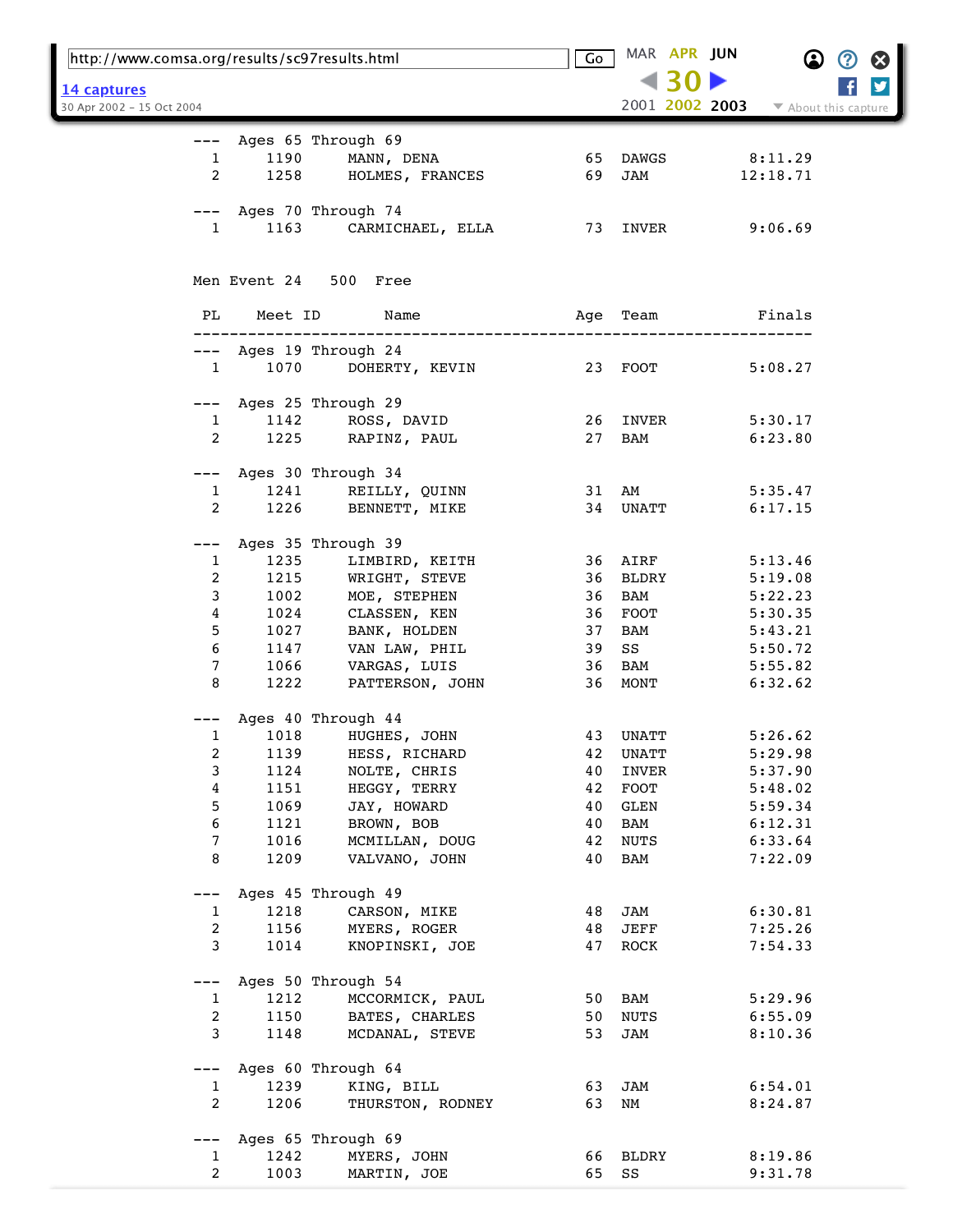| http://www.comsa.org/results/sc97results.html |                        |                                                              | Go       |             | MAR APR JUN    |                      |  |
|-----------------------------------------------|------------------------|--------------------------------------------------------------|----------|-------------|----------------|----------------------|--|
| 14 captures                                   |                        |                                                              |          |             |                |                      |  |
| 30 Apr 2002 - 15 Oct 2004                     |                        |                                                              |          |             | 2001 2002 2003 | ▼ About this capture |  |
|                                               |                        |                                                              |          |             |                |                      |  |
|                                               |                        | --- Ages 65 Through 69                                       |          |             |                |                      |  |
| $\mathbf{1}$                                  |                        | 1190 MANN, DENA<br>1258 HOLMES, FRANCES                      |          | 65 DAWGS    |                | 8:11.29              |  |
| $\overline{2}$                                |                        |                                                              | 69       | JAM         |                | 12:18.71             |  |
|                                               |                        |                                                              |          |             |                |                      |  |
|                                               |                        | --- Ages 70 Through 74                                       |          |             |                |                      |  |
| $\mathbf{1}$                                  | 1163                   | CARMICHAEL, ELLA 73 INVER 9:06.69                            |          |             |                |                      |  |
|                                               |                        |                                                              |          |             |                |                      |  |
|                                               |                        | Men Event 24 500 Free                                        |          |             |                |                      |  |
|                                               |                        |                                                              |          |             |                |                      |  |
| PL                                            |                        | Meet ID Name                                                 |          | Age Team    |                | Finals               |  |
|                                               |                        | ---------------------------------                            |          |             |                |                      |  |
|                                               |                        | --- Ages 19 Through 24                                       |          |             |                |                      |  |
|                                               |                        | 1 1070 DOHERTY, KEVIN 23 FOOT                                |          |             |                | 5:08.27              |  |
|                                               |                        |                                                              |          |             |                |                      |  |
|                                               | $1 \quad \blacksquare$ | --- Ages 25 Through 29                                       |          | 26 INVER    |                | 5:30.17              |  |
| 2                                             |                        | 1142 ROSS, DAVID<br>1225 RAPINZ, PAUL                        |          | 27 BAM      |                | 6:23.80              |  |
|                                               |                        |                                                              |          |             |                |                      |  |
|                                               |                        | --- Ages 30 Through 34                                       |          |             |                |                      |  |
| $\mathbf{1}$                                  |                        | 1241 REILLY, QUINN                                           |          | 31 AM       |                | 5:35.47              |  |
| 2                                             |                        | 1226 BENNETT, MIKE                                           |          | 34 UNATT    |                | 6:17.15              |  |
|                                               |                        |                                                              |          |             |                |                      |  |
|                                               |                        | Ages 35 Through 39                                           |          |             |                |                      |  |
| $\mathbf{1}$                                  |                        | 1235 LIMBIRD, KEITH                                          |          | 36 AIRF     |                | 5:13.46              |  |
| 2                                             |                        |                                                              |          | 36 BLDRY    |                | 5:19.08              |  |
| 3                                             |                        | 1215 WRIGHT, STEVE<br>1002 MOE, STEPHEN<br>1024 CLASSEN, KEN |          | 36 BAM      |                | 5:22.23              |  |
| 4                                             | 1027                   |                                                              |          | 36 FOOT     |                | 5:30.35              |  |
| 5<br>6                                        |                        | BANK, HOLDEN<br>1147 VAN LAW, PHIL                           | 37<br>39 | BAM<br>SS   |                | 5:43.21<br>5:50.72   |  |
| 7                                             |                        | 1066 VARGAS, LUIS                                            |          | 36 BAM      |                | 5:55.82              |  |
| 8                                             | 1222                   | PATTERSON, JOHN                                              |          | 36 MONT     |                | 6:32.62              |  |
|                                               |                        |                                                              |          |             |                |                      |  |
|                                               |                        | --- Ages 40 Through 44                                       |          |             |                |                      |  |
|                                               |                        | 1 1018 HUGHES, JOHN                                          |          | 43 UNATT    |                | 5:26.62              |  |
| 2                                             | 1139                   | HESS, RICHARD                                                | 42       | UNATT       |                | 5:29.98              |  |
| 3                                             | 1124                   | NOLTE, CHRIS                                                 | 40       | INVER       |                | 5:37.90              |  |
| 4                                             | 1151                   | HEGGY, TERRY                                                 | 42       | FOOT        |                | 5:48.02              |  |
| 5                                             | 1069                   | JAY, HOWARD                                                  | 40       | GLEN        |                | 5:59.34              |  |
| 6                                             | 1121                   | BROWN, BOB                                                   | 40       | BAM         |                | 6:12.31              |  |
| 7                                             | 1016                   | MCMILLAN, DOUG                                               | 42       | <b>NUTS</b> |                | 6:33.64              |  |
| 8                                             | 1209                   | VALVANO, JOHN                                                | 40       | BAM         |                | 7:22.09              |  |
| $---$                                         |                        | Ages 45 Through 49                                           |          |             |                |                      |  |
| $\mathbf{1}$                                  | 1218                   | CARSON, MIKE                                                 | 48       | JAM         |                | 6:30.81              |  |
| 2                                             | 1156                   | MYERS, ROGER                                                 | 48       | JEFF        |                | 7:25.26              |  |
| 3                                             | 1014                   | KNOPINSKI, JOE                                               | 47       | ROCK        |                | 7:54.33              |  |
|                                               |                        |                                                              |          |             |                |                      |  |
| $---$                                         |                        | Ages 50 Through 54                                           |          |             |                |                      |  |
| $\mathbf{1}$                                  | 1212                   | MCCORMICK, PAUL                                              |          | 50 BAM      |                | 5:29.96              |  |
| $\overline{a}$                                | 1150                   | BATES, CHARLES                                               | 50       | NUTS        |                | 6:55.09              |  |
| 3                                             | 1148                   | MCDANAL, STEVE                                               | 53       | JAM         |                | 8:10.36              |  |
| $---$                                         |                        | Ages 60 Through 64                                           |          |             |                |                      |  |
| $\mathbf{1}$                                  | 1239                   | KING, BILL                                                   | 63       | JAM         |                | 6:54.01              |  |
| 2                                             | 1206                   | THURSTON, RODNEY                                             | 63       | NM          |                | 8:24.87              |  |
|                                               |                        |                                                              |          |             |                |                      |  |
| $---$                                         |                        | Ages 65 Through 69                                           |          |             |                |                      |  |
| 1                                             | 1242                   | MYERS, JOHN                                                  | 66       | BLDRY       |                | 8:19.86              |  |
| 2                                             | 1003                   | MARTIN, JOE                                                  | 65       | SS          |                | 9:31.78              |  |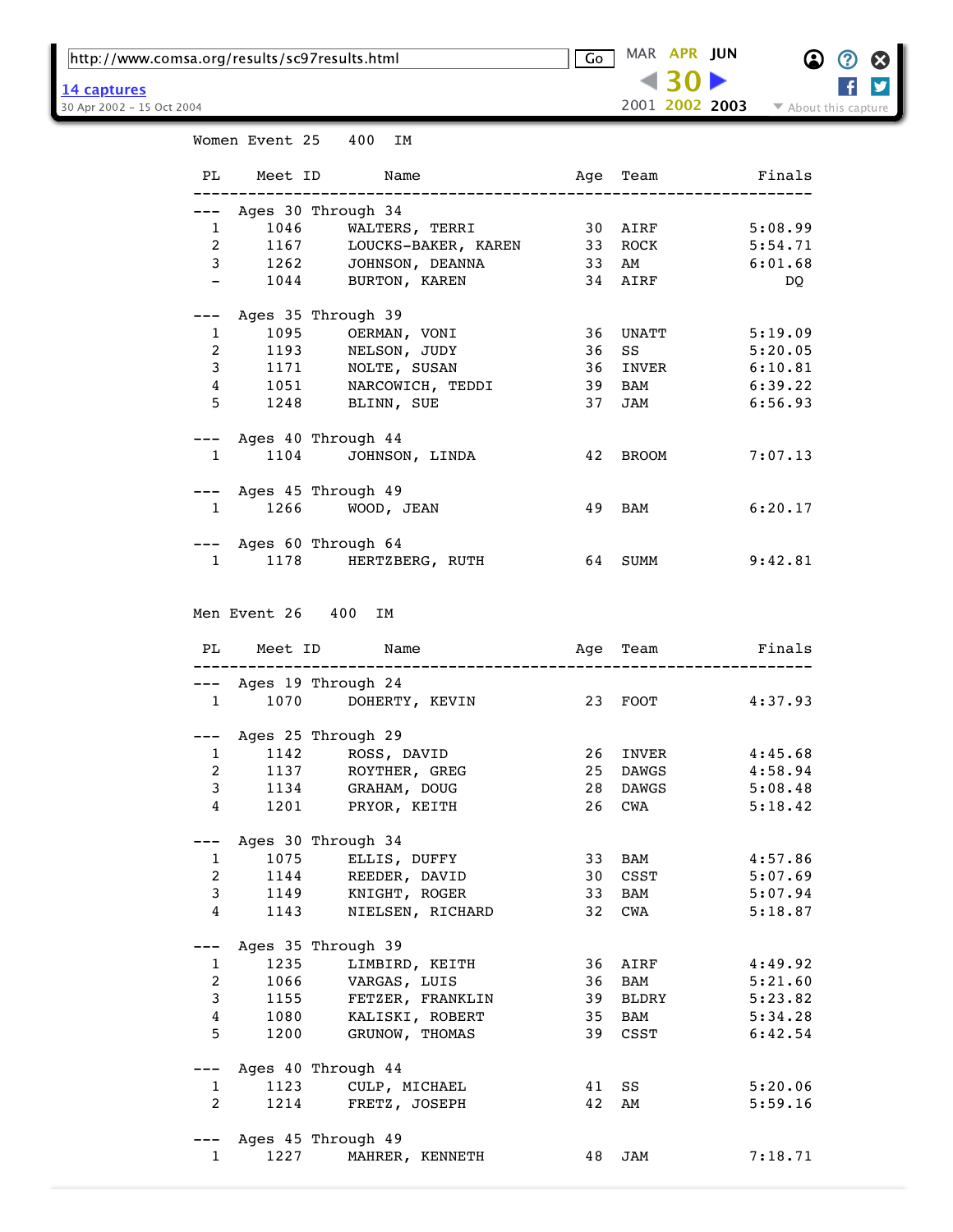http://www.comsa.org/results/sc97results.html Go MAR **APR [JUN](https://web.archive.org/web/20020625083441/http://www.comsa.org:80/results/sc97results.html)** 

Women Event 25 400 IM

2001 **2002 [2003](https://web.archive.org/web/20030507191211/http://www.comsa.org:80/results/sc97results.html)** 30 Apr 2002 - 15 Oct 2004 **12002** 2003 **12002 2003** About this capture



|  | 14 captures |  |
|--|-------------|--|
|  | --------    |  |

| PL              | Meet ID                        | Name                                                     | Age | Team         | Finals           |
|-----------------|--------------------------------|----------------------------------------------------------|-----|--------------|------------------|
|                 |                                |                                                          |     |              |                  |
|                 |                                | --- Ages 30 Through 34                                   |     |              |                  |
|                 | 1046<br>$\mathbf{1}$           | WALTERS, TERRI                                           |     | 30 AIRF      | 5:08.99          |
| $2^{\circ}$     |                                | 1167<br>1167 LOUCKS-BAKER, KAREN<br>1262 JOHNSON, DEANNA |     | 33 ROCK      | 5:54.71          |
| $\mathbf{3}$    |                                |                                                          | 33  | AM           | 6:01.68          |
| $ -$            |                                | 1044 BURTON, KAREN                                       |     | 34 AIRF      | DQ               |
|                 |                                |                                                          |     |              |                  |
|                 |                                | --- Ages 35 Through 39                                   |     |              |                  |
|                 | $1 \quad \blacksquare$         | 1095 OERMAN, VONI                                        | 36  |              | UNATT 5:19.09    |
|                 |                                |                                                          |     |              |                  |
|                 | $\overline{2}$                 | 1193 NELSON, JUDY                                        | 36  | SS           | 5:20.05          |
| $\mathbf{3}$    |                                | 1171 NOLTE, SUSAN                                        | 36  | INVER        | 6:10.81          |
| $4\overline{ }$ | 1051                           |                                                          |     | 39 BAM       | 6:39.22          |
| 5               |                                | 1051 NARCOWICH, TEDDI<br>1248 BLINN, SUE                 |     | 37 JAM       | 6:56.93          |
|                 |                                |                                                          |     |              |                  |
|                 |                                | --- Ages 40 Through 44                                   |     |              |                  |
|                 | $1 \quad \Box$                 | 1104 JOHNSON, LINDA                                      | 42  | BROOM        | 7:07.13          |
|                 |                                |                                                          |     |              |                  |
|                 |                                | --- Ages 45 Through 49                                   |     |              |                  |
| $\mathbf{1}$    |                                | 1266 WOOD, JEAN                                          |     | 49 BAM       | 6:20.17          |
|                 |                                |                                                          |     |              |                  |
|                 |                                | --- Ages 60 Through 64                                   |     |              |                  |
|                 | $1 \quad \Box$                 | 1178 HERTZBERG, RUTH                                     |     | 64 SUMM      | 9:42.81          |
|                 |                                |                                                          |     |              |                  |
|                 |                                |                                                          |     |              |                  |
|                 |                                | Men Event 26 400 IM                                      |     |              |                  |
|                 |                                |                                                          |     |              |                  |
|                 |                                | PL Meet ID Name                                          | Age | Team         | Finals           |
|                 |                                |                                                          |     |              |                  |
|                 |                                |                                                          |     |              |                  |
|                 |                                |                                                          |     |              |                  |
|                 |                                | --- Ages 19 Through 24                                   |     |              |                  |
|                 | $1 \qquad \qquad$              | 1070 DOHERTY, KEVIN                                      |     | 23 FOOT      | 4:37.93          |
|                 |                                |                                                          |     |              |                  |
|                 |                                | --- Ages 25 Through 29                                   |     |              |                  |
|                 |                                | 1 1142 ROSS, DAVID                                       | 26  |              | 4:45.68<br>INVER |
|                 | $2 \left( \frac{1}{2} \right)$ | 1137 ROYTHER, GREG                                       | 25  | DAWGS        | 4:58.94          |
| $\mathbf{3}$    |                                | 1134 GRAHAM, DOUG                                        | 28  | <b>DAWGS</b> | 5:08.48          |
|                 | $4\overline{ }$                | 1201 PRYOR, KEITH                                        | 26  | CWA          | 5:18.42          |
|                 |                                |                                                          |     |              |                  |
|                 |                                | Ages 30 Through 34                                       |     |              |                  |
| 1               | 1075                           | ELLIS, DUFFY                                             | 33  | BAM          | 4:57.86          |
| $\overline{a}$  | 1144                           | REEDER, DAVID                                            | 30  | CSST         | 5:07.69          |
| 3               | 1149                           | KNIGHT, ROGER                                            | 33  | BAM          | 5:07.94          |
| 4               | 1143                           | NIELSEN, RICHARD                                         | 32  | CWA          | 5:18.87          |
|                 |                                |                                                          |     |              |                  |
| $-- -$          |                                |                                                          |     |              |                  |
|                 |                                | Ages 35 Through 39                                       |     |              |                  |
| 1               | 1235                           | LIMBIRD, KEITH                                           | 36  | AIRF         | 4:49.92          |
| $\overline{a}$  | 1066                           | VARGAS, LUIS                                             | 36  | BAM          | 5:21.60          |
| 3               | 1155                           | FETZER, FRANKLIN                                         | 39  | BLDRY        | 5:23.82          |
| 4               | 1080                           | KALISKI, ROBERT                                          | 35  | BAM          | 5:34.28          |
| 5               | 1200                           | GRUNOW, THOMAS                                           | 39  | CSST         | 6:42.54          |
|                 |                                |                                                          |     |              |                  |
| ---             |                                | Ages 40 Through 44                                       |     |              |                  |
| 1               | 1123                           | CULP, MICHAEL                                            | 41  | SS           | 5:20.06          |
| $\overline{2}$  | 1214                           | FRETZ, JOSEPH                                            | 42  | AM           | 5:59.16          |
|                 |                                |                                                          |     |              |                  |
| 1               | 1227                           | Ages 45 Through 49<br>MAHRER, KENNETH                    | 48  | JAM          | 7:18.71          |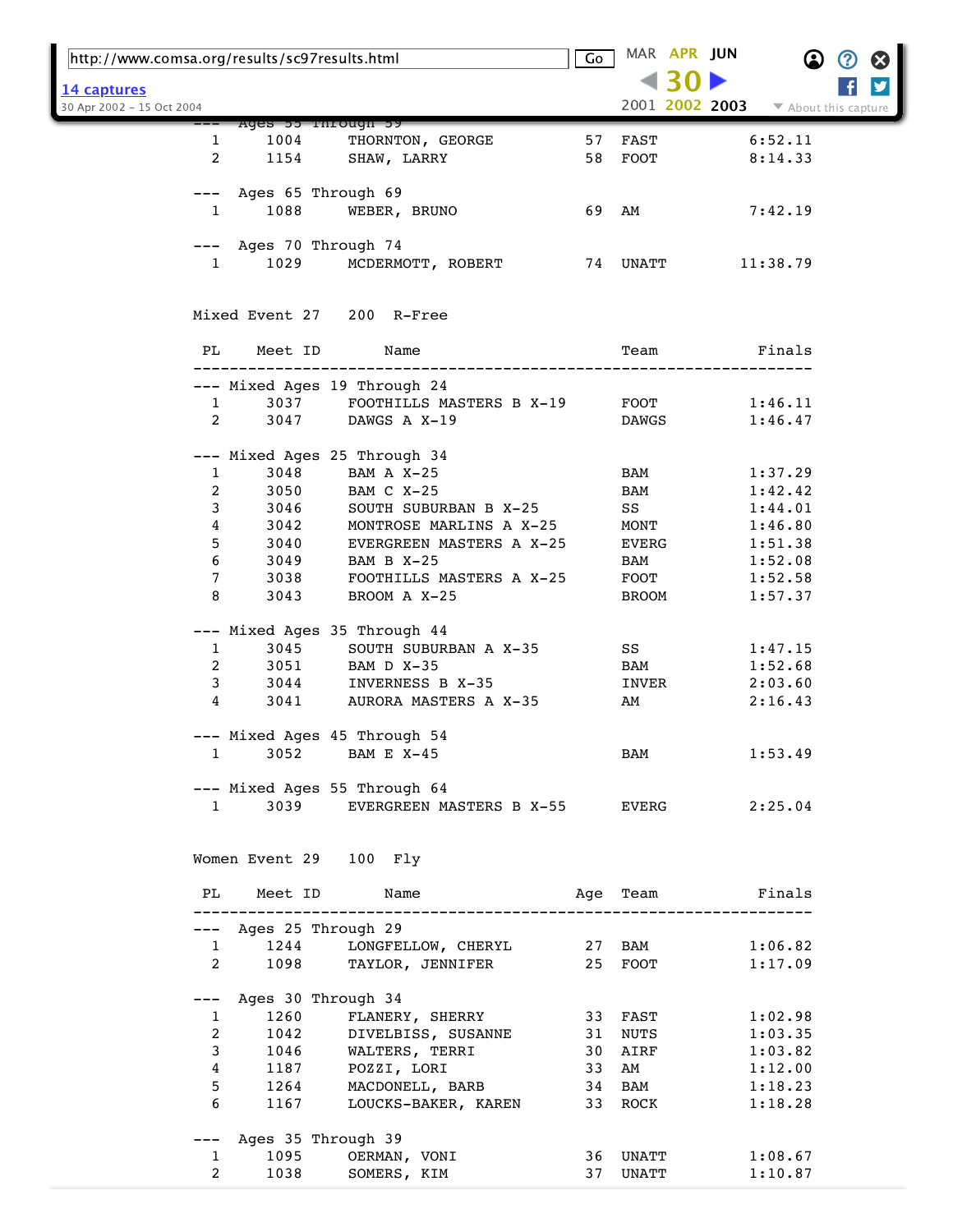| http://www.comsa.org/results/sc97results.html |                 |                                |                                             | Go |          | MAR APR JUN    |                  | B<br>B               |
|-----------------------------------------------|-----------------|--------------------------------|---------------------------------------------|----|----------|----------------|------------------|----------------------|
| 14 captures                                   |                 |                                |                                             |    |          |                |                  | y                    |
| 30 Apr 2002 - 15 Oct 2004                     |                 |                                |                                             |    |          | 2001 2002 2003 |                  | ▼ About this capture |
|                                               |                 | Ages bo rnrough by             |                                             |    |          |                |                  |                      |
|                                               | 1               | 1004                           | THORNTON, GEORGE                            | 57 | FAST     |                | 6:52.11          |                      |
|                                               | $\overline{2}$  | 1154                           | SHAW, LARRY                                 |    | 58 FOOT  |                | 8:14.33          |                      |
|                                               |                 | --- Ages 65 Through 69         |                                             |    |          |                |                  |                      |
|                                               | $\mathbf{1}$    | 1088                           | WEBER, BRUNO                                |    | 69 AM    |                | 7:42.19          |                      |
|                                               |                 |                                |                                             |    |          |                |                  |                      |
|                                               |                 | --- Ages 70 Through 74         |                                             |    |          |                |                  |                      |
|                                               | $\mathbf{1}$    | 1029                           | MCDERMOTT, ROBERT                           |    | 74 UNATT |                | 11:38.79         |                      |
|                                               |                 |                                |                                             |    |          |                |                  |                      |
|                                               |                 |                                | Mixed Event 27 200 R-Free                   |    |          |                |                  |                      |
|                                               |                 |                                |                                             |    |          |                |                  |                      |
|                                               | PL              | Meet ID                        | Name                                        |    | Team     |                | Finals           |                      |
|                                               |                 |                                | --- Mixed Ages 19 Through 24                |    |          |                |                  |                      |
|                                               | $\mathbf{1}$    | 3037                           | FOOTHILLS MASTERS B X-19                    |    | FOOT     |                | 1:46.11          |                      |
|                                               | $\overline{2}$  | 3047                           | DAWGS A X-19                                |    | DAWGS    |                | 1:46.47          |                      |
|                                               |                 |                                |                                             |    |          |                |                  |                      |
|                                               |                 |                                | --- Mixed Ages 25 Through 34                |    |          |                |                  |                      |
|                                               | $\mathbf{1}$    | 3048                           | BAM A X-25                                  |    | BAM      |                | 1:37.29          |                      |
|                                               | $\overline{a}$  | 3050                           | BAM C X-25                                  |    | BAM      |                | 1:42.42          |                      |
|                                               | 3               | 3046                           | SOUTH SUBURBAN B X-25                       |    | SS       |                | 1:44.01          |                      |
|                                               | 4               | 3042                           | MONTROSE MARLINS A X-25                     |    | MONT     |                | 1:46.80          |                      |
|                                               | 5<br>6          | 3040                           | EVERGREEN MASTERS A X-25                    |    | EVERG    |                | 1:51.38          |                      |
|                                               |                 | 3049                           | BAM B X-25                                  |    | BAM      |                | 1:52.08          |                      |
|                                               | 7<br>8          | 3038<br>3043                   | FOOTHILLS MASTERS A X-25                    |    | FOOT     |                | 1:52.58          |                      |
|                                               |                 |                                | BROOM A X-25                                |    | BROOM    |                | 1:57.37          |                      |
|                                               |                 |                                | --- Mixed Ages 35 Through 44                |    |          |                |                  |                      |
|                                               | $\mathbf{1}$    | 3045                           | SOUTH SUBURBAN A X-35                       |    | SS       |                | 1:47.15          |                      |
|                                               | 2               | 3051                           | BAM D X-35                                  |    | BAM      |                | 1:52.68          |                      |
|                                               | 3               | 3044                           | INVERNESS B X-35                            |    | INVER    |                | 2:03.60          |                      |
|                                               | 4               | 3041                           | AURORA MASTERS A X-35                       |    | AM       |                | 2:16.43          |                      |
|                                               |                 |                                |                                             |    |          |                |                  |                      |
|                                               |                 |                                | --- Mixed Ages 45 Through 54                |    |          |                |                  |                      |
|                                               |                 | $1 \quad \blacksquare$         | 3052 BAM E X-45                             |    | BAM      |                | 1:53.49          |                      |
|                                               |                 |                                | --- Mixed Ages 55 Through 64                |    |          |                |                  |                      |
|                                               |                 | $1 \quad \blacksquare$         | 3039 EVERGREEN MASTERS B X-55 EVERG 2:25.04 |    |          |                |                  |                      |
|                                               |                 |                                |                                             |    |          |                |                  |                      |
|                                               |                 |                                |                                             |    |          |                |                  |                      |
|                                               |                 | Women Event 29 100 Fly         |                                             |    |          |                |                  |                      |
|                                               |                 | PL Meet ID Name                | Age Team <b>Finals</b>                      |    |          |                |                  |                      |
|                                               |                 | --- Ages 25 Through 29         |                                             |    |          |                |                  |                      |
|                                               |                 | $1 \quad \blacksquare$         | 1244 LONGFELLOW, CHERYL 27 BAM 1:06.82      |    |          |                |                  |                      |
|                                               |                 |                                | 2 1098 TAYLOR, JENNIFER 25 FOOT 1:17.09     |    |          |                |                  |                      |
|                                               |                 |                                |                                             |    |          |                |                  |                      |
|                                               |                 | --- Ages 30 Through 34         |                                             |    |          |                |                  |                      |
|                                               |                 | 1260<br>$1 \quad \blacksquare$ | FLANERY, SHERRY                             |    |          |                | 33 FAST 1:02.98  |                      |
|                                               | $2^{\circ}$     |                                |                                             |    |          |                | 1:03.35          |                      |
|                                               | 3 <sup>7</sup>  |                                |                                             |    |          |                | 1:03.82          |                      |
|                                               | $4\overline{ }$ |                                |                                             |    |          |                | 1:12.00          |                      |
|                                               | 5               |                                | 1264 MACDONELL, BARB 34 BAM                 |    |          |                | 1:18.23          |                      |
|                                               | 6               | 1167                           | LOUCKS-BAKER, KAREN 33 ROCK                 |    |          |                | 1:18.28          |                      |
|                                               |                 | --- Ages 35 Through 39         |                                             |    |          |                |                  |                      |
|                                               | $\mathbf{1}$    |                                | 1095 OERMAN, VONI                           |    |          |                | 36 UNATT 1:08.67 |                      |
|                                               | $\overline{2}$  | 1038                           | SOMERS, KIM                                 |    |          | 37 UNATT       | 1:10.87          |                      |
|                                               |                 |                                |                                             |    |          |                |                  |                      |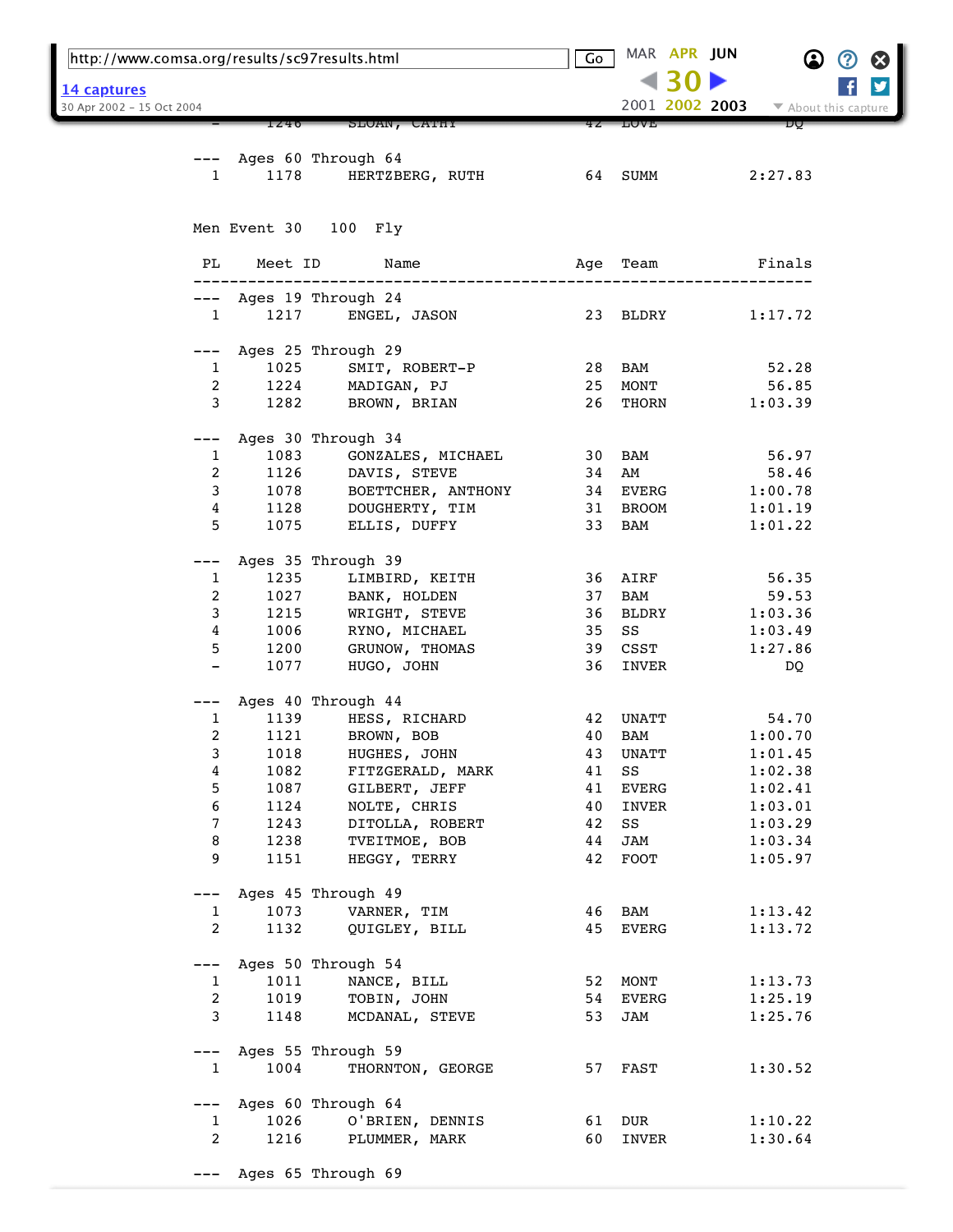| http://www.comsa.org/results/sc97results.html |              | Go                            |          | MAR APR JUN        | $\bf \Omega$   | 3                    | Ø |   |
|-----------------------------------------------|--------------|-------------------------------|----------|--------------------|----------------|----------------------|---|---|
|                                               |              |                               |          |                    |                |                      |   | y |
| 14 captures<br>30 Apr 2002 - 15 Oct 2004      |              |                               |          |                    | 2001 2002 2003 | ▼ About this capture |   |   |
|                                               | 1240         | SLOAN, CATHY                  |          | TAAR               |                | DU                   |   |   |
|                                               |              |                               |          |                    |                |                      |   |   |
|                                               |              | Ages 60 Through 64            |          |                    |                |                      |   |   |
| 1                                             | 1178         | HERTZBERG, RUTH               |          | 64 SUMM            |                | 2:27.83              |   |   |
|                                               |              |                               |          |                    |                |                      |   |   |
|                                               |              |                               |          |                    |                |                      |   |   |
|                                               |              | Men Event 30 100 Fly          |          |                    |                |                      |   |   |
|                                               |              |                               |          |                    |                |                      |   |   |
| PL                                            | Meet ID      | Name                          | Age      | Team               |                | Finals               |   |   |
|                                               |              |                               |          |                    |                |                      |   |   |
|                                               |              | Ages 19 Through 24            |          |                    |                |                      |   |   |
| $\mathbf{1}$                                  | 1217         | ENGEL, JASON                  |          | 23 BLDRY           |                | 1:17.72              |   |   |
| $---$                                         |              | Ages 25 Through 29            |          |                    |                |                      |   |   |
| $\mathbf{1}$                                  | 1025         | SMIT, ROBERT-P                | 28       | BAM                |                | 52.28                |   |   |
| 2                                             | 1224         | MADIGAN, PJ                   | 25       | MONT               |                | 56.85                |   |   |
| 3                                             | 1282         | BROWN, BRIAN                  | 26       | THORN              |                | 1:03.39              |   |   |
|                                               |              |                               |          |                    |                |                      |   |   |
|                                               |              | Ages 30 Through 34            |          |                    |                |                      |   |   |
| 1                                             | 1083         | GONZALES, MICHAEL             | 30       | BAM                |                | 56.97                |   |   |
| 2                                             | 1126         | DAVIS, STEVE                  | 34       | AM                 |                | 58.46                |   |   |
| 3                                             | 1078         | BOETTCHER, ANTHONY            |          | 34 EVERG           |                | 1:00.78              |   |   |
| 4                                             | 1128         | DOUGHERTY, TIM                | 31       | BROOM              |                | 1:01.19              |   |   |
| 5                                             | 1075         | ELLIS, DUFFY                  | 33       | BAM                |                | 1:01.22              |   |   |
|                                               |              |                               |          |                    |                |                      |   |   |
| ---                                           |              | Ages 35 Through 39            |          |                    |                |                      |   |   |
| $\mathbf{1}$                                  | 1235         | LIMBIRD, KEITH                | 36       | AIRF               |                | 56.35                |   |   |
| $\boldsymbol{2}$                              | 1027         | BANK, HOLDEN                  | 37       | BAM                |                | 59.53                |   |   |
| 3                                             | 1215         | WRIGHT, STEVE                 | 36       | BLDRY              |                | 1:03.36              |   |   |
| 4                                             | 1006         | RYNO, MICHAEL                 | 35       | SS                 |                | 1:03.49              |   |   |
| 5                                             | 1200         | GRUNOW, THOMAS                | 39       | CSST               |                | 1:27.86              |   |   |
| $\qquad \qquad -$                             | 1077         | HUGO, JOHN                    | 36       | INVER              |                | DQ                   |   |   |
|                                               |              |                               |          |                    |                |                      |   |   |
|                                               |              | Ages 40 Through 44            |          |                    |                |                      |   |   |
| 1                                             | 1139         | HESS, RICHARD                 | 42       | UNATT              |                | 54.70                |   |   |
| 2                                             | 1121         | BROWN, BOB                    | 40       | BAM                |                | 1:00.70              |   |   |
| 3                                             | 1018         | HUGHES, JOHN                  | 43       | UNATT              |                | 1:01.45              |   |   |
| 4                                             | 1082         | FITZGERALD, MARK              | 41       | SS                 |                | 1:02.38              |   |   |
| 5                                             | 1087         | GILBERT, JEFF                 | 41       | EVERG              |                | 1:02.41              |   |   |
| 6                                             | 1124         | NOLTE, CHRIS                  | 40       | INVER              |                | 1:03.01              |   |   |
| 7                                             | 1243<br>1238 | DITOLLA, ROBERT               | 42       | SS                 |                | 1:03.29<br>1:03.34   |   |   |
| 8<br>9                                        |              | TVEITMOE, BOB<br>HEGGY, TERRY | 44<br>42 | JAM<br><b>FOOT</b> |                |                      |   |   |
|                                               | 1151         |                               |          |                    |                | 1:05.97              |   |   |
| ---                                           |              | Ages 45 Through 49            |          |                    |                |                      |   |   |
| $\mathbf{1}$                                  | 1073         | VARNER, TIM                   | 46       | BAM                |                | 1:13.42              |   |   |
| $\overline{a}$                                | 1132         | QUIGLEY, BILL                 | 45       | EVERG              |                | 1:13.72              |   |   |
|                                               |              |                               |          |                    |                |                      |   |   |
| $---$                                         |              | Ages 50 Through 54            |          |                    |                |                      |   |   |
| 1                                             | 1011         | NANCE, BILL                   | 52       | MONT               |                | 1:13.73              |   |   |
| 2                                             | 1019         | TOBIN, JOHN                   | 54       | EVERG              |                | 1:25.19              |   |   |
| 3                                             | 1148         | MCDANAL, STEVE                | 53       | JAM                |                | 1:25.76              |   |   |
|                                               |              |                               |          |                    |                |                      |   |   |
| $---$                                         |              | Ages 55 Through 59            |          |                    |                |                      |   |   |
| $\mathbf{1}$                                  | 1004         | THORNTON, GEORGE              |          | 57 FAST            |                | 1:30.52              |   |   |
|                                               |              |                               |          |                    |                |                      |   |   |
| $---$                                         |              | Ages 60 Through 64            |          |                    |                |                      |   |   |
| $\mathbf{1}$                                  | 1026         | O'BRIEN, DENNIS               | 61       | DUR                |                | 1:10.22              |   |   |
| $\overline{a}$                                | 1216         | PLUMMER, MARK                 | 60       | INVER              |                | 1:30.64              |   |   |
|                                               |              |                               |          |                    |                |                      |   |   |
|                                               |              | Ages 65 Through 69            |          |                    |                |                      |   |   |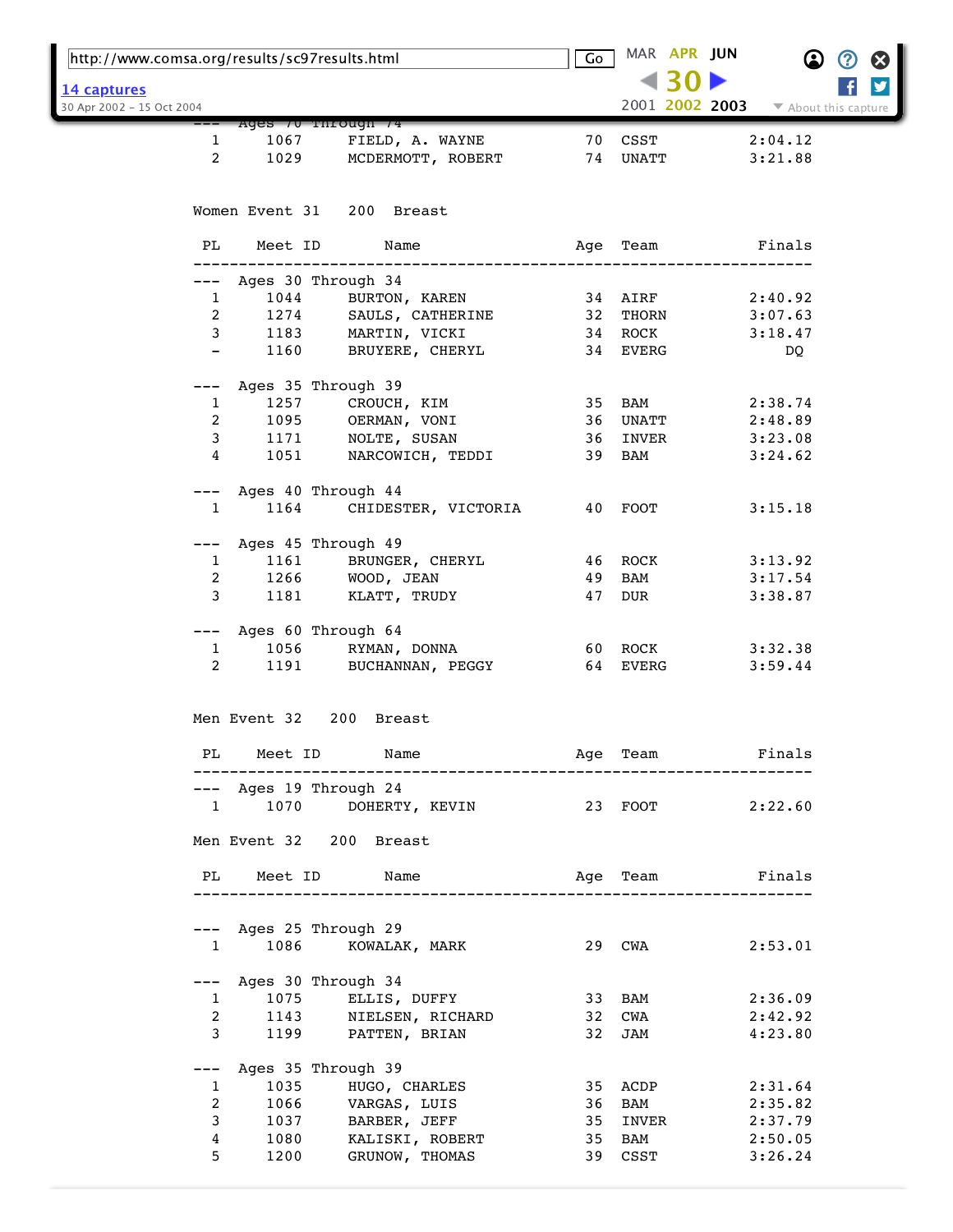| <u> 14 captures</u><br>2001 2002 2003<br>30 Apr 2002 - 15 Oct 2004<br>▼ About this capture<br>Ages / U Through /4<br>70 CSST<br>2:04.12<br>1067<br>FIELD, A. WAYNE<br>1<br>$\overline{2}$<br>1029<br>74 UNATT<br>MCDERMOTT, ROBERT<br>3:21.88<br>Women Event 31 200 Breast<br>Meet ID<br>PL<br>Name<br>Finals<br>Age Team<br>--- Ages 30 Through 34<br>1044 BURTON, KAREN<br>1274 SAULS, CATHERINE<br>1183 MARTIN, VICKI<br>$\mathbf{1}$<br>34 AIRF<br>2:40.92<br>$2^{\circ}$<br>32 THORN<br>3:07.63<br>3 <sup>7</sup><br>34 ROCK<br>3:18.47<br>1160<br>34 EVERG<br>BRUYERE, CHERYL<br>$-$<br>DQ<br>--- Ages 35 Through 39<br>1257 CROUCH, KIM<br>35 BAM<br>2:38.74<br>$\mathbf{1}$<br>$\overline{a}$<br>1095 OERMAN, VONI<br>36 UNATT<br>2:48.89<br>$\mathbf{3}$<br>1171<br>1051<br>NOLTE, SUSAN<br>36 INVER<br>3:23.08<br>4<br>NARCOWICH, TEDDI<br>39 BAM<br>3:24.62<br>--- Ages 40 Through 44<br>1164<br>CHIDESTER, VICTORIA 40 FOOT<br>$\mathbf{1}$<br>3:15.18<br>Ages 45 Through 49<br>1161 BRUNGER, CHERYL<br>46 ROCK<br>$\mathbf{1}$<br>3:13.92<br>$\overline{2}$<br>1266 WOOD, JEAN<br>BAM<br>49<br>3:17.54<br>3<br>1181 KLATT, TRUDY<br>47<br>DUR<br>3:38.87<br>--- Ages 60 Through 64<br>1056 RYMAN, DONNA<br>60 ROCK<br>3:32.38<br>$\mathbf{1}$<br>$2 \left( \frac{1}{2} \right)$<br>1191 BUCHANNAN, PEGGY<br>64 EVERG<br>3:59.44<br>Men Event 32 200 Breast<br>PL Meet ID Name<br>Age Team Finals<br>---------------------------------<br>--- Ages 19 Through 24<br>1 1070 DOHERTY, KEVIN 23 FOOT 2:22.60<br>Men Event 32 200 Breast<br>Age Team <b>Finals</b><br>PL Meet ID Name<br>--- Ages 25 Through 29<br>1086 KOWALAK, MARK 29 CWA 2:53.01<br>$1 \quad \blacksquare$<br>--- Ages 30 Through 34<br>1 1075 ELLIS, DUFFY<br>33 BAM<br>2:36.09<br>2 1143 NIELSEN, RICHARD<br>3 1199 PATTEN, BRIAN<br>32 CWA<br>2:42.92<br>32 JAM<br>4:23.80<br>--- Ages 35 Through 39<br>1035<br>HUGO, CHARLES<br>35 ACDP 2:31.64<br>$1 \quad \blacksquare$<br>$\overline{2}$<br>1066 VARGAS, LUIS<br>36 BAM<br>2:35.82<br>3<br>1037 BARBER, JEFF<br>35<br>INVER<br>2:37.79 | 4<br>1080 KALISKI, ROBERT<br>BAM<br>35<br>2:50.05<br>5.<br>1200<br>GRUNOW, THOMAS<br>39 CSST<br>3:26.24 | http://www.comsa.org/results/sc97results.html |  | Go | MAR APR JUN |  |
|---------------------------------------------------------------------------------------------------------------------------------------------------------------------------------------------------------------------------------------------------------------------------------------------------------------------------------------------------------------------------------------------------------------------------------------------------------------------------------------------------------------------------------------------------------------------------------------------------------------------------------------------------------------------------------------------------------------------------------------------------------------------------------------------------------------------------------------------------------------------------------------------------------------------------------------------------------------------------------------------------------------------------------------------------------------------------------------------------------------------------------------------------------------------------------------------------------------------------------------------------------------------------------------------------------------------------------------------------------------------------------------------------------------------------------------------------------------------------------------------------------------------------------------------------------------------------------------------------------------------------------------------------------------------------------------------------------------------------------------------------------------------------------------------------------------------------------------------------------------------------------------------------------------------------------------------------------------------------------------------------------------------------------------------------------------------------|---------------------------------------------------------------------------------------------------------|-----------------------------------------------|--|----|-------------|--|
|                                                                                                                                                                                                                                                                                                                                                                                                                                                                                                                                                                                                                                                                                                                                                                                                                                                                                                                                                                                                                                                                                                                                                                                                                                                                                                                                                                                                                                                                                                                                                                                                                                                                                                                                                                                                                                                                                                                                                                                                                                                                           |                                                                                                         |                                               |  |    |             |  |
|                                                                                                                                                                                                                                                                                                                                                                                                                                                                                                                                                                                                                                                                                                                                                                                                                                                                                                                                                                                                                                                                                                                                                                                                                                                                                                                                                                                                                                                                                                                                                                                                                                                                                                                                                                                                                                                                                                                                                                                                                                                                           |                                                                                                         |                                               |  |    |             |  |
|                                                                                                                                                                                                                                                                                                                                                                                                                                                                                                                                                                                                                                                                                                                                                                                                                                                                                                                                                                                                                                                                                                                                                                                                                                                                                                                                                                                                                                                                                                                                                                                                                                                                                                                                                                                                                                                                                                                                                                                                                                                                           |                                                                                                         |                                               |  |    |             |  |
|                                                                                                                                                                                                                                                                                                                                                                                                                                                                                                                                                                                                                                                                                                                                                                                                                                                                                                                                                                                                                                                                                                                                                                                                                                                                                                                                                                                                                                                                                                                                                                                                                                                                                                                                                                                                                                                                                                                                                                                                                                                                           |                                                                                                         |                                               |  |    |             |  |
|                                                                                                                                                                                                                                                                                                                                                                                                                                                                                                                                                                                                                                                                                                                                                                                                                                                                                                                                                                                                                                                                                                                                                                                                                                                                                                                                                                                                                                                                                                                                                                                                                                                                                                                                                                                                                                                                                                                                                                                                                                                                           |                                                                                                         |                                               |  |    |             |  |
|                                                                                                                                                                                                                                                                                                                                                                                                                                                                                                                                                                                                                                                                                                                                                                                                                                                                                                                                                                                                                                                                                                                                                                                                                                                                                                                                                                                                                                                                                                                                                                                                                                                                                                                                                                                                                                                                                                                                                                                                                                                                           |                                                                                                         |                                               |  |    |             |  |
|                                                                                                                                                                                                                                                                                                                                                                                                                                                                                                                                                                                                                                                                                                                                                                                                                                                                                                                                                                                                                                                                                                                                                                                                                                                                                                                                                                                                                                                                                                                                                                                                                                                                                                                                                                                                                                                                                                                                                                                                                                                                           |                                                                                                         |                                               |  |    |             |  |
|                                                                                                                                                                                                                                                                                                                                                                                                                                                                                                                                                                                                                                                                                                                                                                                                                                                                                                                                                                                                                                                                                                                                                                                                                                                                                                                                                                                                                                                                                                                                                                                                                                                                                                                                                                                                                                                                                                                                                                                                                                                                           |                                                                                                         |                                               |  |    |             |  |
|                                                                                                                                                                                                                                                                                                                                                                                                                                                                                                                                                                                                                                                                                                                                                                                                                                                                                                                                                                                                                                                                                                                                                                                                                                                                                                                                                                                                                                                                                                                                                                                                                                                                                                                                                                                                                                                                                                                                                                                                                                                                           |                                                                                                         |                                               |  |    |             |  |
|                                                                                                                                                                                                                                                                                                                                                                                                                                                                                                                                                                                                                                                                                                                                                                                                                                                                                                                                                                                                                                                                                                                                                                                                                                                                                                                                                                                                                                                                                                                                                                                                                                                                                                                                                                                                                                                                                                                                                                                                                                                                           |                                                                                                         |                                               |  |    |             |  |
|                                                                                                                                                                                                                                                                                                                                                                                                                                                                                                                                                                                                                                                                                                                                                                                                                                                                                                                                                                                                                                                                                                                                                                                                                                                                                                                                                                                                                                                                                                                                                                                                                                                                                                                                                                                                                                                                                                                                                                                                                                                                           |                                                                                                         |                                               |  |    |             |  |
|                                                                                                                                                                                                                                                                                                                                                                                                                                                                                                                                                                                                                                                                                                                                                                                                                                                                                                                                                                                                                                                                                                                                                                                                                                                                                                                                                                                                                                                                                                                                                                                                                                                                                                                                                                                                                                                                                                                                                                                                                                                                           |                                                                                                         |                                               |  |    |             |  |
|                                                                                                                                                                                                                                                                                                                                                                                                                                                                                                                                                                                                                                                                                                                                                                                                                                                                                                                                                                                                                                                                                                                                                                                                                                                                                                                                                                                                                                                                                                                                                                                                                                                                                                                                                                                                                                                                                                                                                                                                                                                                           |                                                                                                         |                                               |  |    |             |  |
|                                                                                                                                                                                                                                                                                                                                                                                                                                                                                                                                                                                                                                                                                                                                                                                                                                                                                                                                                                                                                                                                                                                                                                                                                                                                                                                                                                                                                                                                                                                                                                                                                                                                                                                                                                                                                                                                                                                                                                                                                                                                           |                                                                                                         |                                               |  |    |             |  |
|                                                                                                                                                                                                                                                                                                                                                                                                                                                                                                                                                                                                                                                                                                                                                                                                                                                                                                                                                                                                                                                                                                                                                                                                                                                                                                                                                                                                                                                                                                                                                                                                                                                                                                                                                                                                                                                                                                                                                                                                                                                                           |                                                                                                         |                                               |  |    |             |  |
|                                                                                                                                                                                                                                                                                                                                                                                                                                                                                                                                                                                                                                                                                                                                                                                                                                                                                                                                                                                                                                                                                                                                                                                                                                                                                                                                                                                                                                                                                                                                                                                                                                                                                                                                                                                                                                                                                                                                                                                                                                                                           |                                                                                                         |                                               |  |    |             |  |
|                                                                                                                                                                                                                                                                                                                                                                                                                                                                                                                                                                                                                                                                                                                                                                                                                                                                                                                                                                                                                                                                                                                                                                                                                                                                                                                                                                                                                                                                                                                                                                                                                                                                                                                                                                                                                                                                                                                                                                                                                                                                           |                                                                                                         |                                               |  |    |             |  |
|                                                                                                                                                                                                                                                                                                                                                                                                                                                                                                                                                                                                                                                                                                                                                                                                                                                                                                                                                                                                                                                                                                                                                                                                                                                                                                                                                                                                                                                                                                                                                                                                                                                                                                                                                                                                                                                                                                                                                                                                                                                                           |                                                                                                         |                                               |  |    |             |  |
|                                                                                                                                                                                                                                                                                                                                                                                                                                                                                                                                                                                                                                                                                                                                                                                                                                                                                                                                                                                                                                                                                                                                                                                                                                                                                                                                                                                                                                                                                                                                                                                                                                                                                                                                                                                                                                                                                                                                                                                                                                                                           |                                                                                                         |                                               |  |    |             |  |
|                                                                                                                                                                                                                                                                                                                                                                                                                                                                                                                                                                                                                                                                                                                                                                                                                                                                                                                                                                                                                                                                                                                                                                                                                                                                                                                                                                                                                                                                                                                                                                                                                                                                                                                                                                                                                                                                                                                                                                                                                                                                           |                                                                                                         |                                               |  |    |             |  |
|                                                                                                                                                                                                                                                                                                                                                                                                                                                                                                                                                                                                                                                                                                                                                                                                                                                                                                                                                                                                                                                                                                                                                                                                                                                                                                                                                                                                                                                                                                                                                                                                                                                                                                                                                                                                                                                                                                                                                                                                                                                                           |                                                                                                         |                                               |  |    |             |  |
|                                                                                                                                                                                                                                                                                                                                                                                                                                                                                                                                                                                                                                                                                                                                                                                                                                                                                                                                                                                                                                                                                                                                                                                                                                                                                                                                                                                                                                                                                                                                                                                                                                                                                                                                                                                                                                                                                                                                                                                                                                                                           |                                                                                                         |                                               |  |    |             |  |
|                                                                                                                                                                                                                                                                                                                                                                                                                                                                                                                                                                                                                                                                                                                                                                                                                                                                                                                                                                                                                                                                                                                                                                                                                                                                                                                                                                                                                                                                                                                                                                                                                                                                                                                                                                                                                                                                                                                                                                                                                                                                           |                                                                                                         |                                               |  |    |             |  |
|                                                                                                                                                                                                                                                                                                                                                                                                                                                                                                                                                                                                                                                                                                                                                                                                                                                                                                                                                                                                                                                                                                                                                                                                                                                                                                                                                                                                                                                                                                                                                                                                                                                                                                                                                                                                                                                                                                                                                                                                                                                                           |                                                                                                         |                                               |  |    |             |  |
|                                                                                                                                                                                                                                                                                                                                                                                                                                                                                                                                                                                                                                                                                                                                                                                                                                                                                                                                                                                                                                                                                                                                                                                                                                                                                                                                                                                                                                                                                                                                                                                                                                                                                                                                                                                                                                                                                                                                                                                                                                                                           |                                                                                                         |                                               |  |    |             |  |
|                                                                                                                                                                                                                                                                                                                                                                                                                                                                                                                                                                                                                                                                                                                                                                                                                                                                                                                                                                                                                                                                                                                                                                                                                                                                                                                                                                                                                                                                                                                                                                                                                                                                                                                                                                                                                                                                                                                                                                                                                                                                           |                                                                                                         |                                               |  |    |             |  |
|                                                                                                                                                                                                                                                                                                                                                                                                                                                                                                                                                                                                                                                                                                                                                                                                                                                                                                                                                                                                                                                                                                                                                                                                                                                                                                                                                                                                                                                                                                                                                                                                                                                                                                                                                                                                                                                                                                                                                                                                                                                                           |                                                                                                         |                                               |  |    |             |  |
|                                                                                                                                                                                                                                                                                                                                                                                                                                                                                                                                                                                                                                                                                                                                                                                                                                                                                                                                                                                                                                                                                                                                                                                                                                                                                                                                                                                                                                                                                                                                                                                                                                                                                                                                                                                                                                                                                                                                                                                                                                                                           |                                                                                                         |                                               |  |    |             |  |
|                                                                                                                                                                                                                                                                                                                                                                                                                                                                                                                                                                                                                                                                                                                                                                                                                                                                                                                                                                                                                                                                                                                                                                                                                                                                                                                                                                                                                                                                                                                                                                                                                                                                                                                                                                                                                                                                                                                                                                                                                                                                           |                                                                                                         |                                               |  |    |             |  |
|                                                                                                                                                                                                                                                                                                                                                                                                                                                                                                                                                                                                                                                                                                                                                                                                                                                                                                                                                                                                                                                                                                                                                                                                                                                                                                                                                                                                                                                                                                                                                                                                                                                                                                                                                                                                                                                                                                                                                                                                                                                                           |                                                                                                         |                                               |  |    |             |  |
|                                                                                                                                                                                                                                                                                                                                                                                                                                                                                                                                                                                                                                                                                                                                                                                                                                                                                                                                                                                                                                                                                                                                                                                                                                                                                                                                                                                                                                                                                                                                                                                                                                                                                                                                                                                                                                                                                                                                                                                                                                                                           |                                                                                                         |                                               |  |    |             |  |
|                                                                                                                                                                                                                                                                                                                                                                                                                                                                                                                                                                                                                                                                                                                                                                                                                                                                                                                                                                                                                                                                                                                                                                                                                                                                                                                                                                                                                                                                                                                                                                                                                                                                                                                                                                                                                                                                                                                                                                                                                                                                           |                                                                                                         |                                               |  |    |             |  |
|                                                                                                                                                                                                                                                                                                                                                                                                                                                                                                                                                                                                                                                                                                                                                                                                                                                                                                                                                                                                                                                                                                                                                                                                                                                                                                                                                                                                                                                                                                                                                                                                                                                                                                                                                                                                                                                                                                                                                                                                                                                                           |                                                                                                         |                                               |  |    |             |  |
|                                                                                                                                                                                                                                                                                                                                                                                                                                                                                                                                                                                                                                                                                                                                                                                                                                                                                                                                                                                                                                                                                                                                                                                                                                                                                                                                                                                                                                                                                                                                                                                                                                                                                                                                                                                                                                                                                                                                                                                                                                                                           |                                                                                                         |                                               |  |    |             |  |
|                                                                                                                                                                                                                                                                                                                                                                                                                                                                                                                                                                                                                                                                                                                                                                                                                                                                                                                                                                                                                                                                                                                                                                                                                                                                                                                                                                                                                                                                                                                                                                                                                                                                                                                                                                                                                                                                                                                                                                                                                                                                           |                                                                                                         |                                               |  |    |             |  |
|                                                                                                                                                                                                                                                                                                                                                                                                                                                                                                                                                                                                                                                                                                                                                                                                                                                                                                                                                                                                                                                                                                                                                                                                                                                                                                                                                                                                                                                                                                                                                                                                                                                                                                                                                                                                                                                                                                                                                                                                                                                                           |                                                                                                         |                                               |  |    |             |  |
|                                                                                                                                                                                                                                                                                                                                                                                                                                                                                                                                                                                                                                                                                                                                                                                                                                                                                                                                                                                                                                                                                                                                                                                                                                                                                                                                                                                                                                                                                                                                                                                                                                                                                                                                                                                                                                                                                                                                                                                                                                                                           |                                                                                                         |                                               |  |    |             |  |
|                                                                                                                                                                                                                                                                                                                                                                                                                                                                                                                                                                                                                                                                                                                                                                                                                                                                                                                                                                                                                                                                                                                                                                                                                                                                                                                                                                                                                                                                                                                                                                                                                                                                                                                                                                                                                                                                                                                                                                                                                                                                           |                                                                                                         |                                               |  |    |             |  |
|                                                                                                                                                                                                                                                                                                                                                                                                                                                                                                                                                                                                                                                                                                                                                                                                                                                                                                                                                                                                                                                                                                                                                                                                                                                                                                                                                                                                                                                                                                                                                                                                                                                                                                                                                                                                                                                                                                                                                                                                                                                                           |                                                                                                         |                                               |  |    |             |  |
|                                                                                                                                                                                                                                                                                                                                                                                                                                                                                                                                                                                                                                                                                                                                                                                                                                                                                                                                                                                                                                                                                                                                                                                                                                                                                                                                                                                                                                                                                                                                                                                                                                                                                                                                                                                                                                                                                                                                                                                                                                                                           |                                                                                                         |                                               |  |    |             |  |
|                                                                                                                                                                                                                                                                                                                                                                                                                                                                                                                                                                                                                                                                                                                                                                                                                                                                                                                                                                                                                                                                                                                                                                                                                                                                                                                                                                                                                                                                                                                                                                                                                                                                                                                                                                                                                                                                                                                                                                                                                                                                           |                                                                                                         |                                               |  |    |             |  |
|                                                                                                                                                                                                                                                                                                                                                                                                                                                                                                                                                                                                                                                                                                                                                                                                                                                                                                                                                                                                                                                                                                                                                                                                                                                                                                                                                                                                                                                                                                                                                                                                                                                                                                                                                                                                                                                                                                                                                                                                                                                                           |                                                                                                         |                                               |  |    |             |  |
|                                                                                                                                                                                                                                                                                                                                                                                                                                                                                                                                                                                                                                                                                                                                                                                                                                                                                                                                                                                                                                                                                                                                                                                                                                                                                                                                                                                                                                                                                                                                                                                                                                                                                                                                                                                                                                                                                                                                                                                                                                                                           |                                                                                                         |                                               |  |    |             |  |
|                                                                                                                                                                                                                                                                                                                                                                                                                                                                                                                                                                                                                                                                                                                                                                                                                                                                                                                                                                                                                                                                                                                                                                                                                                                                                                                                                                                                                                                                                                                                                                                                                                                                                                                                                                                                                                                                                                                                                                                                                                                                           |                                                                                                         |                                               |  |    |             |  |
|                                                                                                                                                                                                                                                                                                                                                                                                                                                                                                                                                                                                                                                                                                                                                                                                                                                                                                                                                                                                                                                                                                                                                                                                                                                                                                                                                                                                                                                                                                                                                                                                                                                                                                                                                                                                                                                                                                                                                                                                                                                                           |                                                                                                         |                                               |  |    |             |  |
|                                                                                                                                                                                                                                                                                                                                                                                                                                                                                                                                                                                                                                                                                                                                                                                                                                                                                                                                                                                                                                                                                                                                                                                                                                                                                                                                                                                                                                                                                                                                                                                                                                                                                                                                                                                                                                                                                                                                                                                                                                                                           |                                                                                                         |                                               |  |    |             |  |
|                                                                                                                                                                                                                                                                                                                                                                                                                                                                                                                                                                                                                                                                                                                                                                                                                                                                                                                                                                                                                                                                                                                                                                                                                                                                                                                                                                                                                                                                                                                                                                                                                                                                                                                                                                                                                                                                                                                                                                                                                                                                           |                                                                                                         |                                               |  |    |             |  |
|                                                                                                                                                                                                                                                                                                                                                                                                                                                                                                                                                                                                                                                                                                                                                                                                                                                                                                                                                                                                                                                                                                                                                                                                                                                                                                                                                                                                                                                                                                                                                                                                                                                                                                                                                                                                                                                                                                                                                                                                                                                                           |                                                                                                         |                                               |  |    |             |  |
|                                                                                                                                                                                                                                                                                                                                                                                                                                                                                                                                                                                                                                                                                                                                                                                                                                                                                                                                                                                                                                                                                                                                                                                                                                                                                                                                                                                                                                                                                                                                                                                                                                                                                                                                                                                                                                                                                                                                                                                                                                                                           |                                                                                                         |                                               |  |    |             |  |
|                                                                                                                                                                                                                                                                                                                                                                                                                                                                                                                                                                                                                                                                                                                                                                                                                                                                                                                                                                                                                                                                                                                                                                                                                                                                                                                                                                                                                                                                                                                                                                                                                                                                                                                                                                                                                                                                                                                                                                                                                                                                           |                                                                                                         |                                               |  |    |             |  |
|                                                                                                                                                                                                                                                                                                                                                                                                                                                                                                                                                                                                                                                                                                                                                                                                                                                                                                                                                                                                                                                                                                                                                                                                                                                                                                                                                                                                                                                                                                                                                                                                                                                                                                                                                                                                                                                                                                                                                                                                                                                                           |                                                                                                         |                                               |  |    |             |  |
|                                                                                                                                                                                                                                                                                                                                                                                                                                                                                                                                                                                                                                                                                                                                                                                                                                                                                                                                                                                                                                                                                                                                                                                                                                                                                                                                                                                                                                                                                                                                                                                                                                                                                                                                                                                                                                                                                                                                                                                                                                                                           |                                                                                                         |                                               |  |    |             |  |
|                                                                                                                                                                                                                                                                                                                                                                                                                                                                                                                                                                                                                                                                                                                                                                                                                                                                                                                                                                                                                                                                                                                                                                                                                                                                                                                                                                                                                                                                                                                                                                                                                                                                                                                                                                                                                                                                                                                                                                                                                                                                           |                                                                                                         |                                               |  |    |             |  |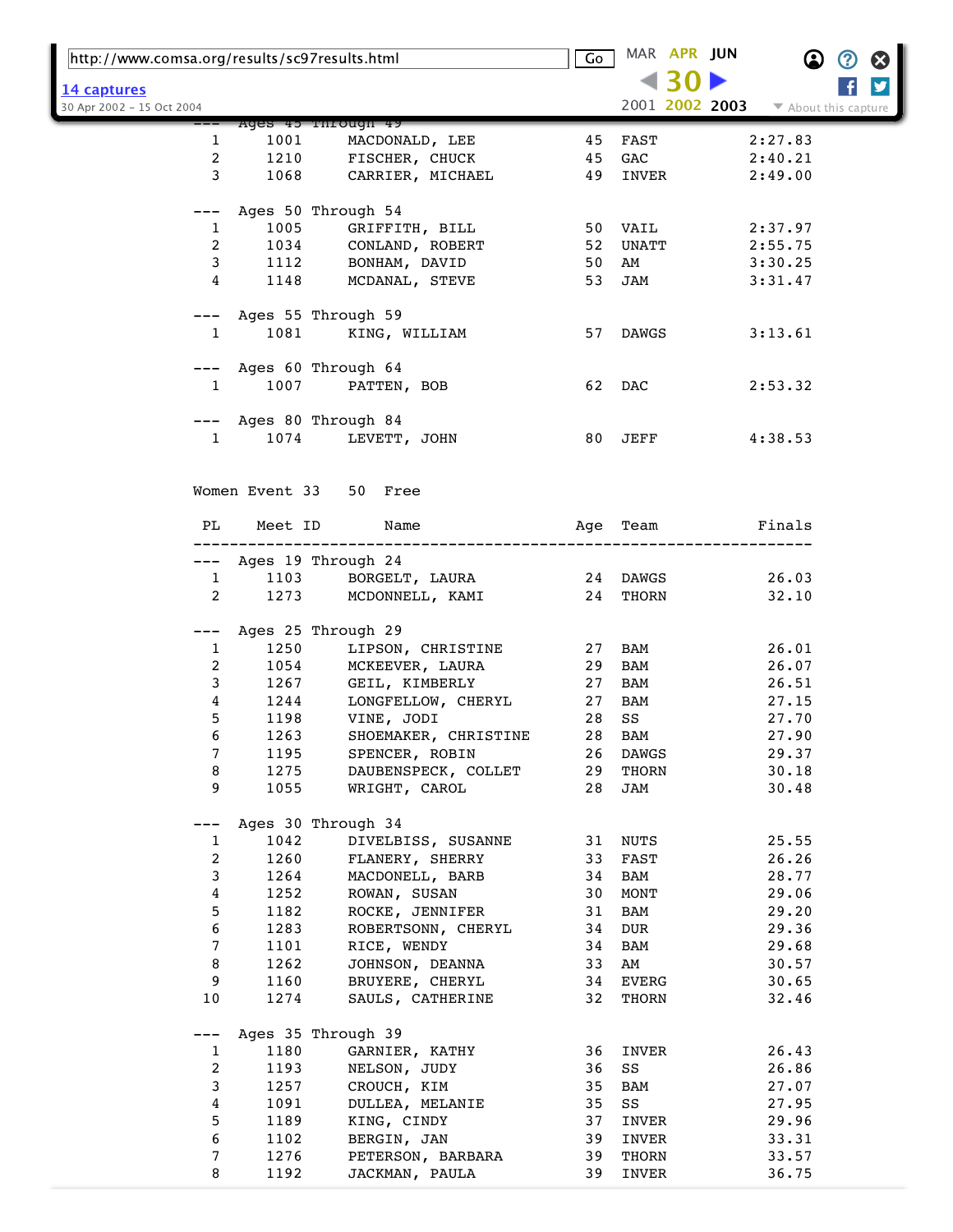| http://www.comsa.org/results/sc97results.html |                        |                      | Go | MAR APR JUN    | $\bf \Omega$<br>②    | $\boldsymbol{\Omega}$   |
|-----------------------------------------------|------------------------|----------------------|----|----------------|----------------------|-------------------------|
| 14 captures                                   |                        |                      |    |                |                      | $\overline{\mathbf{y}}$ |
| 30 Apr 2002 - 15 Oct 2004                     |                        |                      |    | 2001 2002 2003 | ▼ About this capture |                         |
|                                               | Ages 45 Through 49     |                      |    |                |                      |                         |
| 1                                             | 1001                   | MACDONALD, LEE       | 45 | FAST           | 2:27.83              |                         |
| $\overline{a}$                                | 1210                   | FISCHER, CHUCK       | 45 | GAC            | 2:40.21              |                         |
| 3                                             | 1068                   | CARRIER, MICHAEL     | 49 | INVER          | 2:49.00              |                         |
|                                               | Ages 50 Through 54     |                      |    |                |                      |                         |
| 1                                             | 1005                   | GRIFFITH, BILL       |    | 50 VAIL        | 2:37.97              |                         |
| $\overline{2}$                                | 1034                   | CONLAND, ROBERT      | 52 | UNATT          | 2:55.75              |                         |
| 3                                             |                        | 1112 BONHAM, DAVID   | 50 | AM             | 3:30.25              |                         |
| 4                                             | 1148                   | MCDANAL, STEVE       | 53 | JAM            | 3:31.47              |                         |
|                                               | Ages 55 Through 59     |                      |    |                |                      |                         |
| $\mathbf{1}$                                  | 1081                   | KING, WILLIAM        |    | 57 DAWGS       | 3:13.61              |                         |
|                                               |                        |                      |    |                |                      |                         |
|                                               | Ages 60 Through 64     |                      |    |                |                      |                         |
| $\mathbf{1}$                                  | 1007                   | PATTEN, BOB          |    | 62 DAC         | 2:53.32              |                         |
|                                               | Ages 80 Through 84     |                      |    |                |                      |                         |
| $\mathbf{1}$                                  | 1074                   | LEVETT, JOHN         | 80 | JEFF           | 4:38.53              |                         |
|                                               |                        |                      |    |                |                      |                         |
|                                               | Women Event 33 50 Free |                      |    |                |                      |                         |
| PL                                            | Meet ID                | Name                 |    | Age Team       | Finals               |                         |
| ———                                           | Ages 19 Through 24     |                      |    |                |                      |                         |
| $\mathbf{1}$                                  |                        | 1103 BORGELT, LAURA  |    | 24 DAWGS       | 26.03                |                         |
| $\overline{2}$                                | 1273                   | MCDONNELL, KAMI      |    | 24 THORN       | 32.10                |                         |
|                                               |                        |                      |    |                |                      |                         |
| ---                                           | Ages 25 Through 29     |                      |    |                |                      |                         |
| $\mathbf{1}$                                  | 1250                   | LIPSON, CHRISTINE    | 27 | BAM            | 26.01                |                         |
| 2                                             | 1054                   | MCKEEVER, LAURA      | 29 | BAM            | 26.07                |                         |
| 3                                             |                        | 1267 GEIL, KIMBERLY  | 27 | BAM            | 26.51                |                         |
| 4                                             | 1244                   | LONGFELLOW, CHERYL   | 27 | BAM            | 27.15                |                         |
| 5                                             |                        | 1198 VINE, JODI      | 28 | SS             | 27.70                |                         |
| 6                                             | 1263                   | SHOEMAKER, CHRISTINE | 28 | <b>BAM</b>     | 27.90                |                         |
| 7                                             | 1195                   | SPENCER, ROBIN       | 26 | DAWGS          | 29.37                |                         |
| 8                                             | 1275                   | DAUBENSPECK, COLLET  | 29 | THORN          | 30.18                |                         |
| 9                                             | 1055                   | WRIGHT, CAROL        | 28 | JAM            | 30.48                |                         |
|                                               | Ages 30 Through 34     |                      |    |                |                      |                         |
| 1                                             | 1042                   | DIVELBISS, SUSANNE   | 31 | NUTS           | 25.55                |                         |
| 2                                             | 1260                   | FLANERY, SHERRY      | 33 | FAST           | 26.26                |                         |
| $\mathsf{3}$                                  | 1264                   | MACDONELL, BARB      | 34 | BAM            | 28.77                |                         |
| 4                                             | 1252                   | ROWAN, SUSAN         | 30 | MONT           | 29.06                |                         |
| 5                                             | 1182                   | ROCKE, JENNIFER      | 31 | BAM            | 29.20                |                         |
| 6                                             | 1283                   | ROBERTSONN, CHERYL   | 34 | DUR            | 29.36                |                         |
| 7                                             | 1101                   | RICE, WENDY          | 34 | BAM            | 29.68                |                         |
| 8                                             | 1262                   | JOHNSON, DEANNA      | 33 | AM             | 30.57                |                         |
| 9                                             | 1160                   | BRUYERE, CHERYL      | 34 | EVERG          | 30.65                |                         |
| 10                                            | 1274                   | SAULS, CATHERINE     | 32 | THORN          | 32.46                |                         |
|                                               | Ages 35 Through 39     |                      |    |                |                      |                         |
| $\mathbf{1}$                                  | 1180                   | GARNIER, KATHY       | 36 | INVER          | 26.43                |                         |
| $\overline{c}$                                | 1193                   | NELSON, JUDY         | 36 | SS             | 26.86                |                         |
| 3                                             | 1257                   | CROUCH, KIM          | 35 | BAM            | 27.07                |                         |
| 4                                             | 1091                   | DULLEA, MELANIE      | 35 | SS             | 27.95                |                         |
| 5                                             | 1189                   | KING, CINDY          | 37 | INVER          | 29.96                |                         |
| 6                                             | 1102                   | BERGIN, JAN          | 39 | INVER          | 33.31                |                         |
| 7                                             | 1276                   | PETERSON, BARBARA    | 39 | THORN          | 33.57                |                         |
| 8                                             | 1192                   | JACKMAN, PAULA       | 39 | INVER          | 36.75                |                         |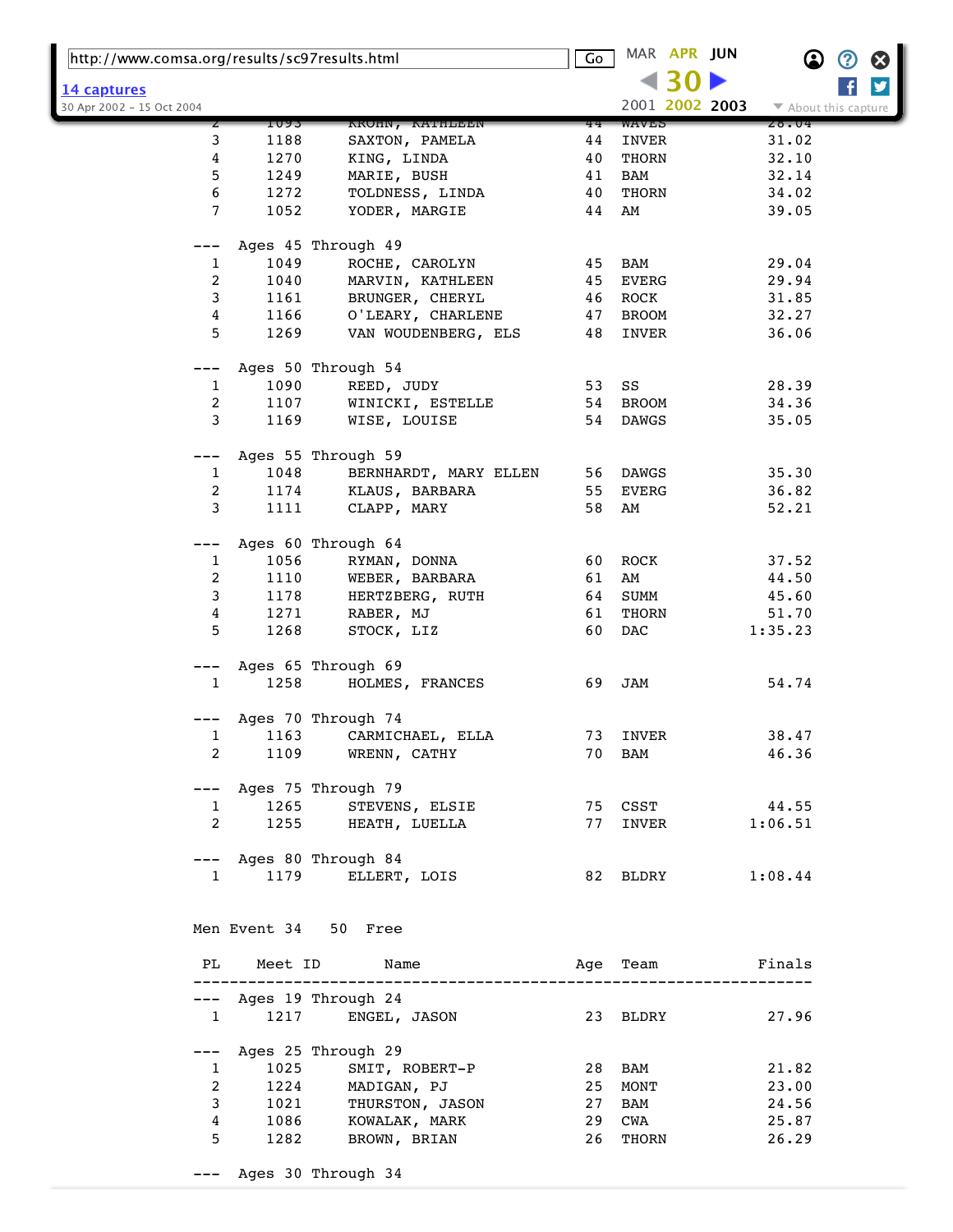| http://www.comsa.org/results/sc97results.html |                        |                                             | Go | MAR APR JUN                     | $\bf \Omega$         | $\bm{\mathcal{O}}$<br>$\boldsymbol{\omega}$ |
|-----------------------------------------------|------------------------|---------------------------------------------|----|---------------------------------|----------------------|---------------------------------------------|
| 14 captures                                   |                        |                                             |    |                                 |                      | $\overline{\mathbf{y}}$                     |
| 30 Apr 2002 - 15 Oct 2004                     |                        |                                             |    | 2001 2002 2003                  | ▼ About this capture |                                             |
|                                               | 1093                   | KROHN, KATHLEEN                             | 44 | WAVES                           | 28.04                |                                             |
| 3                                             | 1188                   | SAXTON, PAMELA                              | 44 | INVER                           | 31.02                |                                             |
| 4                                             | 1270                   | KING, LINDA                                 | 40 | THORN                           | 32.10                |                                             |
| 5                                             | 1249                   | MARIE, BUSH                                 | 41 | <b>BAM</b>                      | 32.14                |                                             |
| 6                                             | 1272                   | TOLDNESS, LINDA                             | 40 | $\operatorname{\mathsf{THORN}}$ | 34.02                |                                             |
| 7                                             | 1052                   | YODER, MARGIE                               | 44 | AM                              | 39.05                |                                             |
| $---$                                         |                        | Ages 45 Through 49                          |    |                                 |                      |                                             |
| 1                                             | 1049                   | ROCHE, CAROLYN                              | 45 | BAM                             | 29.04                |                                             |
| 2                                             | 1040                   | MARVIN, KATHLEEN                            | 45 | <b>EVERG</b>                    | 29.94                |                                             |
| 3                                             | 1161                   | BRUNGER, CHERYL                             | 46 | ROCK                            | 31.85                |                                             |
| 4                                             | 1166                   | O'LEARY, CHARLENE                           | 47 | BROOM                           | 32.27                |                                             |
| 5                                             | 1269                   | VAN WOUDENBERG, ELS                         | 48 | INVER                           | 36.06                |                                             |
|                                               |                        | Ages 50 Through 54                          |    |                                 |                      |                                             |
| 1                                             | 1090                   | REED, JUDY                                  | 53 | SS                              | 28.39                |                                             |
| 2                                             | 1107                   | WINICKI, ESTELLE                            | 54 | <b>BROOM</b>                    | 34.36                |                                             |
| 3                                             | 1169                   | WISE, LOUISE                                | 54 | DAWGS                           | 35.05                |                                             |
|                                               |                        |                                             |    |                                 |                      |                                             |
|                                               |                        | Ages 55 Through 59                          |    |                                 |                      |                                             |
| $\mathbf{1}$                                  | 1048                   | BERNHARDT, MARY ELLEN                       | 56 | DAWGS                           | 35.30                |                                             |
| 2                                             | 1174                   | KLAUS, BARBARA                              | 55 | EVERG                           | 36.82                |                                             |
| 3                                             | 1111                   | CLAPP, MARY                                 | 58 | AM                              | 52.21                |                                             |
| ---                                           |                        | Ages 60 Through 64                          |    |                                 |                      |                                             |
| 1                                             | 1056                   | RYMAN, DONNA                                | 60 | ROCK                            | 37.52                |                                             |
| 2                                             | 1110                   | WEBER, BARBARA                              | 61 | AM                              | 44.50                |                                             |
| 3                                             | 1178                   | HERTZBERG, RUTH                             | 64 | SUMM                            | 45.60                |                                             |
| 4                                             | 1271                   | RABER, MJ                                   | 61 | THORN                           | 51.70                |                                             |
| 5                                             | 1268                   | STOCK, LIZ                                  | 60 | DAC                             | 1:35.23              |                                             |
|                                               |                        |                                             |    |                                 |                      |                                             |
| $---$                                         |                        | Ages 65 Through 69                          |    |                                 |                      |                                             |
| 1                                             | 1258                   | HOLMES, FRANCES                             | 69 | JAM                             | 54.74                |                                             |
| ---                                           |                        | Ages 70 Through 74                          |    |                                 |                      |                                             |
| 1                                             | 1163                   | CARMICHAEL, ELLA                            | 73 | INVER                           | 38.47                |                                             |
| $\overline{2}$                                |                        | 1109 WRENN, CATHY                           |    | 70 BAM                          | 46.36                |                                             |
|                                               |                        | --- Ages 75 Through 79                      |    |                                 |                      |                                             |
| $\mathbf{1}$                                  |                        | 1265 STEVENS, ELSIE                         |    |                                 | 75 CSST 44.55        |                                             |
| $\overline{2}$                                |                        | 1255 HEATH, LUELLA                          | 77 | INVER                           | 1:06.51              |                                             |
|                                               |                        |                                             |    |                                 |                      |                                             |
|                                               | $1 \quad \blacksquare$ | --- Ages 80 Through 84<br>1179 ELLERT, LOIS |    |                                 | 82 BLDRY 1:08.44     |                                             |
|                                               |                        |                                             |    |                                 |                      |                                             |
|                                               |                        | Men Event 34 50 Free                        |    |                                 |                      |                                             |
|                                               |                        |                                             |    |                                 |                      |                                             |
|                                               |                        | PL Meet ID Name<br>---------------------    |    |                                 | Age Team     Finals  |                                             |
|                                               |                        | --- Ages 19 Through 24                      |    |                                 |                      |                                             |
|                                               |                        | 1 1217 ENGEL, JASON                         |    | 23 BLDRY                        | 27.96                |                                             |
|                                               |                        |                                             |    |                                 |                      |                                             |
| $---$                                         |                        | Ages 25 Through 29                          |    |                                 |                      |                                             |
| $\mathbf{1}$                                  | 1025                   | SMIT, ROBERT-P                              |    | 28 BAM                          | 21.82                |                                             |
| 2                                             |                        | 1224 MADIGAN, PJ                            | 25 | MONT                            | 23.00                |                                             |
| 3                                             |                        | 1021 THURSTON, JASON                        | 27 | BAM                             | 24.56                |                                             |
| 4                                             |                        | 1086 KOWALAK, MARK                          | 29 | <b>CWA</b>                      | 25.87                |                                             |
| 5.                                            |                        | 1282 BROWN, BRIAN                           | 26 | THORN                           | 26.29                |                                             |
|                                               |                        | --- Ages 30 Through 34                      |    |                                 |                      |                                             |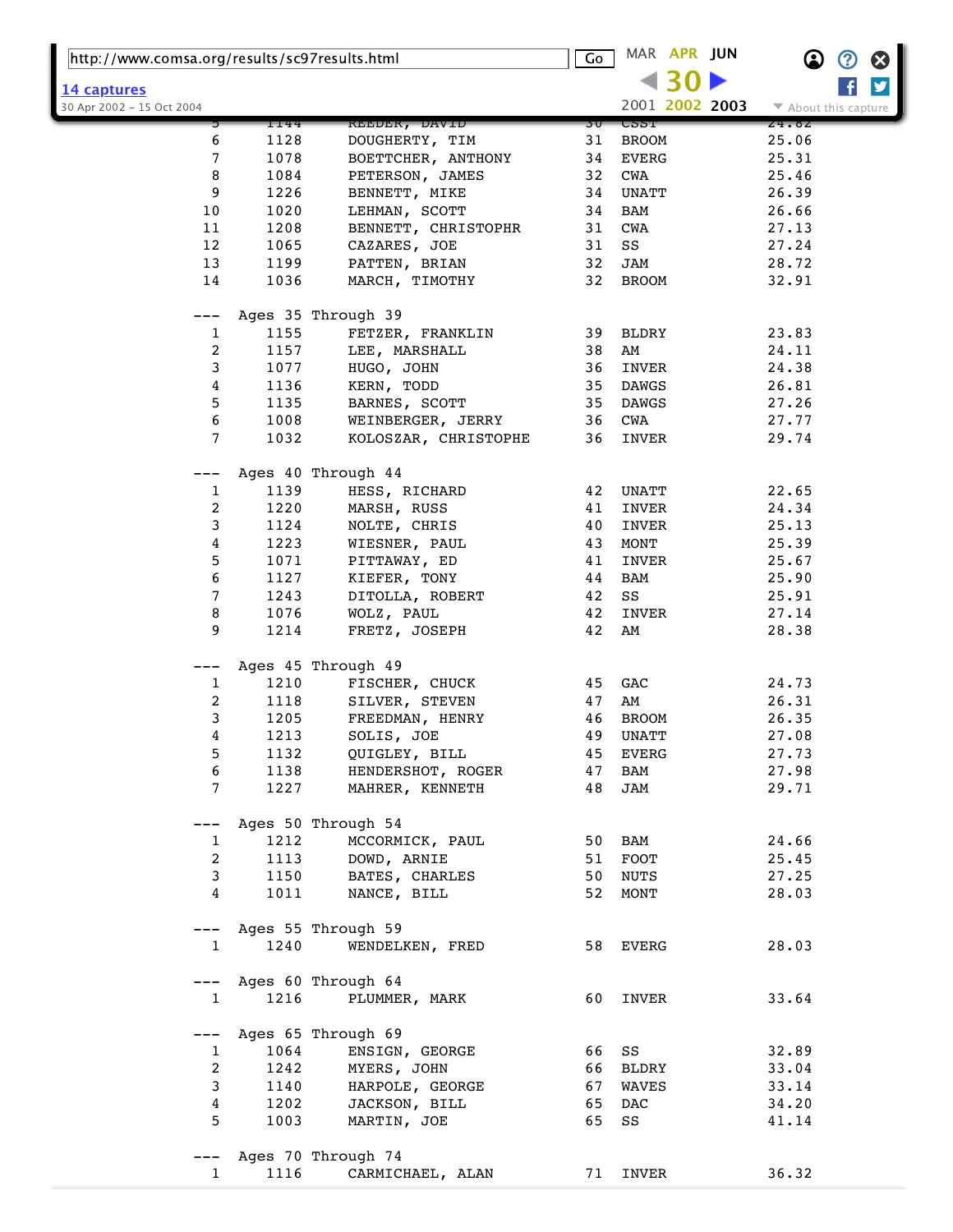| http://www.comsa.org/results/sc97results.html |      |                      | Go   | MAR APR JUN    | $\bf \Omega$<br>$\bm{\bm{\mathrm{O}}}$<br>⊗ |
|-----------------------------------------------|------|----------------------|------|----------------|---------------------------------------------|
|                                               |      |                      |      | 30             | y                                           |
| 14 captures<br>30 Apr 2002 - 15 Oct 2004      |      |                      |      | 2001 2002 2003 | ▼ About this capture                        |
|                                               | 1144 | <b>KEEDER, DAVID</b> | 30 I | င္မွာဘူ        | 24.62                                       |
| 6                                             | 1128 | DOUGHERTY, TIM       | 31   | <b>BROOM</b>   | 25.06                                       |
| 7                                             | 1078 | BOETTCHER, ANTHONY   | 34   | <b>EVERG</b>   | 25.31                                       |
| 8                                             | 1084 | PETERSON, JAMES      | 32   | CWA            | 25.46                                       |
| 9                                             | 1226 | BENNETT, MIKE        | 34   | UNATT          | 26.39                                       |
| 10                                            | 1020 | LEHMAN, SCOTT        | 34   | BAM            | 26.66                                       |
| 11                                            | 1208 | BENNETT, CHRISTOPHR  | 31   | CWA            | 27.13                                       |
| 12                                            | 1065 | CAZARES, JOE         | 31   | SS             | 27.24                                       |
| 13                                            | 1199 | PATTEN, BRIAN        | 32   | JAM            | 28.72                                       |
| 14                                            | 1036 | MARCH, TIMOTHY       | 32   | <b>BROOM</b>   | 32.91                                       |
|                                               |      |                      |      |                |                                             |
| ---                                           |      | Ages 35 Through 39   |      |                |                                             |
| 1                                             | 1155 | FETZER, FRANKLIN     | 39   | BLDRY          | 23.83                                       |
| 2                                             | 1157 | LEE, MARSHALL        | 38   | AM             | 24.11                                       |
| 3                                             | 1077 | HUGO, JOHN           | 36   | INVER          | 24.38                                       |
| 4                                             | 1136 | KERN, TODD           | 35   | DAWGS          | 26.81                                       |
| 5                                             | 1135 |                      | 35   | DAWGS          | 27.26                                       |
| 6                                             |      | BARNES, SCOTT        |      |                | 27.77                                       |
| $\overline{7}$                                | 1008 | WEINBERGER, JERRY    | 36   | CWA            |                                             |
|                                               | 1032 | KOLOSZAR, CHRISTOPHE | 36   | INVER          | 29.74                                       |
|                                               |      |                      |      |                |                                             |
|                                               |      | Ages 40 Through 44   |      |                |                                             |
| 1                                             | 1139 | HESS, RICHARD        | 42   | UNATT          | 22.65                                       |
| 2                                             | 1220 | MARSH, RUSS          | 41   | INVER          | 24.34                                       |
| 3                                             | 1124 | NOLTE, CHRIS         | 40   | INVER          | 25.13                                       |
| 4                                             | 1223 | WIESNER, PAUL        | 43   | MONT           | 25.39                                       |
| 5                                             | 1071 | PITTAWAY, ED         | 41   | INVER          | 25.67                                       |
| 6                                             | 1127 | KIEFER, TONY         | 44   | BAM            | 25.90                                       |
| 7                                             | 1243 | DITOLLA, ROBERT      | 42   | SS             | 25.91                                       |
| 8                                             | 1076 | WOLZ, PAUL           | 42   | INVER          | 27.14                                       |
| 9                                             | 1214 | FRETZ, JOSEPH        | 42   | AM             | 28.38                                       |
|                                               |      |                      |      |                |                                             |
| ---                                           |      | Ages 45 Through 49   |      |                |                                             |
| 1                                             | 1210 | FISCHER, CHUCK       | 45   | GAC            | 24.73                                       |
| 2                                             | 1118 | SILVER, STEVEN       | 47   | AM             | 26.31                                       |
| 3                                             | 1205 | FREEDMAN, HENRY      | 46   | <b>BROOM</b>   | 26.35                                       |
| 4                                             | 1213 | SOLIS, JOE           | 49   | UNATT          | 27.08                                       |
| 5                                             | 1132 | QUIGLEY, BILL        | 45   | EVERG          | 27.73                                       |
| 6                                             | 1138 | HENDERSHOT, ROGER    | 47   | BAM            | 27.98                                       |
| 7                                             | 1227 | MAHRER, KENNETH      | 48   | JAM            | 29.71                                       |
|                                               |      |                      |      |                |                                             |
|                                               |      | Ages 50 Through 54   |      |                |                                             |
| 1                                             | 1212 | MCCORMICK, PAUL      | 50   | BAM            | 24.66                                       |
| 2                                             | 1113 | DOWD, ARNIE          | 51   | FOOT           | 25.45                                       |
| 3                                             | 1150 | BATES, CHARLES       | 50   | <b>NUTS</b>    | 27.25                                       |
| 4                                             | 1011 | NANCE, BILL          | 52   | MONT           | 28.03                                       |
|                                               |      |                      |      |                |                                             |
| $---$                                         |      | Ages 55 Through 59   |      |                |                                             |
| 1                                             | 1240 | WENDELKEN, FRED      |      | 58 EVERG       | 28.03                                       |
|                                               |      |                      |      |                |                                             |
| $---$                                         |      | Ages 60 Through 64   |      |                |                                             |
| 1                                             | 1216 | PLUMMER, MARK        | 60   | INVER          | 33.64                                       |
|                                               |      |                      |      |                |                                             |
| ---                                           |      | Ages 65 Through 69   |      |                |                                             |
| 1                                             | 1064 | ENSIGN, GEORGE       | 66   | SS             | 32.89                                       |
| 2                                             | 1242 | MYERS, JOHN          | 66   | BLDRY          | 33.04                                       |
| 3                                             | 1140 | HARPOLE, GEORGE      | 67   | WAVES          | 33.14                                       |
| 4                                             | 1202 | JACKSON, BILL        | 65   | DAC            | 34.20                                       |
| 5                                             | 1003 | MARTIN, JOE          | 65   | SS             | 41.14                                       |
|                                               |      |                      |      |                |                                             |
|                                               |      | Ages 70 Through 74   |      |                |                                             |
| $\mathbf{1}$                                  | 1116 | CARMICHAEL, ALAN     | 71   | INVER          | 36.32                                       |
|                                               |      |                      |      |                |                                             |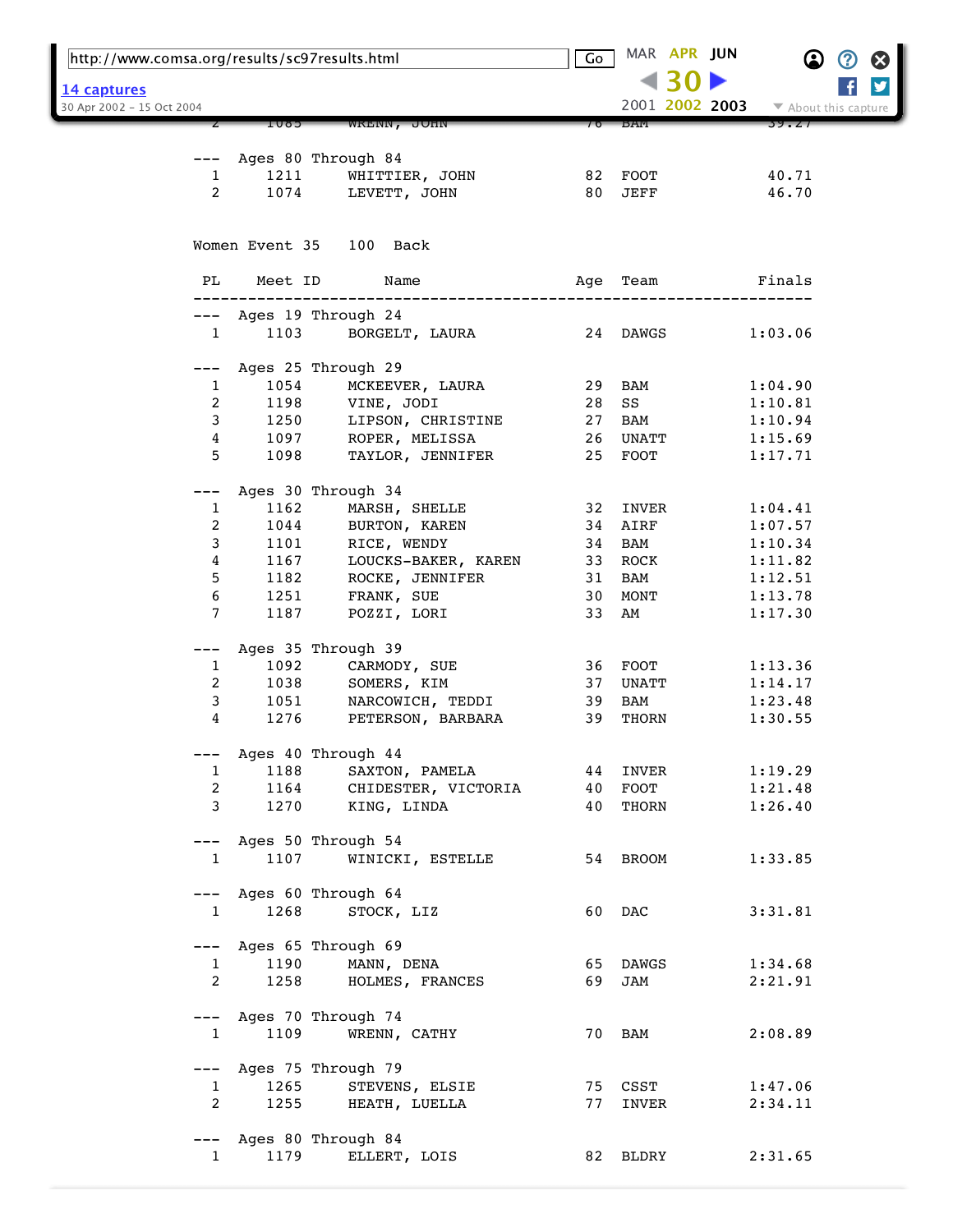| http://www.comsa.org/results/sc97results.html |                                |                                      | Go  | MAR APR JUN    |                                          |
|-----------------------------------------------|--------------------------------|--------------------------------------|-----|----------------|------------------------------------------|
| <u>14 captures</u>                            |                                |                                      |     |                |                                          |
| 30 Apr 2002 - 15 Oct 2004                     |                                |                                      |     | 2001 2002 2003 | $\blacktriangleright$ About this capture |
|                                               | COOI                           | WRENN, JOHN                          |     | БAM            | 39.ZI                                    |
|                                               |                                |                                      |     |                |                                          |
|                                               | 1211                           | Ages 80 Through 84<br>WHITTIER, JOHN |     | 82 FOOT        | 40.71                                    |
| 1<br>$\overline{2}$                           | 1074                           | LEVETT, JOHN                         |     | 80 JEFF        | 46.70                                    |
|                                               |                                |                                      |     |                |                                          |
|                                               |                                | Women Event 35 100 Back              |     |                |                                          |
| PL                                            |                                | Meet ID<br>Name                      | Age | Team           | Finals                                   |
| $---$                                         |                                | Ages 19 Through 24                   |     |                |                                          |
| $\mathbf{1}$                                  | 1103                           | BORGELT, LAURA                       |     | 24 DAWGS       | 1:03.06                                  |
| $---$                                         |                                | Ages 25 Through 29                   |     |                |                                          |
| 1                                             | 1054                           | MCKEEVER, LAURA                      | 29  | BAM            | 1:04.90                                  |
| $\overline{2}$                                | 1198                           | VINE, JODI                           | 28  | SS             | 1:10.81                                  |
| 3                                             | 1250                           | LIPSON, CHRISTINE                    | 27  | BAM            | 1:10.94                                  |
| 4                                             | 1097                           | ROPER, MELISSA                       |     | 26 UNATT       | 1:15.69                                  |
| 5                                             | 1098                           | TAYLOR, JENNIFER                     |     | 25 FOOT        | 1:17.71                                  |
| ---                                           |                                | Ages 30 Through 34                   |     |                |                                          |
| $\mathbf{1}$                                  | 1162                           | MARSH, SHELLE                        |     | 32 INVER       | 1:04.41                                  |
| 2                                             | 1044                           | BURTON, KAREN                        | 34  | AIRF           | 1:07.57                                  |
| 3                                             | 1101                           | RICE, WENDY                          | 34  | BAM            | 1:10.34                                  |
| 4                                             | 1167                           | LOUCKS-BAKER, KAREN                  | 33  | ROCK           | 1:11.82                                  |
| 5                                             | 1182                           | ROCKE, JENNIFER                      | 31  | BAM            | 1:12.51                                  |
| 6                                             | 1251                           | FRANK, SUE                           | 30  | MONT           | 1:13.78                                  |
| 7                                             | 1187                           | POZZI, LORI                          | 33  | AM             | 1:17.30                                  |
| ---                                           |                                | Ages 35 Through 39                   |     |                |                                          |
| 1                                             | 1092                           | CARMODY, SUE                         |     | 36 FOOT        | 1:13.36                                  |
| 2                                             | 1038                           | SOMERS, KIM                          | 37  | UNATT          | 1:14.17                                  |
| 3                                             | 1051                           | NARCOWICH, TEDDI                     | 39  | BAM            | 1:23.48                                  |
| 4                                             | 1276                           | PETERSON, BARBARA                    | 39  | THORN          | 1:30.55                                  |
| $---$                                         |                                | Ages 40 Through 44                   |     |                |                                          |
| $\mathbf{1}$                                  | 1188                           | SAXTON, PAMELA                       |     | 44 INVER       | 1:19.29                                  |
|                                               | $2 \left( \frac{1}{2} \right)$ | 1164 CHIDESTER, VICTORIA 40 FOOT     |     |                | 1:21.48                                  |
|                                               | 1270<br>$3 \sim$               | KING, LINDA                          |     | 40 THORN       | 1:26.40                                  |
|                                               |                                | --- Ages 50 Through 54               |     |                |                                          |
| 1                                             | 1107                           | WINICKI, ESTELLE                     |     | 54 BROOM       | 1:33.85                                  |
|                                               |                                |                                      |     |                |                                          |
| $---$                                         |                                | Ages 60 Through 64                   |     |                |                                          |
| $\mathbf{1}$                                  | 1268                           | STOCK, LIZ                           |     | 60 DAC         | 3:31.81                                  |
|                                               |                                | --- Ages 65 Through 69               |     |                |                                          |
| $\mathbf{1}$                                  | 1190                           | MANN, DENA                           |     | 65 DAWGS       | 1:34.68                                  |
| $\overline{2}$                                |                                | 1258 HOLMES, FRANCES                 |     | 69 JAM         | 2:21.91                                  |
|                                               |                                | --- Ages 70 Through 74               |     |                |                                          |
|                                               | 1109<br>$1 \quad \blacksquare$ | WRENN, CATHY                         |     | 70 BAM         | 2:08.89                                  |
|                                               |                                |                                      |     |                |                                          |
|                                               |                                | --- Ages 75 Through 79               |     |                |                                          |
| $\mathbf{1}$                                  |                                | 1265 STEVENS, ELSIE                  |     | 75 CSST        | 1:47.06                                  |
|                                               | $2 \left( \frac{1}{2} \right)$ | 1255 HEATH, LUELLA                   |     | 77 INVER       | 2:34.11                                  |
|                                               |                                | --- Ages 80 Through 84               |     |                |                                          |
|                                               | 1179<br>$1 \quad \blacksquare$ | ELLERT, LOIS                         |     | 82 BLDRY       | 2:31.65                                  |
|                                               |                                |                                      |     |                |                                          |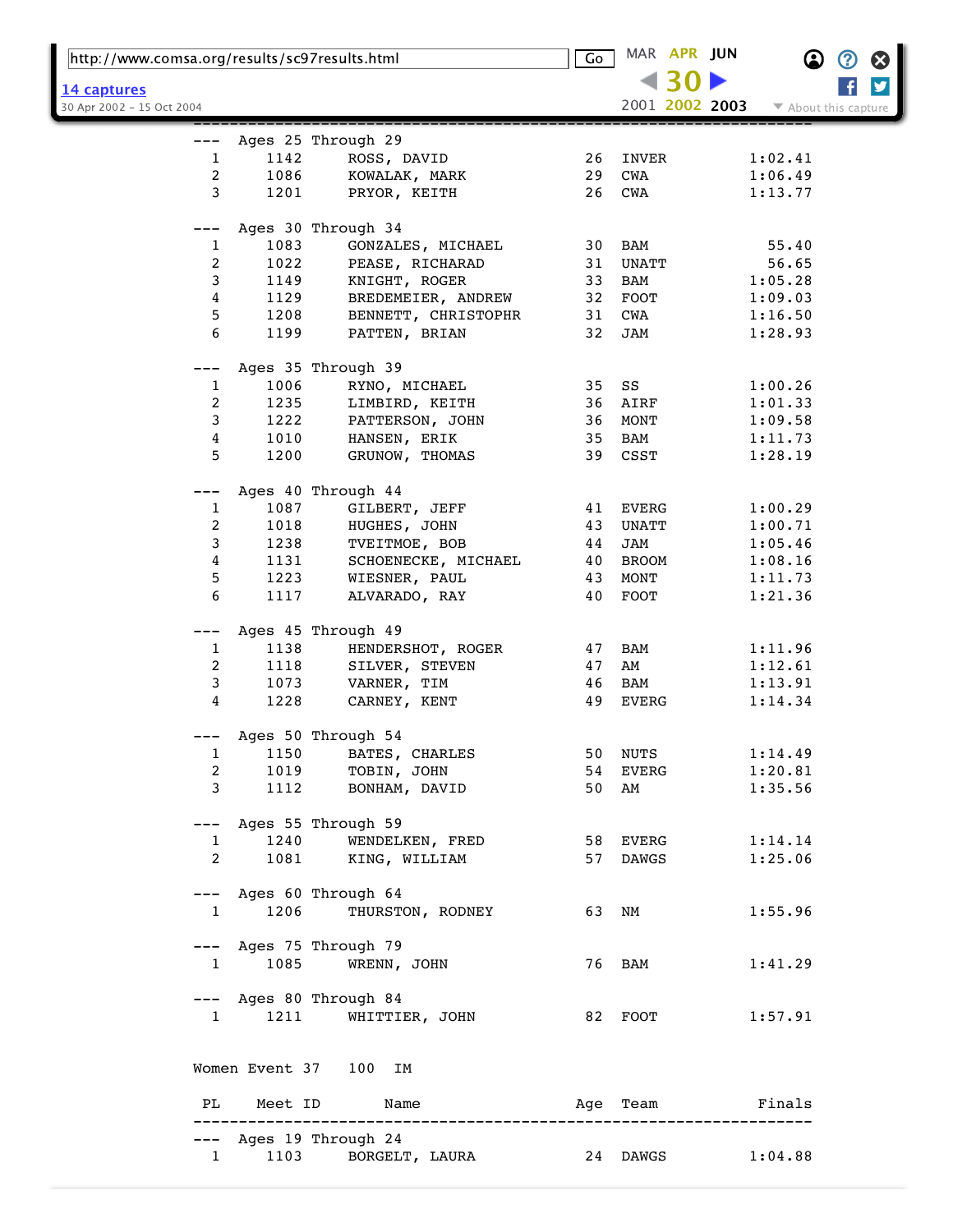| http://www.comsa.org/results/sc97results.html |                          |                                                         | $\overline{\mathsf{Go}}$ | MAR APR JUN    | B                       | Ø |
|-----------------------------------------------|--------------------------|---------------------------------------------------------|--------------------------|----------------|-------------------------|---|
| <u>14 captures</u>                            |                          |                                                         |                          |                |                         | y |
| 30 Apr 2002 - 15 Oct 2004                     |                          |                                                         |                          | 2001 2002 2003 | ▼ About this capture    |   |
|                                               |                          |                                                         |                          |                |                         |   |
|                                               |                          | Ages 25 Through 29                                      |                          |                |                         |   |
| $\mathbf 1$                                   | 1142                     | ROSS, DAVID                                             | 26                       | INVER          | 1:02.41                 |   |
| $\boldsymbol{2}$                              | 1086                     | KOWALAK, MARK                                           | 29                       | CWA            | 1:06.49                 |   |
| 3                                             | 1201                     | PRYOR, KEITH                                            | 26                       | CWA            | 1:13.77                 |   |
|                                               |                          | Ages 30 Through 34                                      |                          |                |                         |   |
| 1                                             | 1083                     | GONZALES, MICHAEL                                       | 30                       | BAM            | 55.40                   |   |
| $\overline{c}$                                | 1022                     | PEASE, RICHARAD                                         | 31                       | <b>UNATT</b>   | 56.65                   |   |
|                                               |                          |                                                         | 33                       |                |                         |   |
| 3                                             | 1149                     | KNIGHT, ROGER                                           |                          | BAM            | 1:05.28                 |   |
| 4                                             | 1129                     | BREDEMEIER, ANDREW                                      | 32                       | FOOT           | 1:09.03                 |   |
| 5                                             | 1208                     | BENNETT, CHRISTOPHR                                     | 31                       | CWA            | 1:16.50                 |   |
| 6                                             | 1199                     | PATTEN, BRIAN                                           | 32                       | JAM            | 1:28.93                 |   |
|                                               |                          | Ages 35 Through 39                                      |                          |                |                         |   |
| $\mathbf{1}$                                  | 1006                     | RYNO, MICHAEL                                           | 35                       | SS             | 1:00.26                 |   |
| 2                                             | 1235                     | LIMBIRD, KEITH                                          | 36                       | AIRF           | 1:01.33                 |   |
| 3                                             | 1222                     |                                                         | 36                       | MONT           |                         |   |
|                                               |                          | PATTERSON, JOHN                                         |                          |                | 1:09.58                 |   |
| 4                                             | 1010                     | HANSEN, ERIK                                            | 35                       | BAM            | 1:11.73                 |   |
| 5                                             | 1200                     | GRUNOW, THOMAS                                          | 39                       | CSST           | 1:28.19                 |   |
|                                               |                          |                                                         |                          |                |                         |   |
|                                               |                          | Ages 40 Through 44                                      |                          |                |                         |   |
| $\mathbf{1}$                                  | 1087                     | GILBERT, JEFF                                           | 41                       | EVERG          | 1:00.29                 |   |
| 2                                             | 1018                     | HUGHES, JOHN                                            | 43                       | UNATT          | 1:00.71                 |   |
| 3                                             | 1238                     | TVEITMOE, BOB                                           | 44                       | JAM            | 1:05.46                 |   |
| 4                                             | 1131                     | SCHOENECKE, MICHAEL                                     | 40                       | <b>BROOM</b>   | 1:08.16                 |   |
| 5                                             | 1223                     | WIESNER, PAUL                                           | 43                       | MONT           | 1:11.73                 |   |
| 6                                             | 1117                     | ALVARADO, RAY                                           | 40                       | FOOT           | 1:21.36                 |   |
| ---                                           |                          | Ages 45 Through 49                                      |                          |                |                         |   |
| $\mathbf{1}$                                  | 1138                     | HENDERSHOT, ROGER                                       | 47                       | BAM            | 1:11.96                 |   |
| 2                                             | 1118                     | SILVER, STEVEN                                          | 47                       | AM             | 1:12.61                 |   |
| 3                                             | 1073                     | VARNER, TIM                                             | 46                       | BAM            | 1:13.91                 |   |
| 4                                             | 1228                     |                                                         | 49                       | EVERG          |                         |   |
|                                               |                          | CARNEY, KENT                                            |                          |                | 1:14.34                 |   |
|                                               |                          | Ages 50 Through 54                                      |                          |                |                         |   |
| $\mathbf{1}$                                  | 1150                     | BATES, CHARLES                                          |                          | 50 NUTS        | 1:14.49                 |   |
| $\overline{a}$                                |                          |                                                         |                          | 54 EVERG       | 1:20.81                 |   |
| $\mathbf{3}$                                  |                          | 1019 TOBIN, JOHN<br>1112 BONHAM, DAVID<br>BONHAM, DAVID |                          | 50 AM          | 1:35.56                 |   |
|                                               |                          |                                                         |                          |                |                         |   |
|                                               |                          | --- Ages 55 Through 59                                  |                          |                |                         |   |
|                                               | $1 \quad \blacksquare$   | 1240 WENDELKEN, FRED                                    |                          | 58 EVERG       | 1:14.14                 |   |
| $\mathbf{2}$                                  |                          | 1081 KING, WILLIAM                                      |                          | 57 DAWGS       | 1:25.06                 |   |
|                                               |                          |                                                         |                          |                |                         |   |
|                                               |                          | --- Ages 60 Through 64                                  |                          |                |                         |   |
|                                               | 1206<br>$1 \quad \cdots$ | THURSTON, RODNEY                                        |                          | 63 NM          | 1:55.96                 |   |
|                                               |                          |                                                         |                          |                |                         |   |
|                                               |                          | --- Ages 75 Through 79                                  |                          |                |                         |   |
|                                               |                          | 1 1085 WRENN, JOHN                                      |                          | 76 BAM         | 1:41.29                 |   |
|                                               |                          |                                                         |                          |                |                         |   |
|                                               |                          | --- Ages 80 Through 84                                  |                          |                |                         |   |
|                                               | 1 1211                   | WHITTIER, JOHN                                          |                          |                | 82 FOOT 1:57.91         |   |
|                                               |                          |                                                         |                          |                |                         |   |
|                                               |                          | Women Event 37 100 IM                                   |                          |                |                         |   |
|                                               |                          | PL Meet ID Name                                         |                          | Age Team       | <b>Example 1</b> Finals |   |
|                                               |                          | --- Ages 19 Through 24                                  |                          |                |                         |   |
| $\mathbf{1}$                                  |                          | 1103 BORGELT, LAURA 24 DAWGS 1:04.88                    |                          |                |                         |   |
|                                               |                          |                                                         |                          |                |                         |   |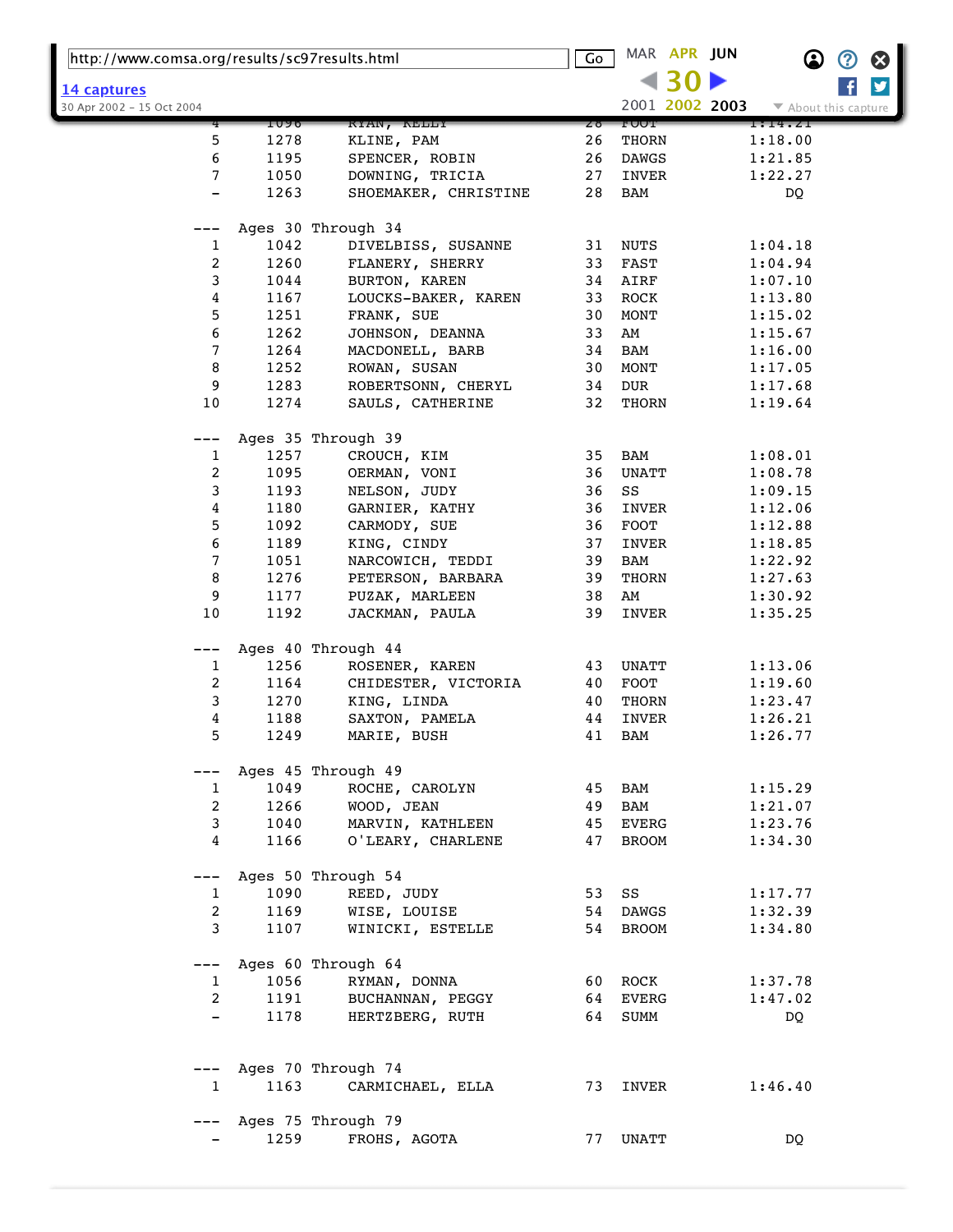| http://www.comsa.org/results/sc97results.html |              |                               | $\overline{\mathsf{Go}}$ | MAR APR JUN    | $\boldsymbol{\Omega}$<br>②<br>⊗ |
|-----------------------------------------------|--------------|-------------------------------|--------------------------|----------------|---------------------------------|
|                                               |              |                               |                          |                | y                               |
| 14 captures<br>30 Apr 2002 - 15 Oct 2004      |              |                               |                          | 2001 2002 2003 | ▼ About this capture            |
|                                               | 1090         | KYAN, KELLY                   | Zδ                       | <b>FUUT</b>    | 1:14.Z1                         |
| 5                                             | 1278         | KLINE, PAM                    | 26                       | THORN          | 1:18.00                         |
| 6                                             | 1195         | SPENCER, ROBIN                | 26                       | DAWGS          | 1:21.85                         |
| 7                                             | 1050         | DOWNING, TRICIA               | 27                       | INVER          | 1:22.27                         |
|                                               | 1263         | SHOEMAKER, CHRISTINE          | 28                       | BAM            | DQ                              |
|                                               |              |                               |                          |                |                                 |
|                                               |              | Ages 30 Through 34            |                          |                |                                 |
| 1                                             | 1042         | DIVELBISS, SUSANNE            | 31                       | <b>NUTS</b>    | 1:04.18                         |
| 2                                             | 1260         | FLANERY, SHERRY               | 33                       | FAST           | 1:04.94                         |
| 3                                             | 1044         | BURTON, KAREN                 | 34                       | AIRF           | 1:07.10                         |
| 4                                             | 1167         | LOUCKS-BAKER, KAREN           | 33                       | ROCK           | 1:13.80                         |
| 5                                             | 1251         | FRANK, SUE                    | 30                       | MONT           | 1:15.02                         |
| 6                                             | 1262         | JOHNSON, DEANNA               | 33                       | AM             | 1:15.67                         |
| 7                                             | 1264         | MACDONELL, BARB               | 34                       | BAM            | 1:16.00                         |
| 8                                             | 1252         | ROWAN, SUSAN                  | 30                       | MONT           | 1:17.05                         |
| 9                                             | 1283         | ROBERTSONN, CHERYL            | 34                       | DUR            | 1:17.68                         |
| 10                                            | 1274         | SAULS, CATHERINE              | 32                       | THORN          | 1:19.64                         |
|                                               |              |                               |                          |                |                                 |
|                                               |              | Ages 35 Through 39            |                          |                |                                 |
| 1                                             | 1257         | CROUCH, KIM                   | 35                       | BAM            | 1:08.01                         |
| 2                                             | 1095         | OERMAN, VONI                  | 36                       | UNATT          | 1:08.78                         |
| 3                                             | 1193         | NELSON, JUDY                  | 36                       | SS             | 1:09.15                         |
| 4                                             | 1180         | GARNIER, KATHY                | 36                       | INVER          | 1:12.06                         |
| 5                                             | 1092         | CARMODY, SUE                  | 36                       | FOOT           | 1:12.88                         |
| 6                                             | 1189         | KING, CINDY                   | 37                       | INVER          | 1:18.85                         |
| 7                                             | 1051         | NARCOWICH, TEDDI              | 39                       | BAM            | 1:22.92                         |
| 8                                             | 1276         | PETERSON, BARBARA             | 39                       | THORN          | 1:27.63                         |
| 9                                             | 1177         | PUZAK, MARLEEN                | 38                       | AM             | 1:30.92                         |
| 10                                            | 1192         | JACKMAN, PAULA                | 39                       | INVER          | 1:35.25                         |
|                                               |              |                               |                          |                |                                 |
| ---                                           |              | Ages 40 Through 44            |                          |                |                                 |
| 1                                             | 1256         | ROSENER, KAREN                | 43                       | UNATT          | 1:13.06                         |
| 2                                             | 1164<br>1270 | CHIDESTER, VICTORIA           | 40<br>40                 | FOOT           | 1:19.60                         |
| 3                                             | 1188         | KING, LINDA                   | 44                       | THORN<br>INVER | 1:23.47                         |
| 4<br>5                                        | 1249         | SAXTON, PAMELA<br>MARIE, BUSH | 41                       | <b>BAM</b>     | 1:26.21<br>1:26.77              |
|                                               |              |                               |                          |                |                                 |
|                                               |              | Ages 45 Through 49            |                          |                |                                 |
| $\mathbf{1}$                                  | 1049         | ROCHE, CAROLYN                |                          | 45 BAM         | 1:15.29                         |
| $\overline{2}$                                | 1266         | WOOD, JEAN                    | 49                       | BAM            | 1:21.07                         |
| 3                                             | 1040         | MARVIN, KATHLEEN              | 45                       | EVERG          | 1:23.76                         |
| 4                                             | 1166         | O'LEARY, CHARLENE             | 47                       | BROOM          | 1:34.30                         |
|                                               |              |                               |                          |                |                                 |
| ---                                           |              | Ages 50 Through 54            |                          |                |                                 |
| $\mathbf{1}$                                  | 1090         | REED, JUDY                    | 53 SS                    |                | 1:17.77                         |
| $\overline{a}$                                | 1169         | WISE, LOUISE                  | 54                       | DAWGS          | 1:32.39                         |
| 3                                             | 1107         | WINICKI, ESTELLE              | 54                       | BROOM          | 1:34.80                         |
|                                               |              |                               |                          |                |                                 |
| $---$                                         |              | Ages 60 Through 64            |                          |                |                                 |
| 1                                             | 1056         | RYMAN, DONNA                  |                          | 60 ROCK        | 1:37.78                         |
| 2                                             | 1191         | BUCHANNAN, PEGGY              | 64                       | EVERG          | 1:47.02                         |
| $\qquad \qquad -$                             | 1178         | HERTZBERG, RUTH               |                          | 64 SUMM        | DQ                              |
|                                               |              |                               |                          |                |                                 |
|                                               |              |                               |                          |                |                                 |
|                                               |              | Ages 70 Through 74            |                          |                |                                 |
| $\mathbf{1}$                                  | 1163         | CARMICHAEL, ELLA              |                          | 73 INVER       | 1:46.40                         |
|                                               |              |                               |                          |                |                                 |
|                                               |              | Ages 75 Through 79            |                          |                |                                 |
|                                               | 1259         | FROHS, AGOTA                  |                          | 77 UNATT       | DQ                              |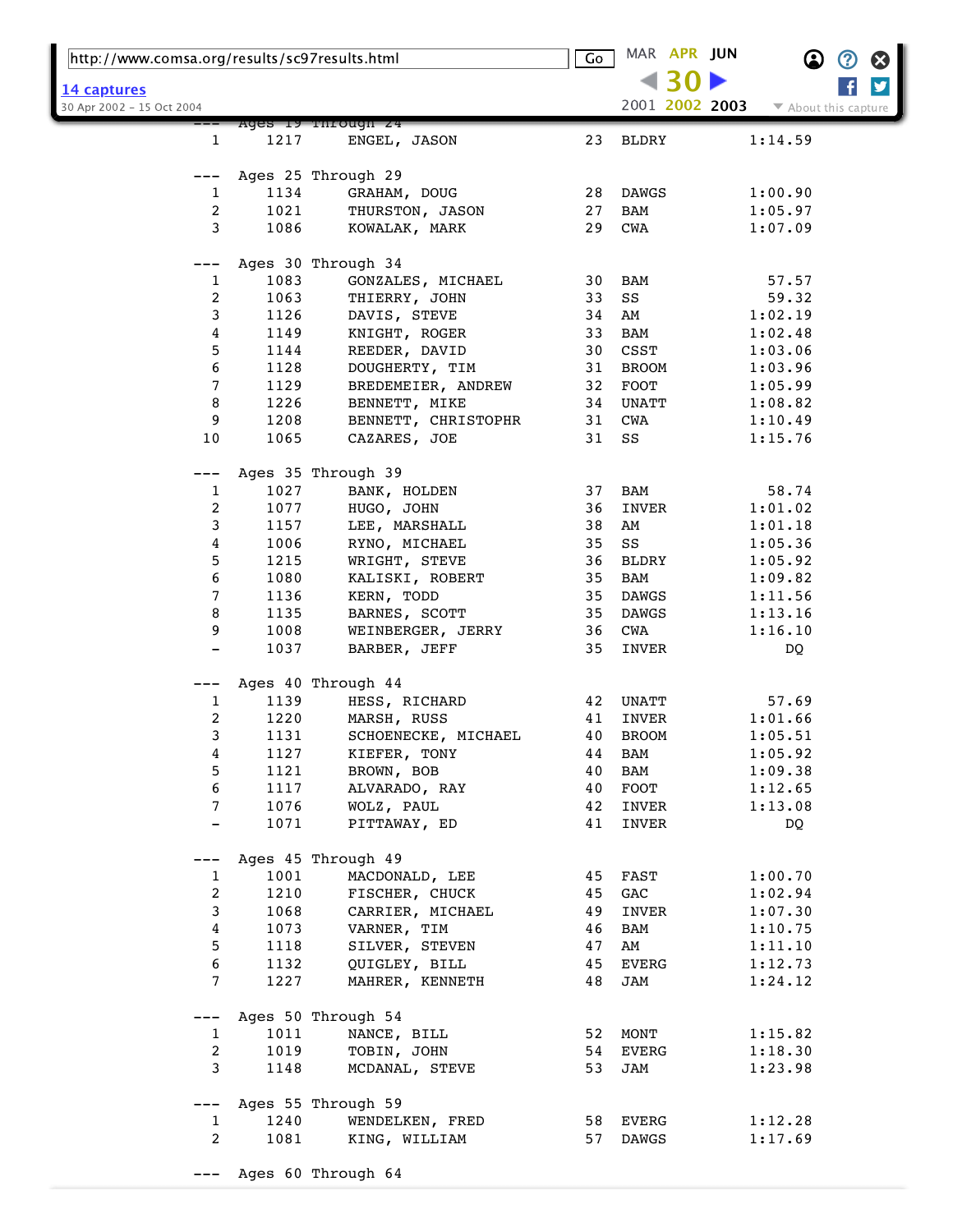| http://www.comsa.org/results/sc97results.html |              |                                    | $\overline{\mathsf{Go}}$ |              | MAR APR JUN    | $\bf \Omega$         | $\bm{\mathcal{O}}$ | $\boldsymbol{\Omega}$ |
|-----------------------------------------------|--------------|------------------------------------|--------------------------|--------------|----------------|----------------------|--------------------|-----------------------|
| 14 captures                                   |              |                                    |                          |              |                |                      |                    | y                     |
| 30 Apr 2002 - 15 Oct 2004                     |              |                                    |                          |              | 2001 2002 2003 | ▼ About this capture |                    |                       |
|                                               |              | Ages 19 Through 24                 |                          |              |                |                      |                    |                       |
| 1                                             | 1217         | ENGEL, JASON                       | 23                       | <b>BLDRY</b> |                | 1:14.59              |                    |                       |
|                                               |              | Ages 25 Through 29                 |                          |              |                |                      |                    |                       |
| $\mathbf{1}$                                  | 1134         | GRAHAM, DOUG                       | 28                       | DAWGS        |                | 1:00.90              |                    |                       |
| 2                                             | 1021         | THURSTON, JASON                    | 27                       | <b>BAM</b>   |                | 1:05.97              |                    |                       |
| 3                                             | 1086         | KOWALAK, MARK                      | 29                       | CWA          |                | 1:07.09              |                    |                       |
|                                               |              |                                    |                          |              |                |                      |                    |                       |
|                                               |              | Ages 30 Through 34                 |                          |              |                |                      |                    |                       |
| 1<br>2                                        | 1083<br>1063 | GONZALES, MICHAEL<br>THIERRY, JOHN | 30<br>33                 | BAM<br>SS    |                | 57.57<br>59.32       |                    |                       |
| 3                                             | 1126         | DAVIS, STEVE                       | 34                       | AM           |                | 1:02.19              |                    |                       |
| $\boldsymbol{4}$                              | 1149         | KNIGHT, ROGER                      | 33                       | BAM          |                | 1:02.48              |                    |                       |
| 5                                             | 1144         | REEDER, DAVID                      | 30                       | CSST         |                | 1:03.06              |                    |                       |
| 6                                             | 1128         | DOUGHERTY, TIM                     | 31                       | <b>BROOM</b> |                | 1:03.96              |                    |                       |
| 7                                             |              |                                    |                          |              |                |                      |                    |                       |
|                                               | 1129         | BREDEMEIER, ANDREW                 | 32                       | <b>FOOT</b>  |                | 1:05.99              |                    |                       |
| 8                                             | 1226         | BENNETT, MIKE                      | 34                       | UNATT        |                | 1:08.82              |                    |                       |
| 9                                             | 1208         | BENNETT, CHRISTOPHR                | 31                       | <b>CWA</b>   |                | 1:10.49              |                    |                       |
| 10                                            | 1065         | CAZARES, JOE                       | 31                       | SS           |                | 1:15.76              |                    |                       |
|                                               |              | Ages 35 Through 39                 |                          |              |                |                      |                    |                       |
| $\mathbf{1}$                                  | 1027         | BANK, HOLDEN                       | 37                       | BAM          |                | 58.74                |                    |                       |
| 2                                             | 1077         | HUGO, JOHN                         | 36                       | INVER        |                | 1:01.02              |                    |                       |
| 3                                             | 1157         | LEE, MARSHALL                      | 38                       | AM           |                | 1:01.18              |                    |                       |
| 4                                             | 1006         | RYNO, MICHAEL                      | 35                       | SS           |                | 1:05.36              |                    |                       |
| 5                                             | 1215         | WRIGHT, STEVE                      | 36                       | BLDRY        |                | 1:05.92              |                    |                       |
| $\epsilon$                                    | 1080         | KALISKI, ROBERT                    | 35                       | <b>BAM</b>   |                | 1:09.82              |                    |                       |
| 7                                             | 1136         | KERN, TODD                         | 35                       | <b>DAWGS</b> |                | 1:11.56              |                    |                       |
| 8                                             | 1135         | BARNES, SCOTT                      | 35                       | DAWGS        |                | 1:13.16              |                    |                       |
| 9                                             | 1008         | WEINBERGER, JERRY                  | 36                       | CWA          |                | 1:16.10              |                    |                       |
|                                               | 1037         | BARBER, JEFF                       | 35                       | INVER        |                | DQ                   |                    |                       |
|                                               |              |                                    |                          |              |                |                      |                    |                       |
|                                               |              | Ages 40 Through 44                 |                          |              |                |                      |                    |                       |
| 1                                             | 1139         | HESS, RICHARD                      | 42                       | UNATT        |                | 57.69                |                    |                       |
| $\boldsymbol{2}$                              | 1220         | MARSH, RUSS                        | 41                       | INVER        |                | 1:01.66              |                    |                       |
| 3                                             | 1131         | SCHOENECKE, MICHAEL                | 40                       | <b>BROOM</b> |                | 1:05.51              |                    |                       |
| 4                                             | 1127         | KIEFER, TONY                       | 44                       | BAM          |                | 1:05.92              |                    |                       |
| 5                                             | 1121         | BROWN, BOB                         | 40                       | BAM          |                | 1:09.38              |                    |                       |
| 6                                             | 1117         | ALVARADO, RAY                      | 40                       | FOOT         |                | 1:12.65              |                    |                       |
| 7                                             | 1076         | WOLZ, PAUL                         | 42                       | INVER        |                | 1:13.08              |                    |                       |
|                                               | 1071         | PITTAWAY, ED                       | 41                       | INVER        |                | DQ                   |                    |                       |
|                                               |              | Ages 45 Through 49                 |                          |              |                |                      |                    |                       |
| 1                                             | 1001         | MACDONALD, LEE                     | 45                       | FAST         |                | 1:00.70              |                    |                       |
| $\boldsymbol{2}$                              | 1210         | FISCHER, CHUCK                     | 45                       | GAC          |                | 1:02.94              |                    |                       |
| 3                                             | 1068         | CARRIER, MICHAEL                   | 49                       | INVER        |                | 1:07.30              |                    |                       |
|                                               |              |                                    |                          |              |                |                      |                    |                       |
| 4                                             | 1073         | VARNER, TIM                        | 46                       | BAM          |                | 1:10.75              |                    |                       |
| 5                                             | 1118         | SILVER, STEVEN                     | 47                       | AM           |                | 1:11.10              |                    |                       |
| 6<br>7                                        | 1132<br>1227 | QUIGLEY, BILL<br>MAHRER, KENNETH   | 45<br>48                 | EVERG<br>JAM |                | 1:12.73<br>1:24.12   |                    |                       |
|                                               |              |                                    |                          |              |                |                      |                    |                       |
| $---$                                         |              | Ages 50 Through 54                 |                          |              |                |                      |                    |                       |
| $\mathbf{1}$                                  | 1011         | NANCE, BILL                        | 52                       | MONT         |                | 1:15.82              |                    |                       |
| $\overline{c}$                                | 1019         | TOBIN, JOHN                        | 54                       | EVERG        |                | 1:18.30              |                    |                       |
| 3                                             | 1148         | MCDANAL, STEVE                     | 53                       | JAM          |                | 1:23.98              |                    |                       |
| ---                                           |              | Ages 55 Through 59                 |                          |              |                |                      |                    |                       |
| $\mathbf{1}$                                  | 1240         | WENDELKEN, FRED                    | 58                       | EVERG        |                | 1:12.28              |                    |                       |
| $\overline{a}$                                | 1081         | KING, WILLIAM                      | 57                       | DAWGS        |                | 1:17.69              |                    |                       |
|                                               |              |                                    |                          |              |                |                      |                    |                       |
|                                               |              | Ages 60 Through 64                 |                          |              |                |                      |                    |                       |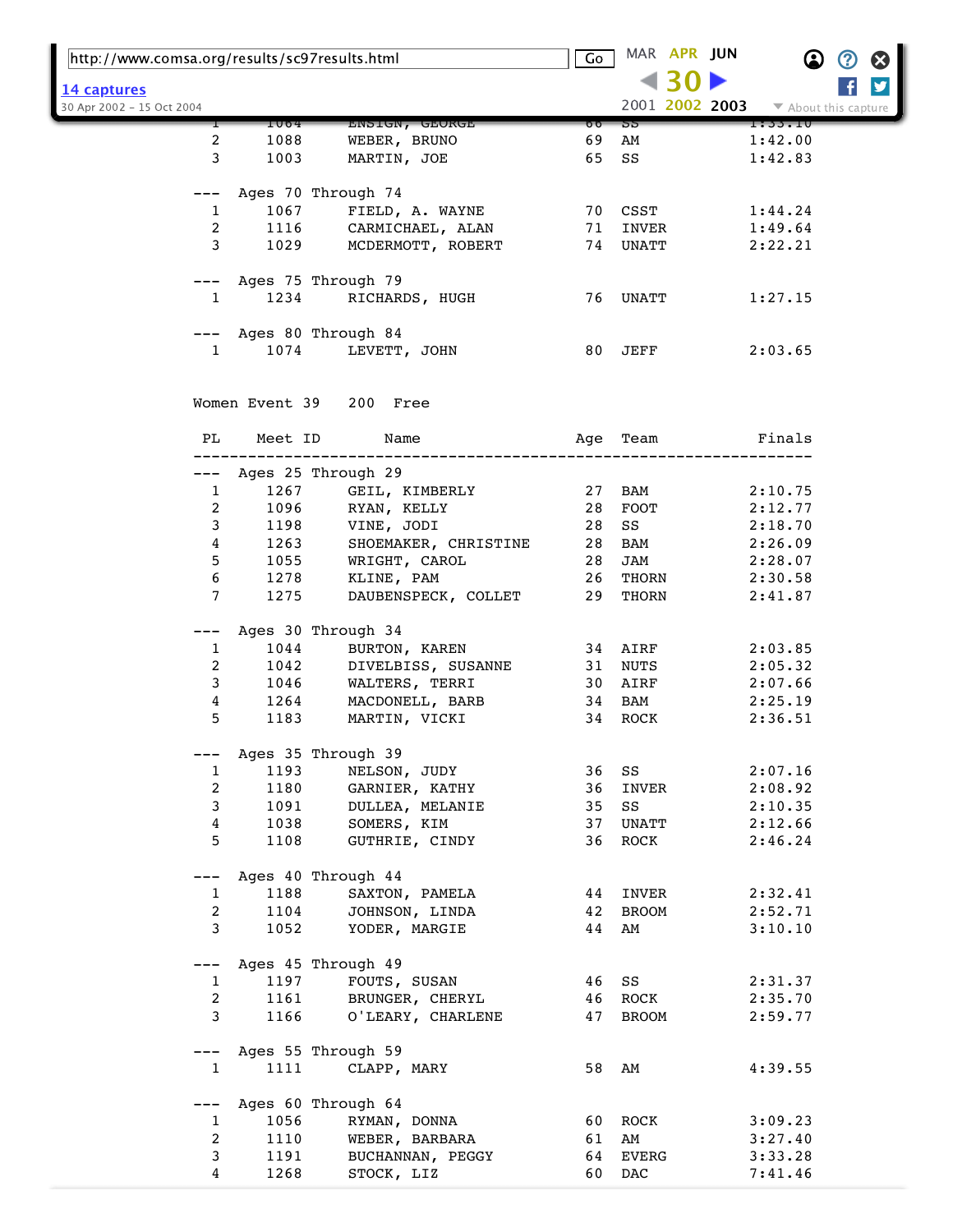| http://www.comsa.org/results/sc97results.html |         |                         | Go    |                 | MAR APR JUN |                | $\bf \Omega$         | Ø | Ø |
|-----------------------------------------------|---------|-------------------------|-------|-----------------|-------------|----------------|----------------------|---|---|
|                                               |         |                         |       |                 |             |                |                      |   | ÿ |
| 14 captures<br>30 Apr 2002 - 15 Oct 2004      |         |                         |       |                 |             | 2001 2002 2003 | ▼ About this capture |   |   |
|                                               | 1004    | ENSIGN, GEORGE          | 00    | 55              |             |                | 1:33.10              |   |   |
| 2                                             | 1088    | WEBER, BRUNO            | 69    | AM              |             |                | 1:42.00              |   |   |
| 3                                             | 1003    | MARTIN, JOE             | 65    | SS              |             |                | 1:42.83              |   |   |
|                                               |         | Ages 70 Through 74      |       |                 |             |                |                      |   |   |
| 1                                             | 1067    | FIELD, A. WAYNE         |       | 70 CSST         |             |                | 1:44.24              |   |   |
| 2                                             | 1116    | CARMICHAEL, ALAN        | 71    | INVER           |             |                | 1:49.64              |   |   |
| 3                                             | 1029    | MCDERMOTT, ROBERT       |       | 74 UNATT        |             |                | 2:22.21              |   |   |
| ———                                           |         | Ages 75 Through 79      |       |                 |             |                |                      |   |   |
| $\mathbf{1}$                                  | 1234    | RICHARDS, HUGH          |       | 76 UNATT        |             |                | 1:27.15              |   |   |
|                                               |         | --- Ages 80 Through 84  |       |                 |             |                |                      |   |   |
| $\mathbf{1}$                                  | 1074    | LEVETT, JOHN            | 80    | $\mathtt{JEFF}$ |             |                | 2:03.65              |   |   |
|                                               |         | Women Event 39 200 Free |       |                 |             |                |                      |   |   |
|                                               |         |                         |       |                 |             |                |                      |   |   |
| PL                                            | Meet ID | Name                    | Age   | Team            |             |                | Finals               |   |   |
|                                               |         | --- Ages 25 Through 29  |       |                 |             |                |                      |   |   |
| $\mathbf{1}$                                  | 1267    | GEIL, KIMBERLY          |       | 27 BAM          |             |                | 2:10.75              |   |   |
| 2                                             | 1096    | RYAN, KELLY             | 28    | FOOT            |             |                | 2:12.77              |   |   |
| 3                                             | 1198    | VINE, JODI              | 28    | SS              |             |                | 2:18.70              |   |   |
| 4                                             | 1263    | SHOEMAKER, CHRISTINE    | 28    | <b>BAM</b>      |             |                | 2:26.09              |   |   |
| 5                                             | 1055    | WRIGHT, CAROL           | 28    | JAM             |             |                | 2:28.07              |   |   |
| 6                                             | 1278    | KLINE, PAM              | 26    | THORN           |             |                | 2:30.58              |   |   |
| $\overline{7}$                                | 1275    | DAUBENSPECK, COLLET     | 29    | THORN           |             |                | 2:41.87              |   |   |
| ---                                           |         | Ages 30 Through 34      |       |                 |             |                |                      |   |   |
| $\mathbf{1}$                                  | 1044    | BURTON, KAREN           |       | 34 AIRF         |             |                | 2:03.85              |   |   |
| 2                                             | 1042    | DIVELBISS, SUSANNE      |       | 31 NUTS         |             |                | 2:05.32              |   |   |
| 3                                             |         | 1046 WALTERS, TERRI     |       | 30 AIRF         |             |                | 2:07.66              |   |   |
| 4                                             | 1264    | MACDONELL, BARB         |       | 34 BAM          |             |                | 2:25.19              |   |   |
| 5                                             | 1183    | MARTIN, VICKI           | 34    | ROCK            |             |                | 2:36.51              |   |   |
|                                               |         | Ages 35 Through 39      |       |                 |             |                |                      |   |   |
| $\mathbf{1}$                                  | 1193    | NELSON, JUDY            | 36    | SS              |             |                | 2:07.16              |   |   |
| $\overline{a}$                                | 1180    | GARNIER, KATHY          | 36    | INVER           |             |                | 2:08.92              |   |   |
| 3                                             | 1091    | DULLEA, MELANIE         | 35    | SS              |             |                | 2:10.35              |   |   |
| 4                                             | 1038    | SOMERS, KIM             | 37    | UNATT           |             |                | 2:12.66              |   |   |
| 5                                             | 1108    | GUTHRIE, CINDY          | 36    | ROCK            |             |                | 2:46.24              |   |   |
| ---                                           |         | Ages 40 Through 44      |       |                 |             |                |                      |   |   |
| $\mathbf{1}$                                  | 1188    | SAXTON, PAMELA          | 44    | INVER           |             |                | 2:32.41              |   |   |
| $\overline{a}$                                | 1104    | JOHNSON, LINDA          | 42    | <b>BROOM</b>    |             |                | 2:52.71              |   |   |
| 3                                             | 1052    | YODER, MARGIE           | 44    | AM              |             |                | 3:10.10              |   |   |
| $---$                                         |         | Ages 45 Through 49      |       |                 |             |                |                      |   |   |
| 1                                             | 1197    | FOUTS, SUSAN            | 46    | SS              |             |                | 2:31.37              |   |   |
| 2                                             | 1161    | BRUNGER, CHERYL         | 46    | ROCK            |             |                | 2:35.70              |   |   |
| 3                                             | 1166    | O'LEARY, CHARLENE       | 47    | <b>BROOM</b>    |             |                | 2:59.77              |   |   |
| $---$                                         |         | Ages 55 Through 59      |       |                 |             |                |                      |   |   |
| $\mathbf{1}$                                  | 1111    | CLAPP, MARY             | 58 AM |                 |             |                | 4:39.55              |   |   |
| ---                                           |         | Ages 60 Through 64      |       |                 |             |                |                      |   |   |
| 1                                             | 1056    | RYMAN, DONNA            | 60    | ROCK            |             |                | 3:09.23              |   |   |
| $\overline{2}$                                | 1110    | WEBER, BARBARA          | 61    | AM              |             |                | 3:27.40              |   |   |
| 3                                             | 1191    | BUCHANNAN, PEGGY        | 64    | EVERG           |             |                | 3:33.28              |   |   |
| 4                                             | 1268    | STOCK, LIZ              | 60    | DAC             |             |                | 7:41.46              |   |   |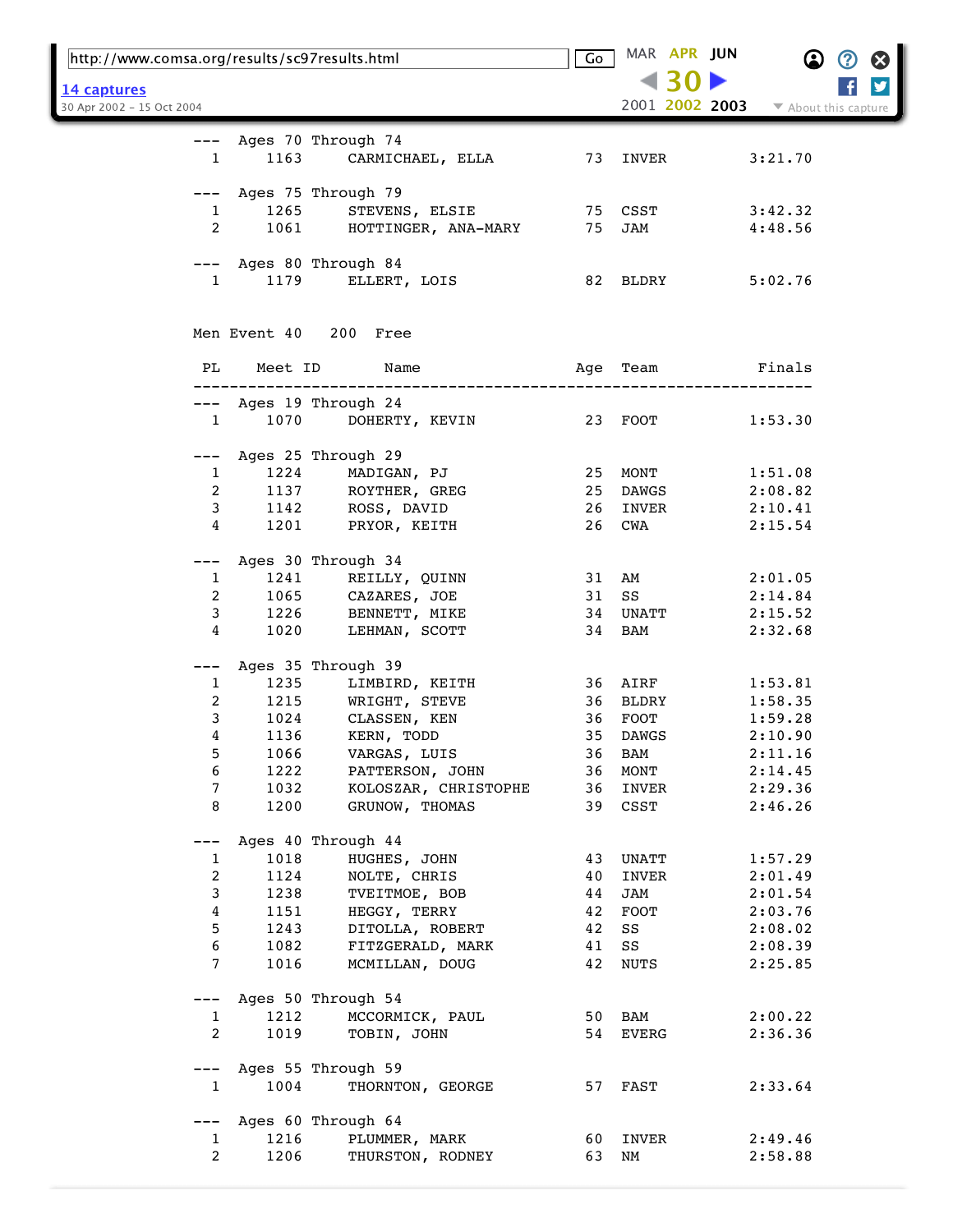| http://www.comsa.org/results/sc97results.html |              |                                                               | Go       | MAR APR JUN    |         |                      |
|-----------------------------------------------|--------------|---------------------------------------------------------------|----------|----------------|---------|----------------------|
| <u>14 captures</u>                            |              |                                                               |          |                |         | y                    |
| 30 Apr 2002 - 15 Oct 2004                     |              |                                                               |          | 2001 2002 2003 |         | ▼ About this capture |
|                                               |              |                                                               |          |                |         |                      |
| $---$                                         |              | Ages 70 Through 74                                            |          |                |         |                      |
| $\mathbf{1}$                                  | 1163         | CARMICHAEL, ELLA                                              |          | 73 INVER       | 3:21.70 |                      |
|                                               |              |                                                               |          |                |         |                      |
| ———                                           |              | Ages 75 Through 79                                            |          |                |         |                      |
| $\mathbf{1}$                                  | 1265         | STEVENS, ELSIE 75 CSST                                        |          |                | 3:42.32 |                      |
| $\overline{2}$                                | 1061         | HOTTINGER, ANA-MARY                                           | 75       | JAM            | 4:48.56 |                      |
|                                               |              | --- Ages 80 Through 84                                        |          |                |         |                      |
| $\mathbf{1}$                                  |              | 1179 ELLERT, LOIS                                             |          | 82 BLDRY       | 5:02.76 |                      |
|                                               |              |                                                               |          |                |         |                      |
|                                               |              |                                                               |          |                |         |                      |
|                                               |              | Men Event 40 200 Free                                         |          |                |         |                      |
|                                               |              |                                                               |          |                |         |                      |
| PL                                            | Meet ID      | Name                                                          | Age      | Team           | Finals  |                      |
|                                               |              |                                                               |          |                |         |                      |
| $---$                                         |              | Ages 19 Through 24                                            |          |                |         |                      |
| $\mathbf{1}$                                  | 1070         | DOHERTY, KEVIN                                                |          | 23 FOOT        | 1:53.30 |                      |
|                                               |              |                                                               |          |                |         |                      |
| $---$                                         |              | Ages 25 Through 29                                            |          |                |         |                      |
| $\mathbf{1}$                                  | 1224         | MADIGAN, PJ                                                   |          | 25 MONT        | 1:51.08 |                      |
| 2                                             | 1137         | ROYTHER, GREG                                                 | 25       | DAWGS          | 2:08.82 |                      |
| 3                                             | 1142         | ROSS, DAVID                                                   | 26       | INVER          | 2:10.41 |                      |
| 4                                             | 1201         | PRYOR, KEITH                                                  | 26       | CWA            | 2:15.54 |                      |
|                                               |              |                                                               |          |                |         |                      |
|                                               |              | Ages 30 Through 34                                            |          |                |         |                      |
| $\mathbf{1}$                                  |              | 1241 REILLY, QUINN<br>1065 CAZARES, JOE<br>1226 BENNETT, MIKE |          | 31 AM          | 2:01.05 |                      |
| 2                                             |              |                                                               |          | 31 SS          | 2:14.84 |                      |
| 3                                             | 1020         |                                                               |          | 34 UNATT       | 2:15.52 |                      |
| 4                                             |              | LEHMAN, SCOTT                                                 |          | 34 BAM         | 2:32.68 |                      |
| $---$                                         |              | Ages 35 Through 39                                            |          |                |         |                      |
| 1                                             | 1235         | LIMBIRD, KEITH                                                |          | 36 AIRF        | 1:53.81 |                      |
| 2                                             | 1215         | WRIGHT, STEVE                                                 |          | 36 BLDRY       | 1:58.35 |                      |
| 3                                             | 1024         | CLASSEN, KEN                                                  |          | 36 FOOT        | 1:59.28 |                      |
| 4                                             | 1136         | KERN, TODD                                                    |          | 35 DAWGS       | 2:10.90 |                      |
| 5                                             | 1066         | VARGAS, LUIS                                                  | 36       | BAM            | 2:11.16 |                      |
| 6                                             | 1222         | PATTERSON, JOHN                                               | 36       | MONT           | 2:14.45 |                      |
| $\overline{7}$                                | 1032         | KOLOSZAR, CHRISTOPHE                                          | 36       | INVER          | 2:29.36 |                      |
| 8                                             | 1200         | GRUNOW, THOMAS                                                |          | 39 CSST        | 2:46.26 |                      |
|                                               |              |                                                               |          |                |         |                      |
| $---$                                         |              | Ages 40 Through 44                                            |          |                |         |                      |
| $\mathbf{1}$                                  | 1018         | HUGHES, JOHN                                                  | 43       | UNATT          | 1:57.29 |                      |
| $\overline{c}$                                | 1124         | NOLTE, CHRIS                                                  | 40       | INVER          | 2:01.49 |                      |
| 3                                             | 1238         | TVEITMOE, BOB                                                 | 44       | JAM            | 2:01.54 |                      |
| 4                                             | 1151         | HEGGY, TERRY                                                  | 42       | FOOT           | 2:03.76 |                      |
| 5<br>6                                        | 1243         | DITOLLA, ROBERT                                               | 42       | SS             | 2:08.02 |                      |
| $7\phantom{.0}$                               | 1082<br>1016 | FITZGERALD, MARK<br>MCMILLAN, DOUG                            | 41<br>42 | SS<br>NUTS     | 2:08.39 |                      |
|                                               |              |                                                               |          |                | 2:25.85 |                      |
| $---$                                         |              | Ages 50 Through 54                                            |          |                |         |                      |
| $\mathbf{1}$                                  | 1212         | MCCORMICK, PAUL                                               |          | 50 BAM         | 2:00.22 |                      |
| $\overline{2}$                                | 1019         | TOBIN, JOHN                                                   |          | 54 EVERG       | 2:36.36 |                      |
|                                               |              |                                                               |          |                |         |                      |
| $---$                                         |              | Ages 55 Through 59                                            |          |                |         |                      |
| $\mathbf{1}$                                  | 1004         | THORNTON, GEORGE                                              |          | 57 FAST        | 2:33.64 |                      |
|                                               |              |                                                               |          |                |         |                      |
| $---$                                         |              | Ages 60 Through 64                                            |          |                |         |                      |
| $\mathbf{1}$                                  | 1216         | PLUMMER, MARK                                                 | 60       | INVER          | 2:49.46 |                      |
| $\overline{2}$                                | 1206         | THURSTON, RODNEY                                              | 63 NM    |                | 2:58.88 |                      |
|                                               |              |                                                               |          |                |         |                      |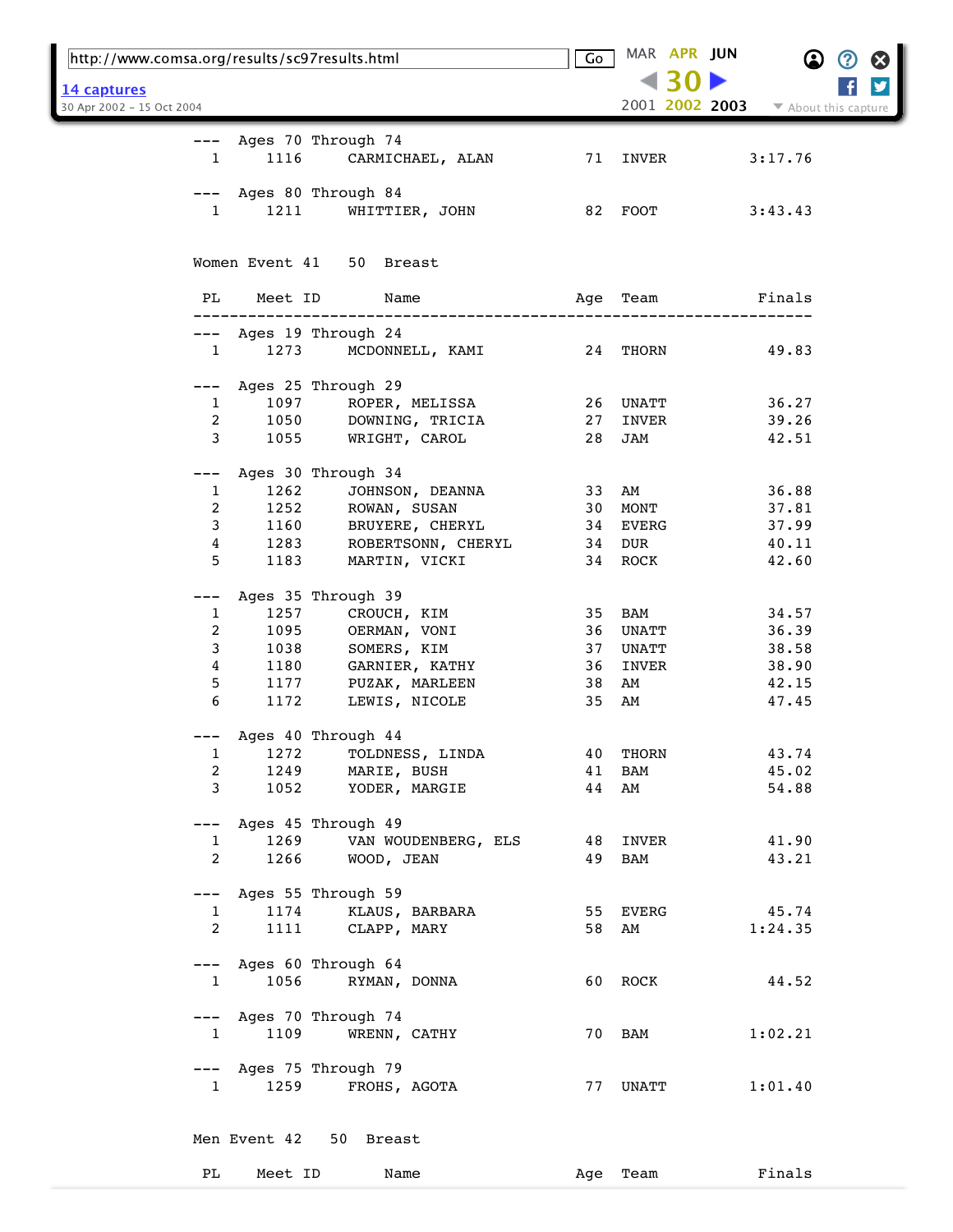| http://www.comsa.org/results/sc97results.html |                |                                        | Go  |          | MAR APR JUN<br>$\bf \Omega$            | $\boldsymbol{\Omega}$<br>Ø |
|-----------------------------------------------|----------------|----------------------------------------|-----|----------|----------------------------------------|----------------------------|
| 14 captures                                   |                |                                        |     |          |                                        | y                          |
| 30 Apr 2002 - 15 Oct 2004                     |                |                                        |     |          | 2001 2002 2003<br>▼ About this capture |                            |
|                                               |                |                                        |     |          |                                        |                            |
| $---$<br>1                                    | 1116           | Ages 70 Through 74<br>CARMICHAEL, ALAN | 71  | INVER    | 3:17.76                                |                            |
|                                               |                |                                        |     |          |                                        |                            |
|                                               |                | Ages 80 Through 84                     |     |          |                                        |                            |
| 1                                             | 1211           | WHITTIER, JOHN                         |     | 82 FOOT  | 3:43.43                                |                            |
|                                               |                |                                        |     |          |                                        |                            |
|                                               | Women Event 41 | 50 Breast                              |     |          |                                        |                            |
|                                               |                |                                        |     |          |                                        |                            |
| PL                                            | Meet ID        | Name                                   | Age | Team     | Finals                                 |                            |
|                                               |                |                                        |     |          |                                        |                            |
| $---$<br>$\mathbf{1}$                         | 1273           | Ages 19 Through 24<br>MCDONNELL, KAMI  |     | 24 THORN | 49.83                                  |                            |
|                                               |                |                                        |     |          |                                        |                            |
| $---$                                         |                | Ages 25 Through 29                     |     |          |                                        |                            |
| 1                                             | 1097           | ROPER, MELISSA                         | 26  | UNATT    | 36.27                                  |                            |
| 2                                             | 1050           | DOWNING, TRICIA                        | 27  | INVER    | 39.26                                  |                            |
| 3                                             | 1055           | WRIGHT, CAROL                          | 28  | JAM      | 42.51                                  |                            |
|                                               |                |                                        |     |          |                                        |                            |
|                                               |                | Ages 30 Through 34                     |     |          |                                        |                            |
| 1                                             | 1262           | JOHNSON, DEANNA                        | 33  | AM       | 36.88                                  |                            |
| 2                                             | 1252           | ROWAN, SUSAN                           | 30  | MONT     | 37.81                                  |                            |
| 3                                             | 1160           | BRUYERE, CHERYL                        | 34  | EVERG    | 37.99                                  |                            |
| 4                                             | 1283           | ROBERTSONN, CHERYL                     | 34  | DUR      | 40.11                                  |                            |
| 5                                             | 1183           | MARTIN, VICKI                          | 34  | ROCK     | 42.60                                  |                            |
| $---$                                         |                | Ages 35 Through 39                     |     |          |                                        |                            |
| 1                                             | 1257           | CROUCH, KIM                            | 35  | BAM      | 34.57                                  |                            |
| 2                                             | 1095           | OERMAN, VONI                           | 36  | UNATT    | 36.39                                  |                            |
| 3                                             | 1038           | SOMERS, KIM                            | 37  | UNATT    | 38.58                                  |                            |
| 4                                             | 1180           | GARNIER, KATHY                         | 36  | INVER    | 38.90                                  |                            |
| 5                                             | 1177           | PUZAK, MARLEEN                         | 38  | AM       | 42.15                                  |                            |
| 6                                             | 1172           | LEWIS, NICOLE                          | 35  | AM       | 47.45                                  |                            |
|                                               |                |                                        |     |          |                                        |                            |
|                                               |                | Ages 40 Through 44                     |     |          |                                        |                            |
| 1                                             | 1272           | TOLDNESS, LINDA                        | 40  | THORN    | 43.74                                  |                            |
| 2                                             | 1249           | MARIE, BUSH                            | 41  | BAM      | 45.02                                  |                            |
| 3                                             | 1052           | YODER, MARGIE                          | 44  | AM       | 54.88                                  |                            |
| $---$                                         |                | Ages 45 Through 49                     |     |          |                                        |                            |
| 1                                             | 1269           | VAN WOUDENBERG, ELS                    |     | 48 INVER | 41.90                                  |                            |
| $\overline{2}$                                | 1266           | WOOD, JEAN                             | 49  | BAM      | 43.21                                  |                            |
|                                               |                |                                        |     |          |                                        |                            |
| $---$                                         |                | Ages 55 Through 59                     |     |          |                                        |                            |
| $\mathbf{1}$                                  | 1174           | KLAUS, BARBARA                         |     | 55 EVERG | 45.74                                  |                            |
| 2                                             | 1111           | CLAPP, MARY                            | 58  | AM       | 1:24.35                                |                            |
|                                               |                |                                        |     |          |                                        |                            |
| $---$                                         |                | Ages 60 Through 64                     |     |          |                                        |                            |
| $\mathbf{1}$                                  | 1056           | RYMAN, DONNA                           |     | 60 ROCK  | 44.52                                  |                            |
|                                               |                |                                        |     |          |                                        |                            |
| $---$<br>$\mathbf{1}$                         | 1109           | Ages 70 Through 74<br>WRENN, CATHY     |     | 70 BAM   | 1:02.21                                |                            |
|                                               |                |                                        |     |          |                                        |                            |
| $---$                                         |                | Ages 75 Through 79                     |     |          |                                        |                            |
| $\mathbf{1}$                                  | 1259           | FROHS, AGOTA                           |     | 77 UNATT | 1:01.40                                |                            |
|                                               |                |                                        |     |          |                                        |                            |
|                                               |                |                                        |     |          |                                        |                            |
|                                               | Men Event 42   | 50 Breast                              |     |          |                                        |                            |
| PL                                            | Meet ID        | Name                                   |     | Team     | Finals                                 |                            |
|                                               |                |                                        | Age |          |                                        |                            |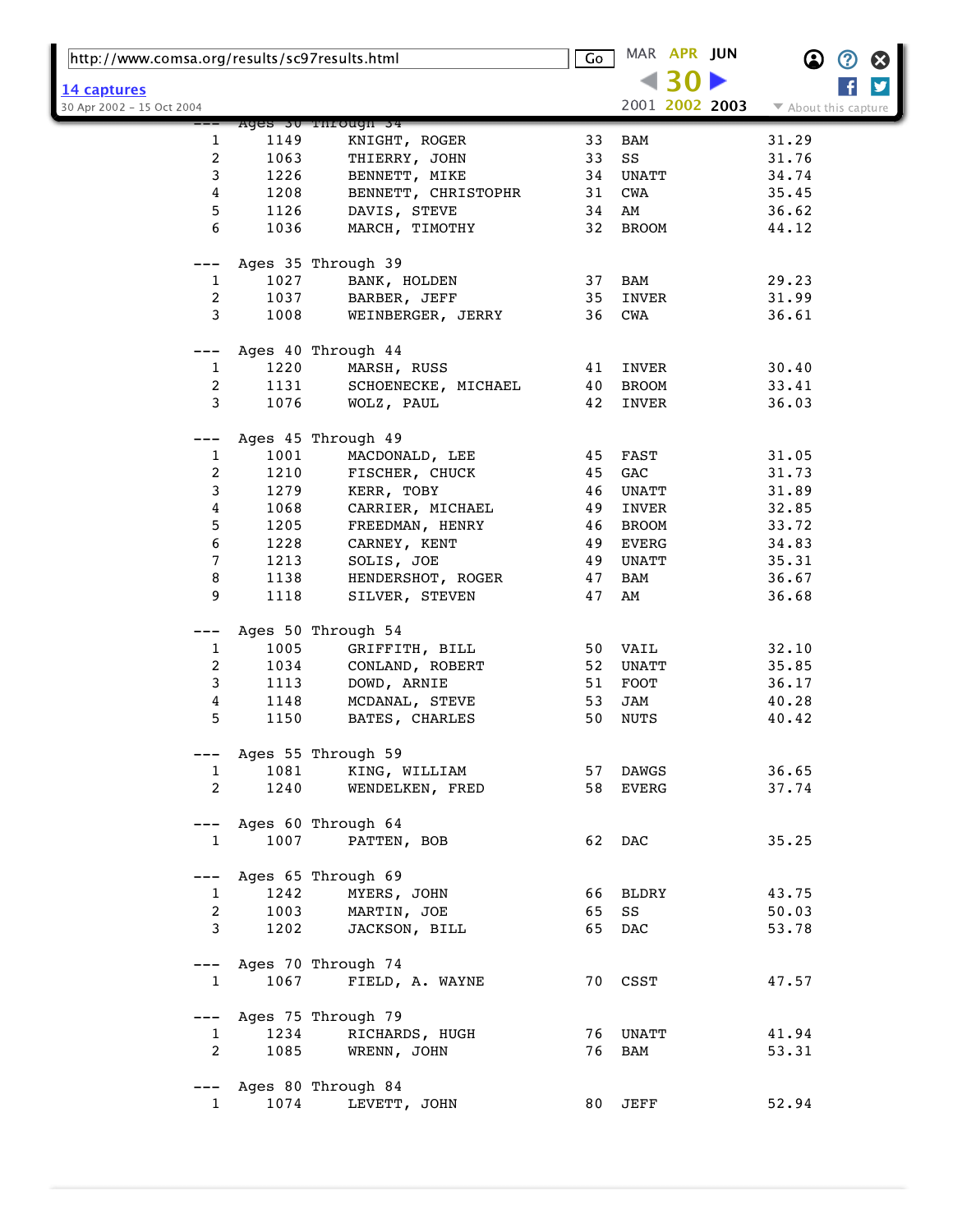| http://www.comsa.org/results/sc97results.html    |      |                        | $\overline{\mathsf{Go}}$ | MAR APR JUN    |                      |
|--------------------------------------------------|------|------------------------|--------------------------|----------------|----------------------|
|                                                  |      |                        |                          |                |                      |
| <u> 14 captures</u><br>30 Apr 2002 - 15 Oct 2004 |      |                        |                          | 2001 2002 2003 | ▼ About this capture |
|                                                  |      | Ages su rnrough s4     |                          |                |                      |
| 1                                                | 1149 | KNIGHT, ROGER          | 33                       | BAM            | 31.29                |
| 2                                                | 1063 | THIERRY, JOHN          | 33                       | SS             | 31.76                |
| 3                                                | 1226 | BENNETT, MIKE          | 34                       | UNATT          | 34.74                |
| 4                                                | 1208 | BENNETT, CHRISTOPHR    | 31                       | CWA            | 35.45                |
| 5                                                | 1126 | DAVIS, STEVE           | 34                       | AM             | 36.62                |
| 6                                                | 1036 | MARCH, TIMOTHY         | 32                       | <b>BROOM</b>   | 44.12                |
|                                                  |      | Ages 35 Through 39     |                          |                |                      |
| 1                                                | 1027 | BANK, HOLDEN           | 37                       | BAM            | 29.23                |
| 2                                                | 1037 | BARBER, JEFF           | 35                       | INVER          | 31.99                |
| 3                                                | 1008 | WEINBERGER, JERRY      | 36                       | CWA            | 36.61                |
|                                                  |      |                        |                          |                |                      |
|                                                  |      | Ages 40 Through 44     |                          |                |                      |
| $\mathbf{1}$                                     | 1220 | MARSH, RUSS            | 41                       | INVER          | 30.40                |
| 2                                                | 1131 | SCHOENECKE, MICHAEL    | 40                       | <b>BROOM</b>   | 33.41                |
| 3                                                | 1076 | WOLZ, PAUL             | 42                       | INVER          | 36.03                |
|                                                  |      | Ages 45 Through 49     |                          |                |                      |
| 1                                                | 1001 | MACDONALD, LEE         | 45                       | FAST           | 31.05                |
| $\overline{2}$                                   | 1210 | FISCHER, CHUCK         | 45                       | GAC            | 31.73                |
| 3                                                | 1279 | KERR, TOBY             | 46                       | UNATT          | 31.89                |
| 4                                                | 1068 | CARRIER, MICHAEL       | 49                       | INVER          | 32.85                |
| 5                                                | 1205 | FREEDMAN, HENRY        | 46                       | <b>BROOM</b>   | 33.72                |
| 6                                                | 1228 | CARNEY, KENT           | 49                       | EVERG          | 34.83                |
| 7                                                | 1213 | SOLIS, JOE             | 49                       | UNATT          | 35.31                |
| 8                                                | 1138 | HENDERSHOT, ROGER      | 47                       | BAM            | 36.67                |
| 9                                                | 1118 | SILVER, STEVEN         | 47                       | AM             | 36.68                |
|                                                  |      |                        |                          |                |                      |
|                                                  |      | Ages 50 Through 54     |                          |                |                      |
| $\mathbf{1}$                                     | 1005 | GRIFFITH, BILL         | 50                       | VAIL           | 32.10                |
| 2                                                | 1034 | CONLAND, ROBERT        | 52                       | UNATT          | 35.85                |
| 3                                                | 1113 | DOWD, ARNIE            | 51                       | FOOT           | 36.17                |
| 4                                                | 1148 | MCDANAL, STEVE         | 53                       | JAM            | 40.28                |
| 5                                                | 1150 | BATES, CHARLES         | 50                       | NUTS           | 40.42                |
| ---                                              |      | Ages 55 Through 59     |                          |                |                      |
| $\mathbf{1}$                                     | 1081 | KING, WILLIAM          |                          | 57 DAWGS       | 36.65                |
| $\overline{2}$                                   | 1240 | WENDELKEN, FRED        |                          | 58 EVERG       | 37.74                |
|                                                  |      |                        |                          |                |                      |
|                                                  |      | --- Ages 60 Through 64 |                          |                |                      |
| $\mathbf{1}$                                     | 1007 | PATTEN, BOB            |                          | 62 DAC         | 35.25                |
| ---                                              |      | Ages 65 Through 69     |                          |                |                      |
| $\mathbf{1}$                                     | 1242 | MYERS, JOHN            |                          | 66 BLDRY       | 43.75                |
| $\overline{2}$                                   | 1003 | MARTIN, JOE            | 65                       | SS             | 50.03                |
| 3                                                | 1202 | JACKSON, BILL          |                          | 65 DAC         | 53.78                |
|                                                  |      |                        |                          |                |                      |
|                                                  |      | --- Ages 70 Through 74 |                          |                |                      |
| $\mathbf{1}$                                     | 1067 | FIELD, A. WAYNE        |                          | 70 CSST        | 47.57                |
| $---$                                            |      | Ages 75 Through 79     |                          |                |                      |
| 1                                                | 1234 | RICHARDS, HUGH         |                          | 76 UNATT       | 41.94                |
| 2                                                | 1085 | WRENN, JOHN            |                          | 76 BAM         | 53.31                |
|                                                  |      |                        |                          |                |                      |
| ---                                              |      | Ages 80 Through 84     |                          |                |                      |
| $\mathbf{1}$                                     | 1074 | LEVETT, JOHN           |                          | 80 JEFF        | 52.94                |